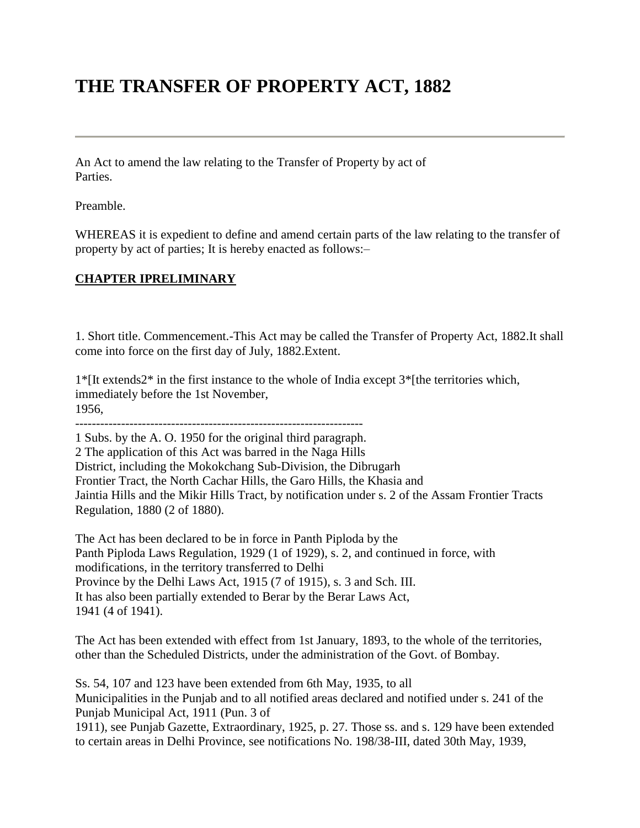# **THE TRANSFER OF PROPERTY ACT, 1882**

An Act to amend the law relating to the Transfer of Property by act of Parties.

Preamble.

WHEREAS it is expedient to define and amend certain parts of the law relating to the transfer of property by act of parties; It is hereby enacted as follows:–

# **CHAPTER IPRELIMINARY**

1. Short title. Commencement.-This Act may be called the Transfer of Property Act, 1882.It shall come into force on the first day of July, 1882.Extent.

1\*[It extends2\* in the first instance to the whole of India except 3\*[the territories which, immediately before the 1st November, 1956,

---------------------------------------------------------------------

1 Subs. by the A. O. 1950 for the original third paragraph. 2 The application of this Act was barred in the Naga Hills District, including the Mokokchang Sub-Division, the Dibrugarh Frontier Tract, the North Cachar Hills, the Garo Hills, the Khasia and Jaintia Hills and the Mikir Hills Tract, by notification under s. 2 of the Assam Frontier Tracts Regulation, 1880 (2 of 1880).

The Act has been declared to be in force in Panth Piploda by the Panth Piploda Laws Regulation, 1929 (1 of 1929), s. 2, and continued in force, with modifications, in the territory transferred to Delhi Province by the Delhi Laws Act, 1915 (7 of 1915), s. 3 and Sch. III. It has also been partially extended to Berar by the Berar Laws Act, 1941 (4 of 1941).

The Act has been extended with effect from 1st January, 1893, to the whole of the territories, other than the Scheduled Districts, under the administration of the Govt. of Bombay.

Ss. 54, 107 and 123 have been extended from 6th May, 1935, to all Municipalities in the Punjab and to all notified areas declared and notified under s. 241 of the Punjab Municipal Act, 1911 (Pun. 3 of

1911), see Punjab Gazette, Extraordinary, 1925, p. 27. Those ss. and s. 129 have been extended to certain areas in Delhi Province, see notifications No. 198/38-III, dated 30th May, 1939,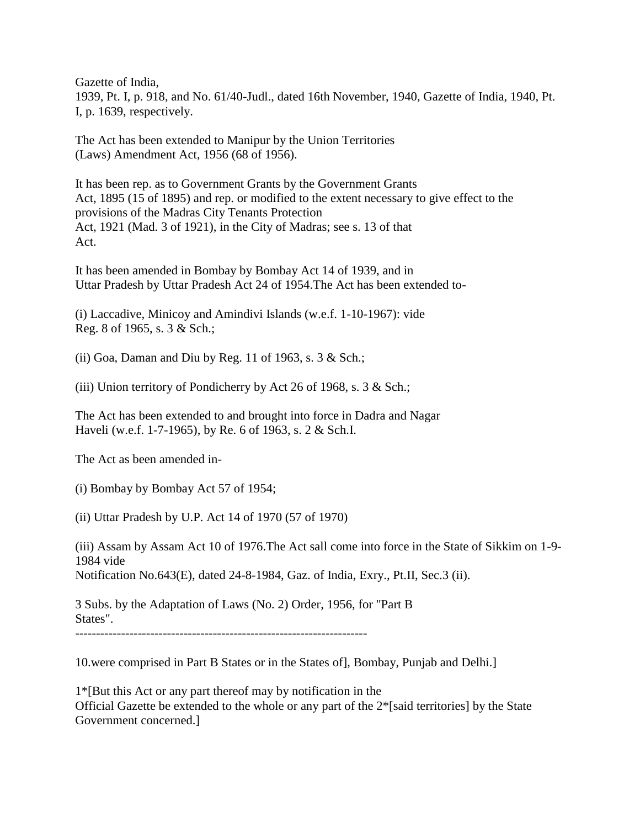Gazette of India, 1939, Pt. I, p. 918, and No. 61/40-Judl., dated 16th November, 1940, Gazette of India, 1940, Pt. I, p. 1639, respectively.

The Act has been extended to Manipur by the Union Territories (Laws) Amendment Act, 1956 (68 of 1956).

It has been rep. as to Government Grants by the Government Grants Act, 1895 (15 of 1895) and rep. or modified to the extent necessary to give effect to the provisions of the Madras City Tenants Protection Act, 1921 (Mad. 3 of 1921), in the City of Madras; see s. 13 of that Act.

It has been amended in Bombay by Bombay Act 14 of 1939, and in Uttar Pradesh by Uttar Pradesh Act 24 of 1954.The Act has been extended to-

(i) Laccadive, Minicoy and Amindivi Islands (w.e.f. 1-10-1967): vide Reg. 8 of 1965, s. 3 & Sch.;

(ii) Goa, Daman and Diu by Reg. 11 of 1963, s.  $3 \&$  Sch.;

(iii) Union territory of Pondicherry by Act 26 of 1968, s. 3 & Sch.;

The Act has been extended to and brought into force in Dadra and Nagar Haveli (w.e.f. 1-7-1965), by Re. 6 of 1963, s. 2 & Sch.I.

The Act as been amended in-

(i) Bombay by Bombay Act 57 of 1954;

(ii) Uttar Pradesh by U.P. Act 14 of 1970 (57 of 1970)

(iii) Assam by Assam Act 10 of 1976.The Act sall come into force in the State of Sikkim on 1-9- 1984 vide Notification No.643(E), dated 24-8-1984, Gaz. of India, Exry., Pt.II, Sec.3 (ii).

3 Subs. by the Adaptation of Laws (No. 2) Order, 1956, for "Part B States".

----------------------------------------------------------------------

10.were comprised in Part B States or in the States of], Bombay, Punjab and Delhi.]

1\*[But this Act or any part thereof may by notification in the Official Gazette be extended to the whole or any part of the 2\*[said territories] by the State Government concerned.]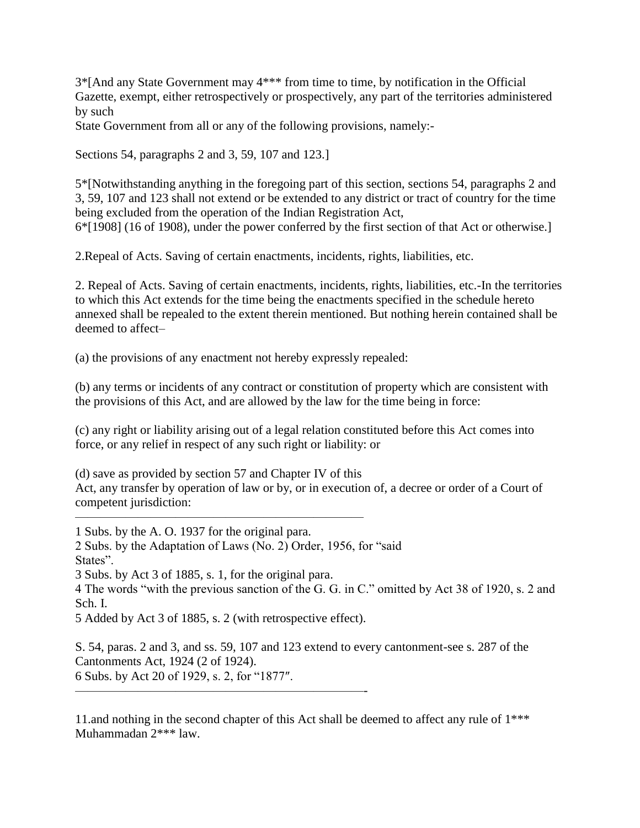3\*[And any State Government may 4\*\*\* from time to time, by notification in the Official Gazette, exempt, either retrospectively or prospectively, any part of the territories administered by such

State Government from all or any of the following provisions, namely:-

Sections 54, paragraphs 2 and 3, 59, 107 and 123.]

5\*[Notwithstanding anything in the foregoing part of this section, sections 54, paragraphs 2 and 3, 59, 107 and 123 shall not extend or be extended to any district or tract of country for the time being excluded from the operation of the Indian Registration Act, 6\*[1908] (16 of 1908), under the power conferred by the first section of that Act or otherwise.]

2.Repeal of Acts. Saving of certain enactments, incidents, rights, liabilities, etc.

2. Repeal of Acts. Saving of certain enactments, incidents, rights, liabilities, etc.-In the territories to which this Act extends for the time being the enactments specified in the schedule hereto annexed shall be repealed to the extent therein mentioned. But nothing herein contained shall be deemed to affect–

(a) the provisions of any enactment not hereby expressly repealed:

———————————————————————

(b) any terms or incidents of any contract or constitution of property which are consistent with the provisions of this Act, and are allowed by the law for the time being in force:

(c) any right or liability arising out of a legal relation constituted before this Act comes into force, or any relief in respect of any such right or liability: or

(d) save as provided by section 57 and Chapter IV of this Act, any transfer by operation of law or by, or in execution of, a decree or order of a Court of competent jurisdiction:

1 Subs. by the A. O. 1937 for the original para. 2 Subs. by the Adaptation of Laws (No. 2) Order, 1956, for "said States". 3 Subs. by Act 3 of 1885, s. 1, for the original para. 4 The words "with the previous sanction of the G. G. in C." omitted by Act 38 of 1920, s. 2 and Sch. I. 5 Added by Act 3 of 1885, s. 2 (with retrospective effect).

S. 54, paras. 2 and 3, and ss. 59, 107 and 123 extend to every cantonment-see s. 287 of the Cantonments Act, 1924 (2 of 1924). 6 Subs. by Act 20 of 1929, s. 2, for "1877″. ———————————————————————-

11.and nothing in the second chapter of this Act shall be deemed to affect any rule of 1\*\*\* Muhammadan 2\*\*\* law.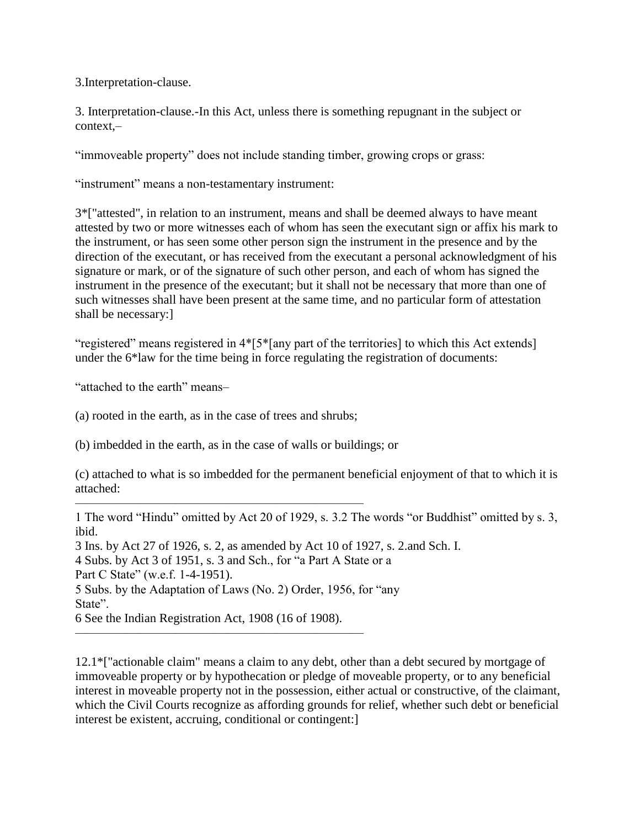3.Interpretation-clause.

3. Interpretation-clause.-In this Act, unless there is something repugnant in the subject or context,–

"immoveable property" does not include standing timber, growing crops or grass:

"instrument" means a non-testamentary instrument:

3\*["attested", in relation to an instrument, means and shall be deemed always to have meant attested by two or more witnesses each of whom has seen the executant sign or affix his mark to the instrument, or has seen some other person sign the instrument in the presence and by the direction of the executant, or has received from the executant a personal acknowledgment of his signature or mark, or of the signature of such other person, and each of whom has signed the instrument in the presence of the executant; but it shall not be necessary that more than one of such witnesses shall have been present at the same time, and no particular form of attestation shall be necessary:]

"registered" means registered in 4\*[5\*[any part of the territories] to which this Act extends] under the 6\*law for the time being in force regulating the registration of documents:

"attached to the earth" means–

(a) rooted in the earth, as in the case of trees and shrubs;

———————————————————————

———————————————————————

(b) imbedded in the earth, as in the case of walls or buildings; or

(c) attached to what is so imbedded for the permanent beneficial enjoyment of that to which it is attached:

1 The word "Hindu" omitted by Act 20 of 1929, s. 3.2 The words "or Buddhist" omitted by s. 3, ibid.

3 Ins. by Act 27 of 1926, s. 2, as amended by Act 10 of 1927, s. 2.and Sch. I. 4 Subs. by Act 3 of 1951, s. 3 and Sch., for "a Part A State or a Part C State" (w.e.f. 1-4-1951). 5 Subs. by the Adaptation of Laws (No. 2) Order, 1956, for "any State". 6 See the Indian Registration Act, 1908 (16 of 1908).

12.1\*["actionable claim" means a claim to any debt, other than a debt secured by mortgage of immoveable property or by hypothecation or pledge of moveable property, or to any beneficial interest in moveable property not in the possession, either actual or constructive, of the claimant, which the Civil Courts recognize as affording grounds for relief, whether such debt or beneficial interest be existent, accruing, conditional or contingent:]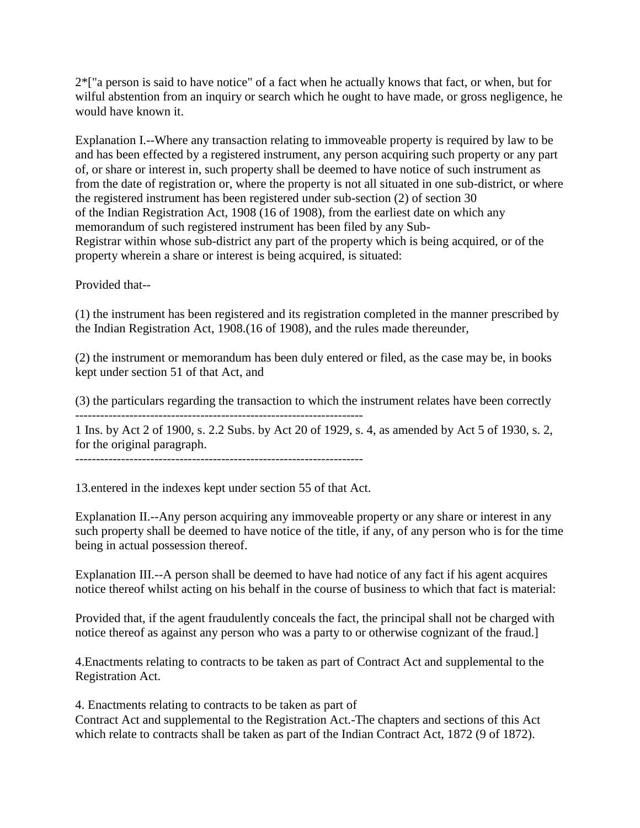$2^*$ ["a person is said to have notice" of a fact when he actually knows that fact, or when, but for wilful abstention from an inquiry or search which he ought to have made, or gross negligence, he would have known it.

Explanation I.--Where any transaction relating to immoveable property is required by law to be and has been effected by a registered instrument, any person acquiring such property or any part of, or share or interest in, such property shall be deemed to have notice of such instrument as from the date of registration or, where the property is not all situated in one sub-district, or where the registered instrument has been registered under sub-section (2) of section 30 of the Indian Registration Act, 1908 (16 of 1908), from the earliest date on which any memorandum of such registered instrument has been filed by any Sub-Registrar within whose sub-district any part of the property which is being acquired, or of the property wherein a share or interest is being acquired, is situated:

Provided that--

(1) the instrument has been registered and its registration completed in the manner prescribed by the Indian Registration Act, 1908.(16 of 1908), and the rules made thereunder,

(2) the instrument or memorandum has been duly entered or filed, as the case may be, in books kept under section 51 of that Act, and

(3) the particulars regarding the transaction to which the instrument relates have been correctly

---------------------------------------------------------------------

1 Ins. by Act 2 of 1900, s. 2.2 Subs. by Act 20 of 1929, s. 4, as amended by Act 5 of 1930, s. 2, for the original paragraph.

---------------------------------------------------------------------

13.entered in the indexes kept under section 55 of that Act.

Explanation II.--Any person acquiring any immoveable property or any share or interest in any such property shall be deemed to have notice of the title, if any, of any person who is for the time being in actual possession thereof.

Explanation III.--A person shall be deemed to have had notice of any fact if his agent acquires notice thereof whilst acting on his behalf in the course of business to which that fact is material:

Provided that, if the agent fraudulently conceals the fact, the principal shall not be charged with notice thereof as against any person who was a party to or otherwise cognizant of the fraud.]

4.Enactments relating to contracts to be taken as part of Contract Act and supplemental to the Registration Act.

4. Enactments relating to contracts to be taken as part of

Contract Act and supplemental to the Registration Act.-The chapters and sections of this Act which relate to contracts shall be taken as part of the Indian Contract Act, 1872 (9 of 1872).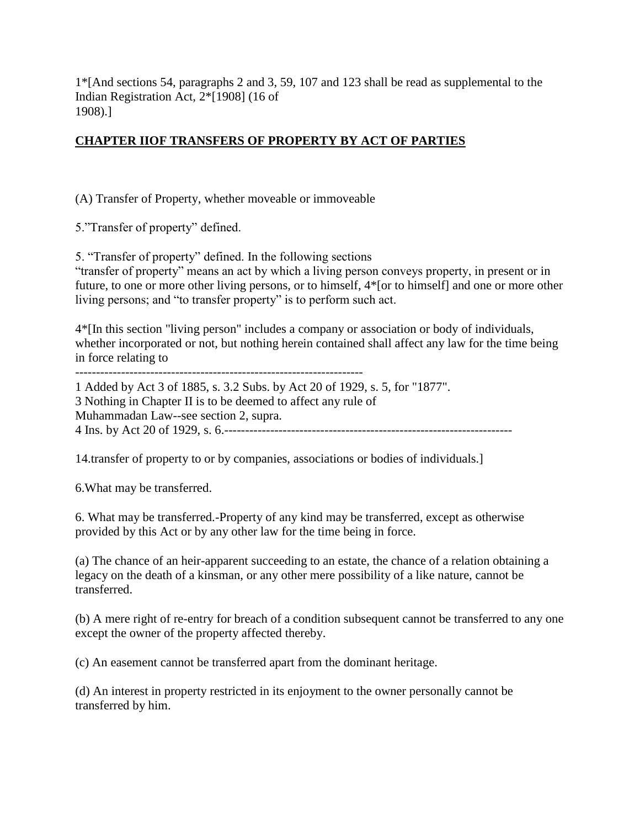1\*[And sections 54, paragraphs 2 and 3, 59, 107 and 123 shall be read as supplemental to the Indian Registration Act, 2\*[1908] (16 of 1908).]

# **CHAPTER IIOF TRANSFERS OF PROPERTY BY ACT OF PARTIES**

(A) Transfer of Property, whether moveable or immoveable

5."Transfer of property" defined.

5. "Transfer of property" defined. In the following sections "transfer of property" means an act by which a living person conveys property, in present or in future, to one or more other living persons, or to himself, 4\*[or to himself] and one or more other living persons; and "to transfer property" is to perform such act.

4\*[In this section "living person" includes a company or association or body of individuals, whether incorporated or not, but nothing herein contained shall affect any law for the time being in force relating to

---------------------------------------------------------------------

1 Added by Act 3 of 1885, s. 3.2 Subs. by Act 20 of 1929, s. 5, for "1877". 3 Nothing in Chapter II is to be deemed to affect any rule of Muhammadan Law--see section 2, supra. 4 Ins. by Act 20 of 1929, s. 6.---------------------------------------------------------------------

14.transfer of property to or by companies, associations or bodies of individuals.]

6.What may be transferred.

6. What may be transferred.-Property of any kind may be transferred, except as otherwise provided by this Act or by any other law for the time being in force.

(a) The chance of an heir-apparent succeeding to an estate, the chance of a relation obtaining a legacy on the death of a kinsman, or any other mere possibility of a like nature, cannot be transferred.

(b) A mere right of re-entry for breach of a condition subsequent cannot be transferred to any one except the owner of the property affected thereby.

(c) An easement cannot be transferred apart from the dominant heritage.

(d) An interest in property restricted in its enjoyment to the owner personally cannot be transferred by him.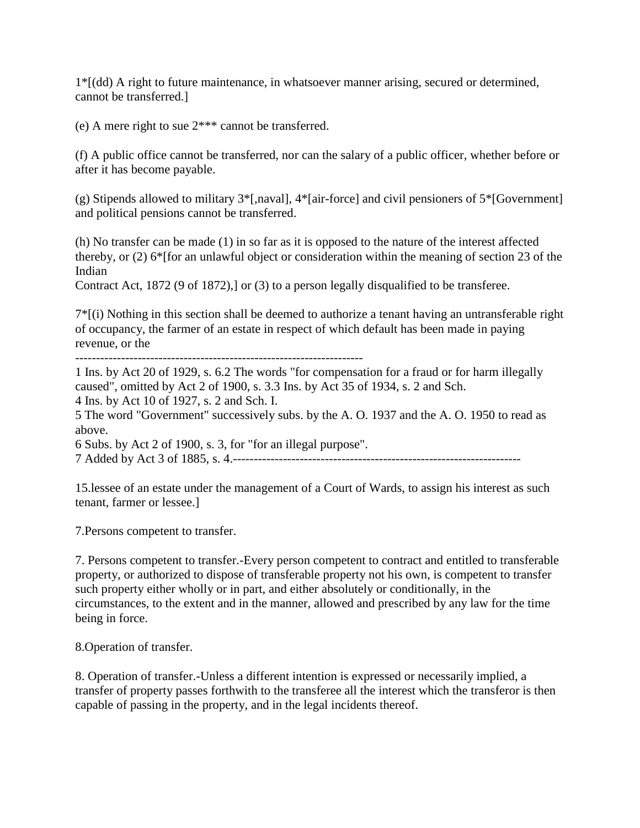1\*[(dd) A right to future maintenance, in whatsoever manner arising, secured or determined, cannot be transferred.]

(e) A mere right to sue 2\*\*\* cannot be transferred.

(f) A public office cannot be transferred, nor can the salary of a public officer, whether before or after it has become payable.

(g) Stipends allowed to military  $3$ <sup>\*</sup>[,naval],  $4$ <sup>\*</sup>[air-force] and civil pensioners of  $5$ <sup>\*</sup>[Government] and political pensions cannot be transferred.

(h) No transfer can be made (1) in so far as it is opposed to the nature of the interest affected thereby, or (2) 6\*[for an unlawful object or consideration within the meaning of section 23 of the Indian

Contract Act, 1872 (9 of 1872),] or (3) to a person legally disqualified to be transferee.

7\*[(i) Nothing in this section shall be deemed to authorize a tenant having an untransferable right of occupancy, the farmer of an estate in respect of which default has been made in paying revenue, or the

---------------------------------------------------------------------

1 Ins. by Act 20 of 1929, s. 6.2 The words "for compensation for a fraud or for harm illegally caused", omitted by Act 2 of 1900, s. 3.3 Ins. by Act 35 of 1934, s. 2 and Sch.

4 Ins. by Act 10 of 1927, s. 2 and Sch. I.

5 The word "Government" successively subs. by the A. O. 1937 and the A. O. 1950 to read as above.

6 Subs. by Act 2 of 1900, s. 3, for "for an illegal purpose".

7 Added by Act 3 of 1885, s. 4.---------------------------------------------------------------------

15.lessee of an estate under the management of a Court of Wards, to assign his interest as such tenant, farmer or lessee.]

7.Persons competent to transfer.

7. Persons competent to transfer.-Every person competent to contract and entitled to transferable property, or authorized to dispose of transferable property not his own, is competent to transfer such property either wholly or in part, and either absolutely or conditionally, in the circumstances, to the extent and in the manner, allowed and prescribed by any law for the time being in force.

8.Operation of transfer.

8. Operation of transfer.-Unless a different intention is expressed or necessarily implied, a transfer of property passes forthwith to the transferee all the interest which the transferor is then capable of passing in the property, and in the legal incidents thereof.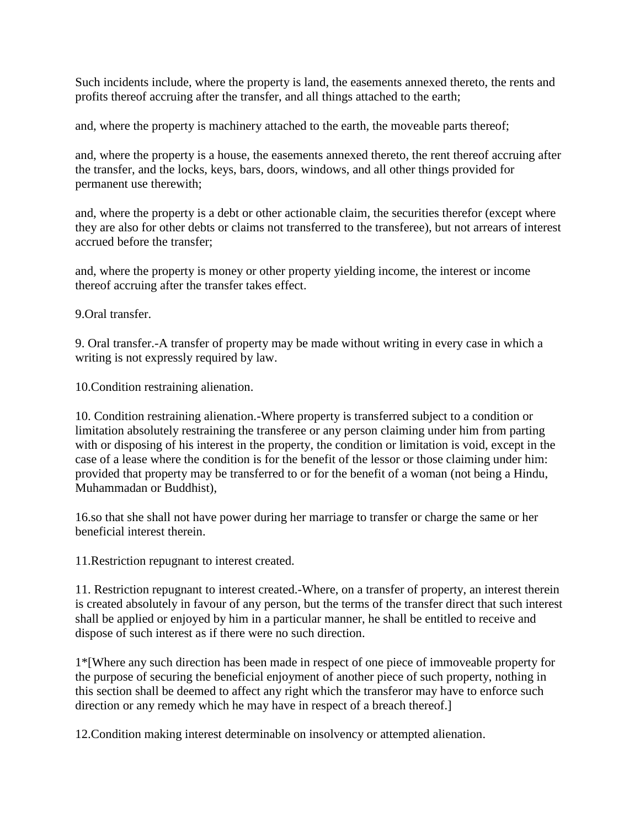Such incidents include, where the property is land, the easements annexed thereto, the rents and profits thereof accruing after the transfer, and all things attached to the earth;

and, where the property is machinery attached to the earth, the moveable parts thereof;

and, where the property is a house, the easements annexed thereto, the rent thereof accruing after the transfer, and the locks, keys, bars, doors, windows, and all other things provided for permanent use therewith;

and, where the property is a debt or other actionable claim, the securities therefor (except where they are also for other debts or claims not transferred to the transferee), but not arrears of interest accrued before the transfer;

and, where the property is money or other property yielding income, the interest or income thereof accruing after the transfer takes effect.

9.Oral transfer.

9. Oral transfer.-A transfer of property may be made without writing in every case in which a writing is not expressly required by law.

10.Condition restraining alienation.

10. Condition restraining alienation.-Where property is transferred subject to a condition or limitation absolutely restraining the transferee or any person claiming under him from parting with or disposing of his interest in the property, the condition or limitation is void, except in the case of a lease where the condition is for the benefit of the lessor or those claiming under him: provided that property may be transferred to or for the benefit of a woman (not being a Hindu, Muhammadan or Buddhist),

16.so that she shall not have power during her marriage to transfer or charge the same or her beneficial interest therein.

11.Restriction repugnant to interest created.

11. Restriction repugnant to interest created.-Where, on a transfer of property, an interest therein is created absolutely in favour of any person, but the terms of the transfer direct that such interest shall be applied or enjoyed by him in a particular manner, he shall be entitled to receive and dispose of such interest as if there were no such direction.

1\*[Where any such direction has been made in respect of one piece of immoveable property for the purpose of securing the beneficial enjoyment of another piece of such property, nothing in this section shall be deemed to affect any right which the transferor may have to enforce such direction or any remedy which he may have in respect of a breach thereof.]

12.Condition making interest determinable on insolvency or attempted alienation.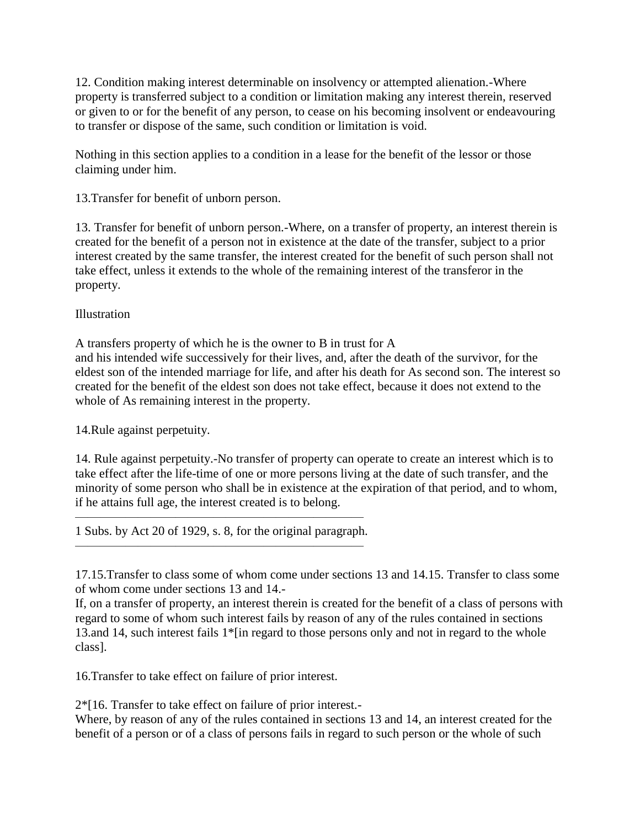12. Condition making interest determinable on insolvency or attempted alienation.-Where property is transferred subject to a condition or limitation making any interest therein, reserved or given to or for the benefit of any person, to cease on his becoming insolvent or endeavouring to transfer or dispose of the same, such condition or limitation is void.

Nothing in this section applies to a condition in a lease for the benefit of the lessor or those claiming under him.

13.Transfer for benefit of unborn person.

13. Transfer for benefit of unborn person.-Where, on a transfer of property, an interest therein is created for the benefit of a person not in existence at the date of the transfer, subject to a prior interest created by the same transfer, the interest created for the benefit of such person shall not take effect, unless it extends to the whole of the remaining interest of the transferor in the property.

Illustration

A transfers property of which he is the owner to B in trust for A and his intended wife successively for their lives, and, after the death of the survivor, for the eldest son of the intended marriage for life, and after his death for As second son. The interest so created for the benefit of the eldest son does not take effect, because it does not extend to the whole of As remaining interest in the property.

14.Rule against perpetuity.

14. Rule against perpetuity.-No transfer of property can operate to create an interest which is to take effect after the life-time of one or more persons living at the date of such transfer, and the minority of some person who shall be in existence at the expiration of that period, and to whom, if he attains full age, the interest created is to belong.

——————————————————————— 1 Subs. by Act 20 of 1929, s. 8, for the original paragraph. ———————————————————————

17.15.Transfer to class some of whom come under sections 13 and 14.15. Transfer to class some of whom come under sections 13 and 14.-

If, on a transfer of property, an interest therein is created for the benefit of a class of persons with regard to some of whom such interest fails by reason of any of the rules contained in sections 13.and 14, such interest fails 1\*[in regard to those persons only and not in regard to the whole class].

16.Transfer to take effect on failure of prior interest.

2\*[16. Transfer to take effect on failure of prior interest.-

Where, by reason of any of the rules contained in sections 13 and 14, an interest created for the benefit of a person or of a class of persons fails in regard to such person or the whole of such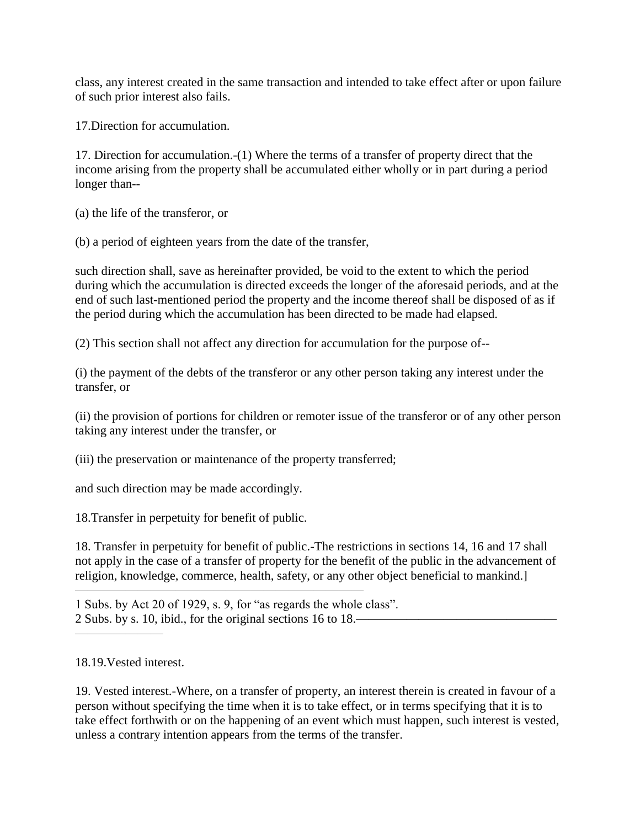class, any interest created in the same transaction and intended to take effect after or upon failure of such prior interest also fails.

17.Direction for accumulation.

17. Direction for accumulation.-(1) Where the terms of a transfer of property direct that the income arising from the property shall be accumulated either wholly or in part during a period longer than--

(a) the life of the transferor, or

(b) a period of eighteen years from the date of the transfer,

such direction shall, save as hereinafter provided, be void to the extent to which the period during which the accumulation is directed exceeds the longer of the aforesaid periods, and at the end of such last-mentioned period the property and the income thereof shall be disposed of as if the period during which the accumulation has been directed to be made had elapsed.

(2) This section shall not affect any direction for accumulation for the purpose of--

(i) the payment of the debts of the transferor or any other person taking any interest under the transfer, or

(ii) the provision of portions for children or remoter issue of the transferor or of any other person taking any interest under the transfer, or

(iii) the preservation or maintenance of the property transferred;

and such direction may be made accordingly.

18.Transfer in perpetuity for benefit of public.

18. Transfer in perpetuity for benefit of public.-The restrictions in sections 14, 16 and 17 shall not apply in the case of a transfer of property for the benefit of the public in the advancement of religion, knowledge, commerce, health, safety, or any other object beneficial to mankind.]

1 Subs. by Act 20 of 1929, s. 9, for "as regards the whole class". 2 Subs. by s. 10, ibid., for the original sections 16 to  $18$ .

———————————————————————

18.19.Vested interest.

———————

19. Vested interest.-Where, on a transfer of property, an interest therein is created in favour of a person without specifying the time when it is to take effect, or in terms specifying that it is to take effect forthwith or on the happening of an event which must happen, such interest is vested, unless a contrary intention appears from the terms of the transfer.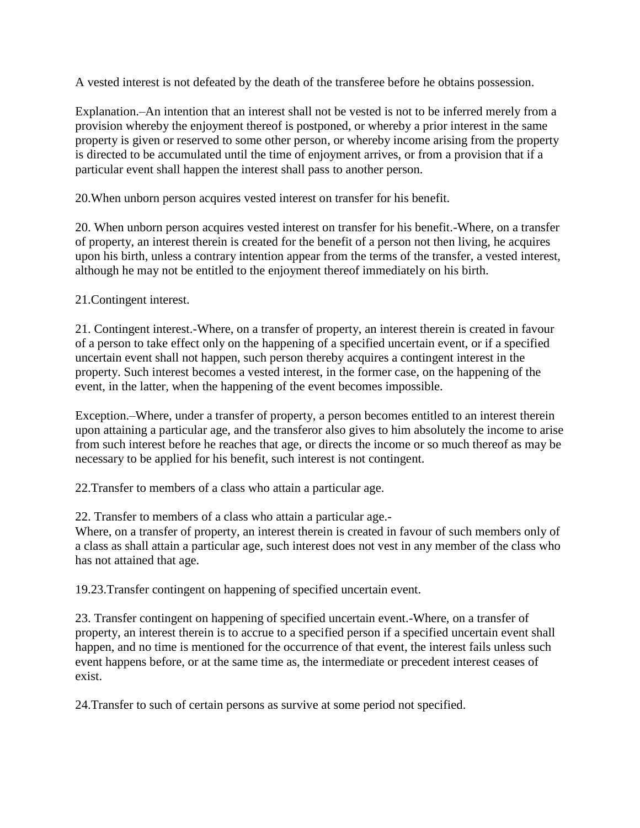A vested interest is not defeated by the death of the transferee before he obtains possession.

Explanation.–An intention that an interest shall not be vested is not to be inferred merely from a provision whereby the enjoyment thereof is postponed, or whereby a prior interest in the same property is given or reserved to some other person, or whereby income arising from the property is directed to be accumulated until the time of enjoyment arrives, or from a provision that if a particular event shall happen the interest shall pass to another person.

20.When unborn person acquires vested interest on transfer for his benefit.

20. When unborn person acquires vested interest on transfer for his benefit.-Where, on a transfer of property, an interest therein is created for the benefit of a person not then living, he acquires upon his birth, unless a contrary intention appear from the terms of the transfer, a vested interest, although he may not be entitled to the enjoyment thereof immediately on his birth.

21.Contingent interest.

21. Contingent interest.-Where, on a transfer of property, an interest therein is created in favour of a person to take effect only on the happening of a specified uncertain event, or if a specified uncertain event shall not happen, such person thereby acquires a contingent interest in the property. Such interest becomes a vested interest, in the former case, on the happening of the event, in the latter, when the happening of the event becomes impossible.

Exception.–Where, under a transfer of property, a person becomes entitled to an interest therein upon attaining a particular age, and the transferor also gives to him absolutely the income to arise from such interest before he reaches that age, or directs the income or so much thereof as may be necessary to be applied for his benefit, such interest is not contingent.

22.Transfer to members of a class who attain a particular age.

22. Transfer to members of a class who attain a particular age.-

Where, on a transfer of property, an interest therein is created in favour of such members only of a class as shall attain a particular age, such interest does not vest in any member of the class who has not attained that age.

19.23.Transfer contingent on happening of specified uncertain event.

23. Transfer contingent on happening of specified uncertain event.-Where, on a transfer of property, an interest therein is to accrue to a specified person if a specified uncertain event shall happen, and no time is mentioned for the occurrence of that event, the interest fails unless such event happens before, or at the same time as, the intermediate or precedent interest ceases of exist.

24.Transfer to such of certain persons as survive at some period not specified.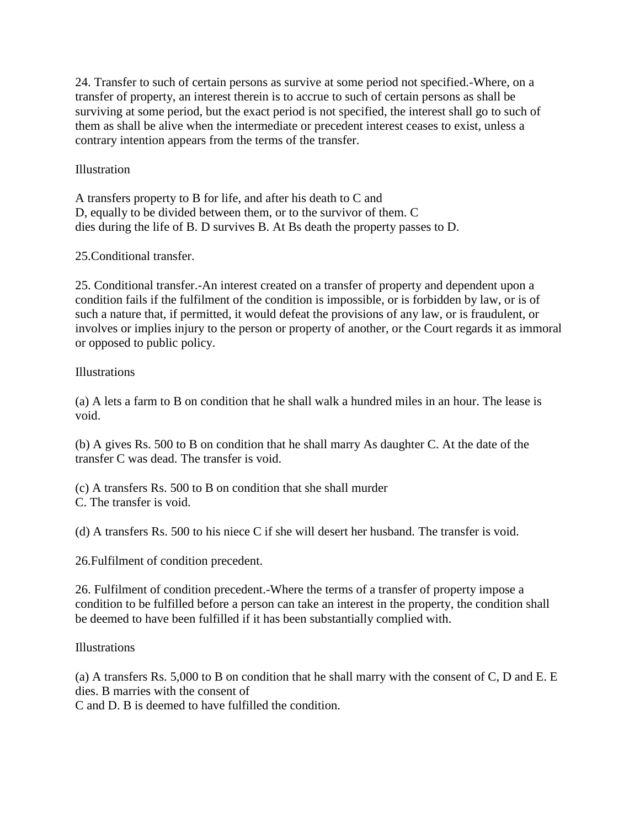24. Transfer to such of certain persons as survive at some period not specified.-Where, on a transfer of property, an interest therein is to accrue to such of certain persons as shall be surviving at some period, but the exact period is not specified, the interest shall go to such of them as shall be alive when the intermediate or precedent interest ceases to exist, unless a contrary intention appears from the terms of the transfer.

## Illustration

A transfers property to B for life, and after his death to C and D, equally to be divided between them, or to the survivor of them. C dies during the life of B. D survives B. At Bs death the property passes to D.

## 25.Conditional transfer.

25. Conditional transfer.-An interest created on a transfer of property and dependent upon a condition fails if the fulfilment of the condition is impossible, or is forbidden by law, or is of such a nature that, if permitted, it would defeat the provisions of any law, or is fraudulent, or involves or implies injury to the person or property of another, or the Court regards it as immoral or opposed to public policy.

#### Illustrations

(a) A lets a farm to B on condition that he shall walk a hundred miles in an hour. The lease is void.

(b) A gives Rs. 500 to B on condition that he shall marry As daughter C. At the date of the transfer C was dead. The transfer is void.

(c) A transfers Rs. 500 to B on condition that she shall murder C. The transfer is void.

(d) A transfers Rs. 500 to his niece C if she will desert her husband. The transfer is void.

26.Fulfilment of condition precedent.

26. Fulfilment of condition precedent.-Where the terms of a transfer of property impose a condition to be fulfilled before a person can take an interest in the property, the condition shall be deemed to have been fulfilled if it has been substantially complied with.

## Illustrations

(a) A transfers Rs. 5,000 to B on condition that he shall marry with the consent of C, D and E. E dies. B marries with the consent of

C and D. B is deemed to have fulfilled the condition.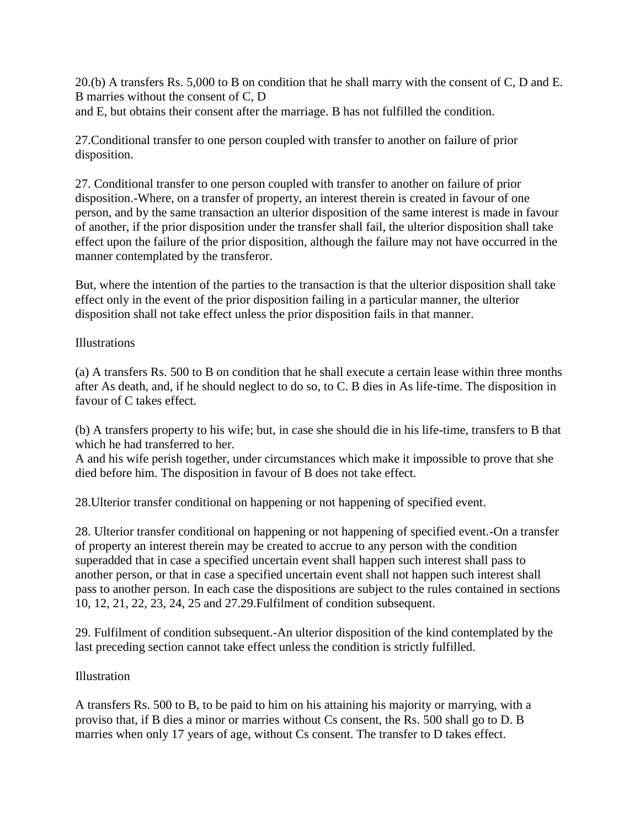20.(b) A transfers Rs. 5,000 to B on condition that he shall marry with the consent of C, D and E. B marries without the consent of C, D and E, but obtains their consent after the marriage. B has not fulfilled the condition.

27.Conditional transfer to one person coupled with transfer to another on failure of prior disposition.

27. Conditional transfer to one person coupled with transfer to another on failure of prior disposition.-Where, on a transfer of property, an interest therein is created in favour of one person, and by the same transaction an ulterior disposition of the same interest is made in favour of another, if the prior disposition under the transfer shall fail, the ulterior disposition shall take effect upon the failure of the prior disposition, although the failure may not have occurred in the manner contemplated by the transferor.

But, where the intention of the parties to the transaction is that the ulterior disposition shall take effect only in the event of the prior disposition failing in a particular manner, the ulterior disposition shall not take effect unless the prior disposition fails in that manner.

#### Illustrations

(a) A transfers Rs. 500 to B on condition that he shall execute a certain lease within three months after As death, and, if he should neglect to do so, to C. B dies in As life-time. The disposition in favour of C takes effect.

(b) A transfers property to his wife; but, in case she should die in his life-time, transfers to B that which he had transferred to her.

A and his wife perish together, under circumstances which make it impossible to prove that she died before him. The disposition in favour of B does not take effect.

28.Ulterior transfer conditional on happening or not happening of specified event.

28. Ulterior transfer conditional on happening or not happening of specified event.-On a transfer of property an interest therein may be created to accrue to any person with the condition superadded that in case a specified uncertain event shall happen such interest shall pass to another person, or that in case a specified uncertain event shall not happen such interest shall pass to another person. In each case the dispositions are subject to the rules contained in sections 10, 12, 21, 22, 23, 24, 25 and 27.29.Fulfilment of condition subsequent.

29. Fulfilment of condition subsequent.-An ulterior disposition of the kind contemplated by the last preceding section cannot take effect unless the condition is strictly fulfilled.

## Illustration

A transfers Rs. 500 to B, to be paid to him on his attaining his majority or marrying, with a proviso that, if B dies a minor or marries without Cs consent, the Rs. 500 shall go to D. B marries when only 17 years of age, without Cs consent. The transfer to D takes effect.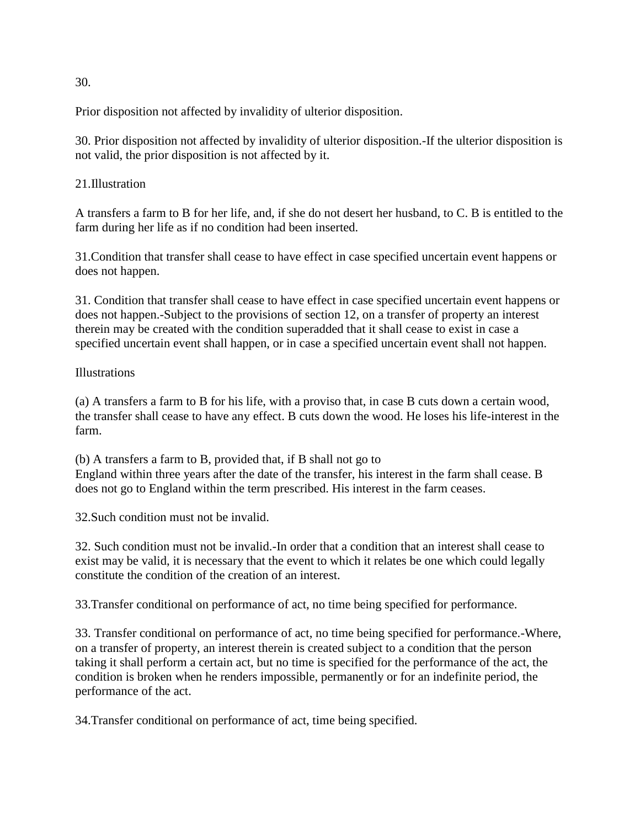Prior disposition not affected by invalidity of ulterior disposition.

30. Prior disposition not affected by invalidity of ulterior disposition.-If the ulterior disposition is not valid, the prior disposition is not affected by it.

# 21.Illustration

A transfers a farm to B for her life, and, if she do not desert her husband, to C. B is entitled to the farm during her life as if no condition had been inserted.

31.Condition that transfer shall cease to have effect in case specified uncertain event happens or does not happen.

31. Condition that transfer shall cease to have effect in case specified uncertain event happens or does not happen.-Subject to the provisions of section 12, on a transfer of property an interest therein may be created with the condition superadded that it shall cease to exist in case a specified uncertain event shall happen, or in case a specified uncertain event shall not happen.

# Illustrations

(a) A transfers a farm to B for his life, with a proviso that, in case B cuts down a certain wood, the transfer shall cease to have any effect. B cuts down the wood. He loses his life-interest in the farm.

(b) A transfers a farm to B, provided that, if B shall not go to England within three years after the date of the transfer, his interest in the farm shall cease. B does not go to England within the term prescribed. His interest in the farm ceases.

32.Such condition must not be invalid.

32. Such condition must not be invalid.-In order that a condition that an interest shall cease to exist may be valid, it is necessary that the event to which it relates be one which could legally constitute the condition of the creation of an interest.

33.Transfer conditional on performance of act, no time being specified for performance.

33. Transfer conditional on performance of act, no time being specified for performance.-Where, on a transfer of property, an interest therein is created subject to a condition that the person taking it shall perform a certain act, but no time is specified for the performance of the act, the condition is broken when he renders impossible, permanently or for an indefinite period, the performance of the act.

34.Transfer conditional on performance of act, time being specified.

30.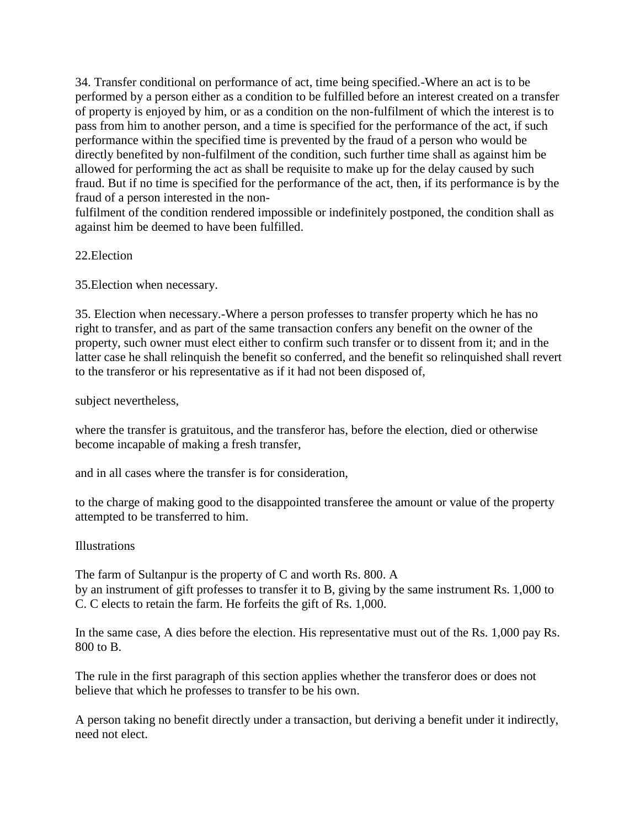34. Transfer conditional on performance of act, time being specified.-Where an act is to be performed by a person either as a condition to be fulfilled before an interest created on a transfer of property is enjoyed by him, or as a condition on the non-fulfilment of which the interest is to pass from him to another person, and a time is specified for the performance of the act, if such performance within the specified time is prevented by the fraud of a person who would be directly benefited by non-fulfilment of the condition, such further time shall as against him be allowed for performing the act as shall be requisite to make up for the delay caused by such fraud. But if no time is specified for the performance of the act, then, if its performance is by the fraud of a person interested in the non-

fulfilment of the condition rendered impossible or indefinitely postponed, the condition shall as against him be deemed to have been fulfilled.

#### 22.Election

35.Election when necessary.

35. Election when necessary.-Where a person professes to transfer property which he has no right to transfer, and as part of the same transaction confers any benefit on the owner of the property, such owner must elect either to confirm such transfer or to dissent from it; and in the latter case he shall relinquish the benefit so conferred, and the benefit so relinquished shall revert to the transferor or his representative as if it had not been disposed of,

subject nevertheless,

where the transfer is gratuitous, and the transferor has, before the election, died or otherwise become incapable of making a fresh transfer,

and in all cases where the transfer is for consideration,

to the charge of making good to the disappointed transferee the amount or value of the property attempted to be transferred to him.

#### Illustrations

The farm of Sultanpur is the property of C and worth Rs. 800. A by an instrument of gift professes to transfer it to B, giving by the same instrument Rs. 1,000 to C. C elects to retain the farm. He forfeits the gift of Rs. 1,000.

In the same case, A dies before the election. His representative must out of the Rs. 1,000 pay Rs. 800 to B.

The rule in the first paragraph of this section applies whether the transferor does or does not believe that which he professes to transfer to be his own.

A person taking no benefit directly under a transaction, but deriving a benefit under it indirectly, need not elect.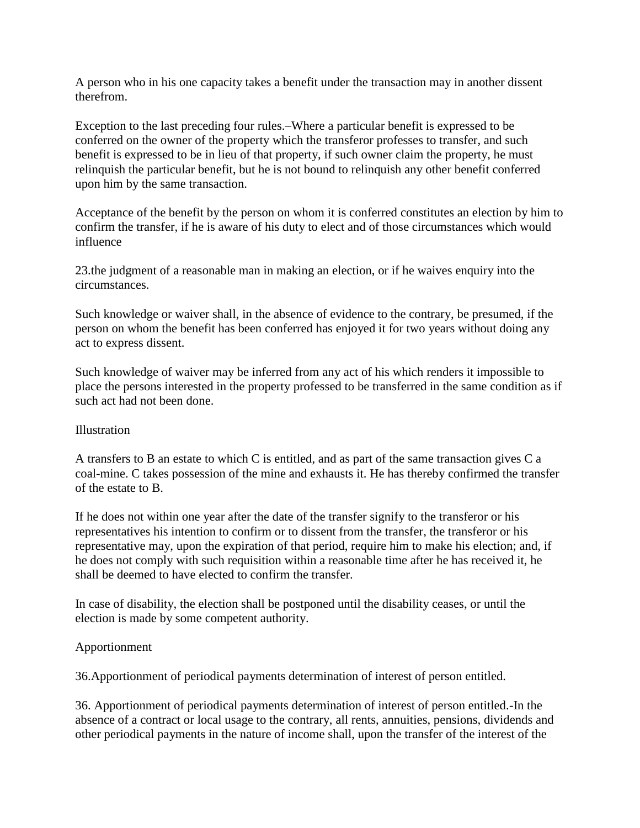A person who in his one capacity takes a benefit under the transaction may in another dissent therefrom.

Exception to the last preceding four rules.–Where a particular benefit is expressed to be conferred on the owner of the property which the transferor professes to transfer, and such benefit is expressed to be in lieu of that property, if such owner claim the property, he must relinquish the particular benefit, but he is not bound to relinquish any other benefit conferred upon him by the same transaction.

Acceptance of the benefit by the person on whom it is conferred constitutes an election by him to confirm the transfer, if he is aware of his duty to elect and of those circumstances which would influence

23.the judgment of a reasonable man in making an election, or if he waives enquiry into the circumstances.

Such knowledge or waiver shall, in the absence of evidence to the contrary, be presumed, if the person on whom the benefit has been conferred has enjoyed it for two years without doing any act to express dissent.

Such knowledge of waiver may be inferred from any act of his which renders it impossible to place the persons interested in the property professed to be transferred in the same condition as if such act had not been done.

#### Illustration

A transfers to B an estate to which C is entitled, and as part of the same transaction gives C a coal-mine. C takes possession of the mine and exhausts it. He has thereby confirmed the transfer of the estate to B.

If he does not within one year after the date of the transfer signify to the transferor or his representatives his intention to confirm or to dissent from the transfer, the transferor or his representative may, upon the expiration of that period, require him to make his election; and, if he does not comply with such requisition within a reasonable time after he has received it, he shall be deemed to have elected to confirm the transfer.

In case of disability, the election shall be postponed until the disability ceases, or until the election is made by some competent authority.

#### Apportionment

36.Apportionment of periodical payments determination of interest of person entitled.

36. Apportionment of periodical payments determination of interest of person entitled.-In the absence of a contract or local usage to the contrary, all rents, annuities, pensions, dividends and other periodical payments in the nature of income shall, upon the transfer of the interest of the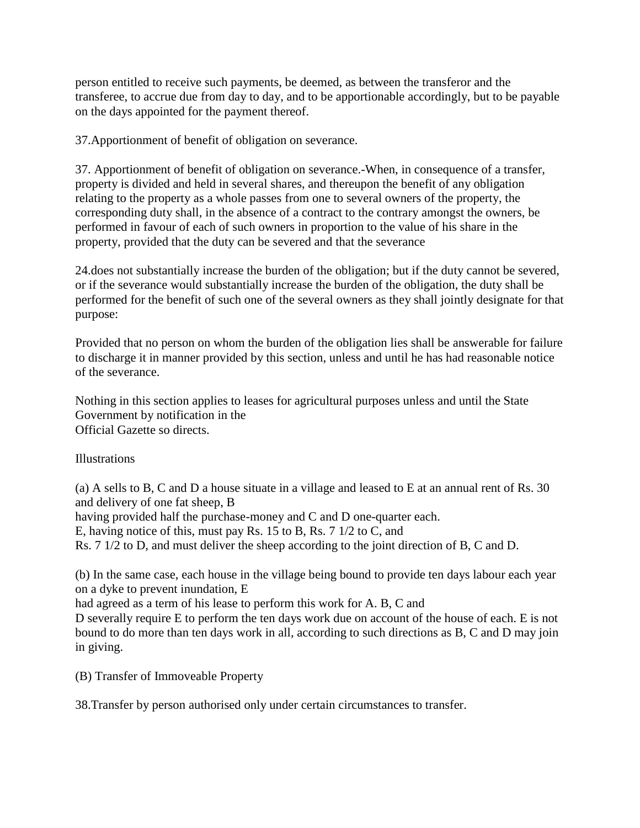person entitled to receive such payments, be deemed, as between the transferor and the transferee, to accrue due from day to day, and to be apportionable accordingly, but to be payable on the days appointed for the payment thereof.

37.Apportionment of benefit of obligation on severance.

37. Apportionment of benefit of obligation on severance.-When, in consequence of a transfer, property is divided and held in several shares, and thereupon the benefit of any obligation relating to the property as a whole passes from one to several owners of the property, the corresponding duty shall, in the absence of a contract to the contrary amongst the owners, be performed in favour of each of such owners in proportion to the value of his share in the property, provided that the duty can be severed and that the severance

24.does not substantially increase the burden of the obligation; but if the duty cannot be severed, or if the severance would substantially increase the burden of the obligation, the duty shall be performed for the benefit of such one of the several owners as they shall jointly designate for that purpose:

Provided that no person on whom the burden of the obligation lies shall be answerable for failure to discharge it in manner provided by this section, unless and until he has had reasonable notice of the severance.

Nothing in this section applies to leases for agricultural purposes unless and until the State Government by notification in the Official Gazette so directs.

## Illustrations

(a) A sells to B, C and D a house situate in a village and leased to E at an annual rent of Rs. 30 and delivery of one fat sheep, B having provided half the purchase-money and C and D one-quarter each. E, having notice of this, must pay Rs. 15 to B, Rs. 7 1/2 to C, and Rs. 7 1/2 to D, and must deliver the sheep according to the joint direction of B, C and D.

(b) In the same case, each house in the village being bound to provide ten days labour each year on a dyke to prevent inundation, E

had agreed as a term of his lease to perform this work for A. B, C and

D severally require E to perform the ten days work due on account of the house of each. E is not bound to do more than ten days work in all, according to such directions as B, C and D may join in giving.

(B) Transfer of Immoveable Property

38.Transfer by person authorised only under certain circumstances to transfer.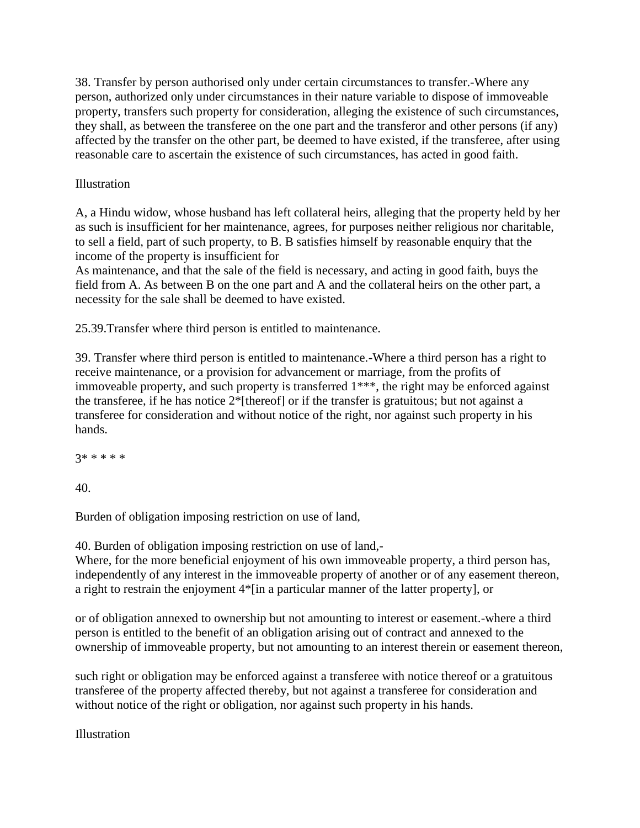38. Transfer by person authorised only under certain circumstances to transfer.-Where any person, authorized only under circumstances in their nature variable to dispose of immoveable property, transfers such property for consideration, alleging the existence of such circumstances, they shall, as between the transferee on the one part and the transferor and other persons (if any) affected by the transfer on the other part, be deemed to have existed, if the transferee, after using reasonable care to ascertain the existence of such circumstances, has acted in good faith.

## Illustration

A, a Hindu widow, whose husband has left collateral heirs, alleging that the property held by her as such is insufficient for her maintenance, agrees, for purposes neither religious nor charitable, to sell a field, part of such property, to B. B satisfies himself by reasonable enquiry that the income of the property is insufficient for

As maintenance, and that the sale of the field is necessary, and acting in good faith, buys the field from A. As between B on the one part and A and the collateral heirs on the other part, a necessity for the sale shall be deemed to have existed.

25.39.Transfer where third person is entitled to maintenance.

39. Transfer where third person is entitled to maintenance.-Where a third person has a right to receive maintenance, or a provision for advancement or marriage, from the profits of immoveable property, and such property is transferred 1\*\*\*, the right may be enforced against the transferee, if he has notice 2\*[thereof] or if the transfer is gratuitous; but not against a transferee for consideration and without notice of the right, nor against such property in his hands.

3\* \* \* \* \*

40.

Burden of obligation imposing restriction on use of land,

40. Burden of obligation imposing restriction on use of land,-

Where, for the more beneficial enjoyment of his own immoveable property, a third person has, independently of any interest in the immoveable property of another or of any easement thereon, a right to restrain the enjoyment 4\*[in a particular manner of the latter property], or

or of obligation annexed to ownership but not amounting to interest or easement.-where a third person is entitled to the benefit of an obligation arising out of contract and annexed to the ownership of immoveable property, but not amounting to an interest therein or easement thereon,

such right or obligation may be enforced against a transferee with notice thereof or a gratuitous transferee of the property affected thereby, but not against a transferee for consideration and without notice of the right or obligation, nor against such property in his hands.

Illustration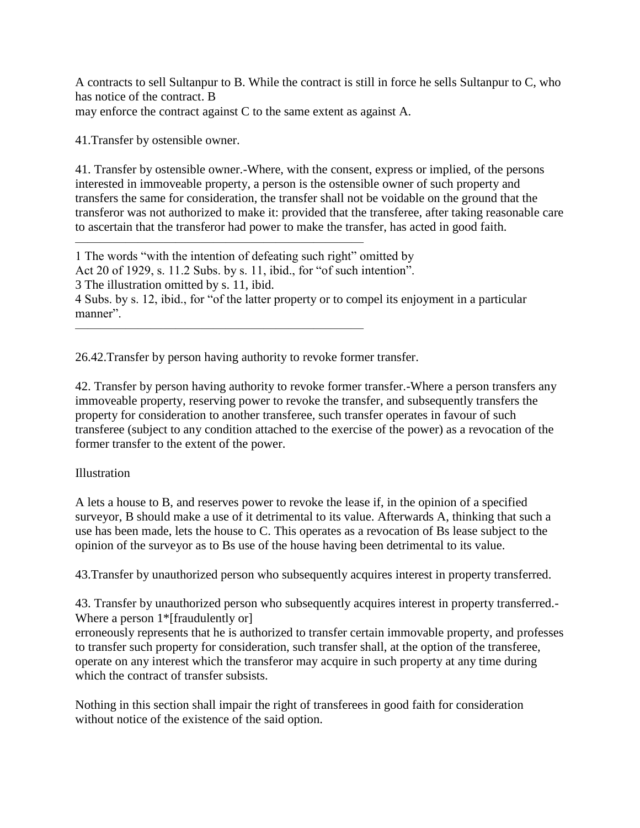A contracts to sell Sultanpur to B. While the contract is still in force he sells Sultanpur to C, who has notice of the contract. B may enforce the contract against C to the same extent as against A.

41.Transfer by ostensible owner.

41. Transfer by ostensible owner.-Where, with the consent, express or implied, of the persons interested in immoveable property, a person is the ostensible owner of such property and transfers the same for consideration, the transfer shall not be voidable on the ground that the transferor was not authorized to make it: provided that the transferee, after taking reasonable care to ascertain that the transferor had power to make the transfer, has acted in good faith.

——————————————————————— 1 The words "with the intention of defeating such right" omitted by

Act 20 of 1929, s. 11.2 Subs. by s. 11, ibid., for "of such intention".

3 The illustration omitted by s. 11, ibid.

4 Subs. by s. 12, ibid., for "of the latter property or to compel its enjoyment in a particular manner".

26.42.Transfer by person having authority to revoke former transfer.

———————————————————————

42. Transfer by person having authority to revoke former transfer.-Where a person transfers any immoveable property, reserving power to revoke the transfer, and subsequently transfers the property for consideration to another transferee, such transfer operates in favour of such transferee (subject to any condition attached to the exercise of the power) as a revocation of the former transfer to the extent of the power.

## Illustration

A lets a house to B, and reserves power to revoke the lease if, in the opinion of a specified surveyor, B should make a use of it detrimental to its value. Afterwards A, thinking that such a use has been made, lets the house to C. This operates as a revocation of Bs lease subject to the opinion of the surveyor as to Bs use of the house having been detrimental to its value.

43.Transfer by unauthorized person who subsequently acquires interest in property transferred.

43. Transfer by unauthorized person who subsequently acquires interest in property transferred.- Where a person 1\*[fraudulently or]

erroneously represents that he is authorized to transfer certain immovable property, and professes to transfer such property for consideration, such transfer shall, at the option of the transferee, operate on any interest which the transferor may acquire in such property at any time during which the contract of transfer subsists.

Nothing in this section shall impair the right of transferees in good faith for consideration without notice of the existence of the said option.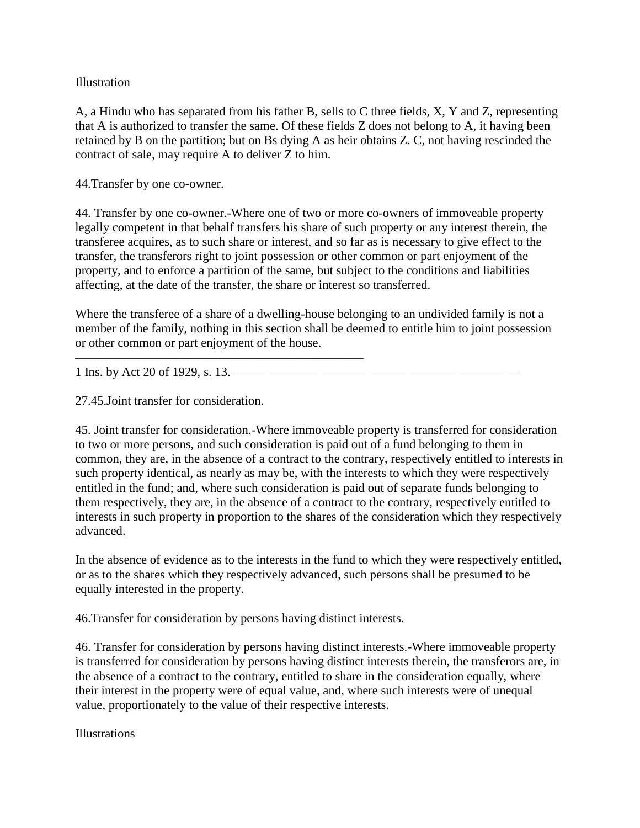#### Illustration

A, a Hindu who has separated from his father B, sells to C three fields, X, Y and Z, representing that A is authorized to transfer the same. Of these fields Z does not belong to A, it having been retained by B on the partition; but on Bs dying A as heir obtains Z. C, not having rescinded the contract of sale, may require A to deliver Z to him.

44.Transfer by one co-owner.

44. Transfer by one co-owner.-Where one of two or more co-owners of immoveable property legally competent in that behalf transfers his share of such property or any interest therein, the transferee acquires, as to such share or interest, and so far as is necessary to give effect to the transfer, the transferors right to joint possession or other common or part enjoyment of the property, and to enforce a partition of the same, but subject to the conditions and liabilities affecting, at the date of the transfer, the share or interest so transferred.

Where the transferee of a share of a dwelling-house belonging to an undivided family is not a member of the family, nothing in this section shall be deemed to entitle him to joint possession or other common or part enjoyment of the house.

1 Ins. by Act 20 of 1929, s. 13.———————————————————————

27.45.Joint transfer for consideration.

———————————————————————

45. Joint transfer for consideration.-Where immoveable property is transferred for consideration to two or more persons, and such consideration is paid out of a fund belonging to them in common, they are, in the absence of a contract to the contrary, respectively entitled to interests in such property identical, as nearly as may be, with the interests to which they were respectively entitled in the fund; and, where such consideration is paid out of separate funds belonging to them respectively, they are, in the absence of a contract to the contrary, respectively entitled to interests in such property in proportion to the shares of the consideration which they respectively advanced.

In the absence of evidence as to the interests in the fund to which they were respectively entitled, or as to the shares which they respectively advanced, such persons shall be presumed to be equally interested in the property.

46.Transfer for consideration by persons having distinct interests.

46. Transfer for consideration by persons having distinct interests.-Where immoveable property is transferred for consideration by persons having distinct interests therein, the transferors are, in the absence of a contract to the contrary, entitled to share in the consideration equally, where their interest in the property were of equal value, and, where such interests were of unequal value, proportionately to the value of their respective interests.

Illustrations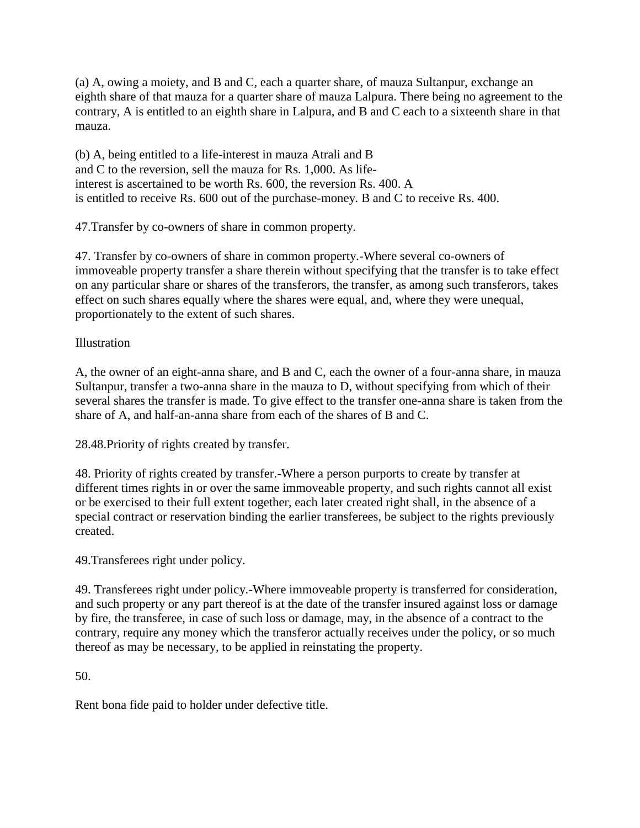(a) A, owing a moiety, and B and C, each a quarter share, of mauza Sultanpur, exchange an eighth share of that mauza for a quarter share of mauza Lalpura. There being no agreement to the contrary, A is entitled to an eighth share in Lalpura, and B and C each to a sixteenth share in that mauza.

(b) A, being entitled to a life-interest in mauza Atrali and B and C to the reversion, sell the mauza for Rs. 1,000. As lifeinterest is ascertained to be worth Rs. 600, the reversion Rs. 400. A is entitled to receive Rs. 600 out of the purchase-money. B and C to receive Rs. 400.

47.Transfer by co-owners of share in common property.

47. Transfer by co-owners of share in common property.-Where several co-owners of immoveable property transfer a share therein without specifying that the transfer is to take effect on any particular share or shares of the transferors, the transfer, as among such transferors, takes effect on such shares equally where the shares were equal, and, where they were unequal, proportionately to the extent of such shares.

## Illustration

A, the owner of an eight-anna share, and B and C, each the owner of a four-anna share, in mauza Sultanpur, transfer a two-anna share in the mauza to D, without specifying from which of their several shares the transfer is made. To give effect to the transfer one-anna share is taken from the share of A, and half-an-anna share from each of the shares of B and C.

28.48.Priority of rights created by transfer.

48. Priority of rights created by transfer.-Where a person purports to create by transfer at different times rights in or over the same immoveable property, and such rights cannot all exist or be exercised to their full extent together, each later created right shall, in the absence of a special contract or reservation binding the earlier transferees, be subject to the rights previously created.

49.Transferees right under policy.

49. Transferees right under policy.-Where immoveable property is transferred for consideration, and such property or any part thereof is at the date of the transfer insured against loss or damage by fire, the transferee, in case of such loss or damage, may, in the absence of a contract to the contrary, require any money which the transferor actually receives under the policy, or so much thereof as may be necessary, to be applied in reinstating the property.

50.

Rent bona fide paid to holder under defective title.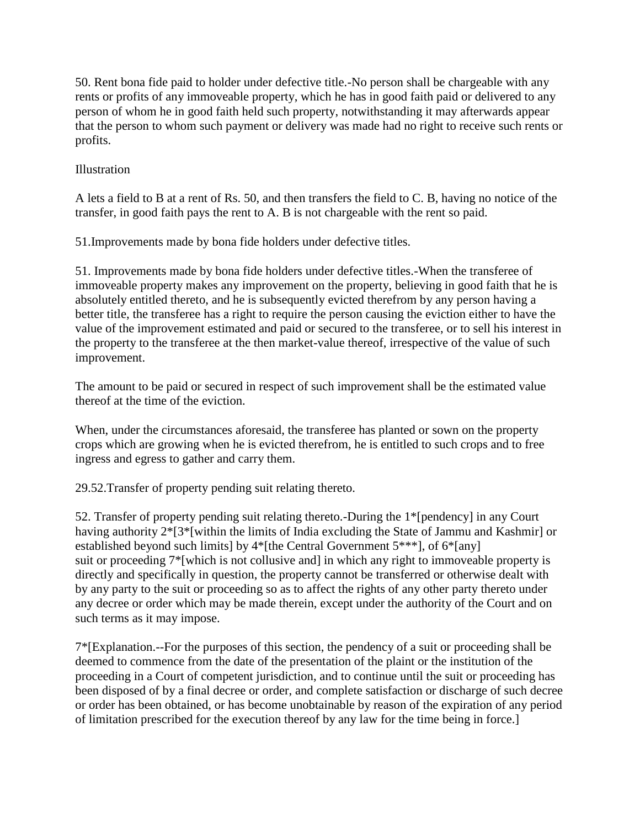50. Rent bona fide paid to holder under defective title.-No person shall be chargeable with any rents or profits of any immoveable property, which he has in good faith paid or delivered to any person of whom he in good faith held such property, notwithstanding it may afterwards appear that the person to whom such payment or delivery was made had no right to receive such rents or profits.

## Illustration

A lets a field to B at a rent of Rs. 50, and then transfers the field to C. B, having no notice of the transfer, in good faith pays the rent to A. B is not chargeable with the rent so paid.

51.Improvements made by bona fide holders under defective titles.

51. Improvements made by bona fide holders under defective titles.-When the transferee of immoveable property makes any improvement on the property, believing in good faith that he is absolutely entitled thereto, and he is subsequently evicted therefrom by any person having a better title, the transferee has a right to require the person causing the eviction either to have the value of the improvement estimated and paid or secured to the transferee, or to sell his interest in the property to the transferee at the then market-value thereof, irrespective of the value of such improvement.

The amount to be paid or secured in respect of such improvement shall be the estimated value thereof at the time of the eviction.

When, under the circumstances aforesaid, the transferee has planted or sown on the property crops which are growing when he is evicted therefrom, he is entitled to such crops and to free ingress and egress to gather and carry them.

29.52.Transfer of property pending suit relating thereto.

52. Transfer of property pending suit relating thereto.-During the 1\*[pendency] in any Court having authority  $2^*[3^*]$  within the limits of India excluding the State of Jammu and Kashmir] or established beyond such limits] by 4\*[the Central Government 5\*\*\*], of 6\*[any] suit or proceeding 7\*[which is not collusive and] in which any right to immoveable property is directly and specifically in question, the property cannot be transferred or otherwise dealt with by any party to the suit or proceeding so as to affect the rights of any other party thereto under any decree or order which may be made therein, except under the authority of the Court and on such terms as it may impose.

7\*[Explanation.--For the purposes of this section, the pendency of a suit or proceeding shall be deemed to commence from the date of the presentation of the plaint or the institution of the proceeding in a Court of competent jurisdiction, and to continue until the suit or proceeding has been disposed of by a final decree or order, and complete satisfaction or discharge of such decree or order has been obtained, or has become unobtainable by reason of the expiration of any period of limitation prescribed for the execution thereof by any law for the time being in force.]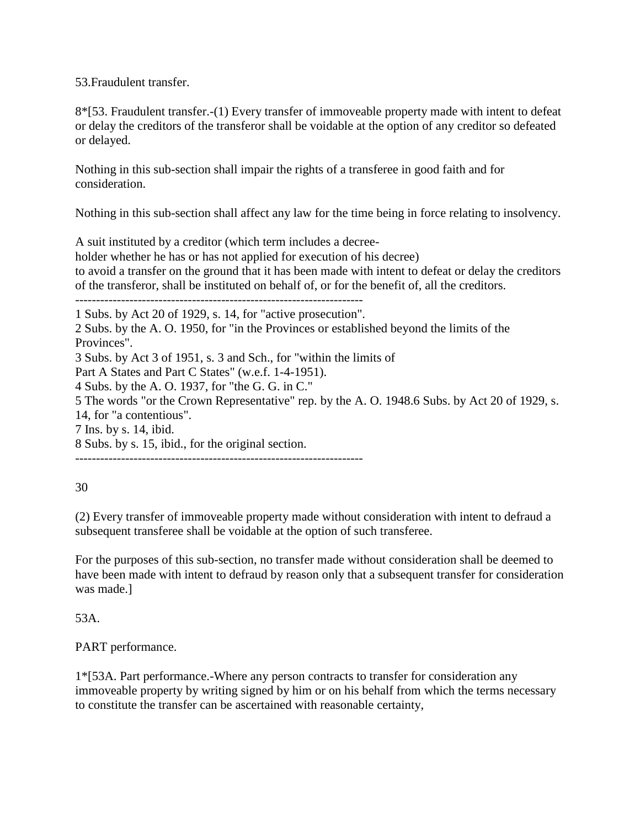53.Fraudulent transfer.

8\*[53. Fraudulent transfer.-(1) Every transfer of immoveable property made with intent to defeat or delay the creditors of the transferor shall be voidable at the option of any creditor so defeated or delayed.

Nothing in this sub-section shall impair the rights of a transferee in good faith and for consideration.

Nothing in this sub-section shall affect any law for the time being in force relating to insolvency.

A suit instituted by a creditor (which term includes a decreeholder whether he has or has not applied for execution of his decree) to avoid a transfer on the ground that it has been made with intent to defeat or delay the creditors of the transferor, shall be instituted on behalf of, or for the benefit of, all the creditors.

1 Subs. by Act 20 of 1929, s. 14, for "active prosecution".

2 Subs. by the A. O. 1950, for "in the Provinces or established beyond the limits of the Provinces".

3 Subs. by Act 3 of 1951, s. 3 and Sch., for "within the limits of

Part A States and Part C States" (w.e.f. 1-4-1951).

4 Subs. by the A. O. 1937, for "the G. G. in C."

5 The words "or the Crown Representative" rep. by the A. O. 1948.6 Subs. by Act 20 of 1929, s. 14, for "a contentious".

7 Ins. by s. 14, ibid.

8 Subs. by s. 15, ibid., for the original section.

---------------------------------------------------------------------

30

(2) Every transfer of immoveable property made without consideration with intent to defraud a subsequent transferee shall be voidable at the option of such transferee.

For the purposes of this sub-section, no transfer made without consideration shall be deemed to have been made with intent to defraud by reason only that a subsequent transfer for consideration was made.]

53A.

PART performance.

1\*[53A. Part performance.-Where any person contracts to transfer for consideration any immoveable property by writing signed by him or on his behalf from which the terms necessary to constitute the transfer can be ascertained with reasonable certainty,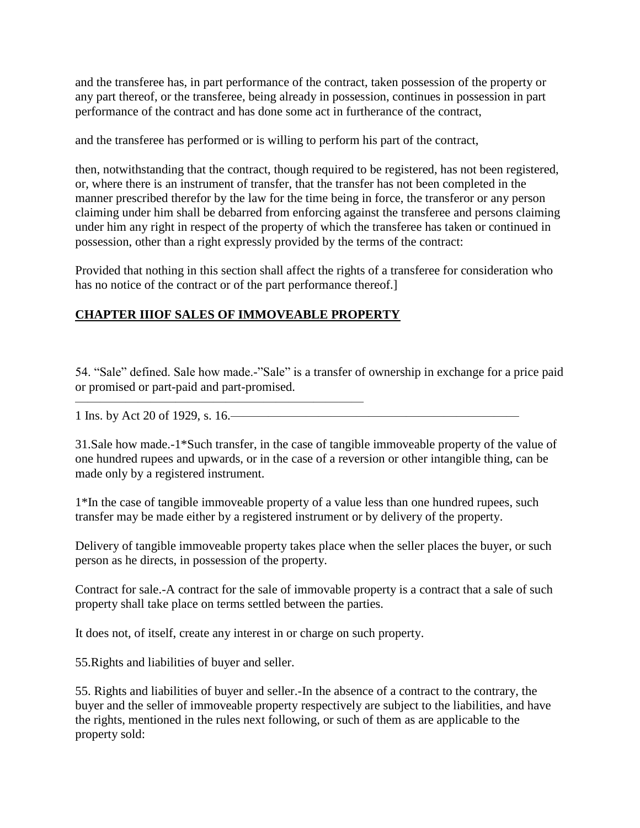and the transferee has, in part performance of the contract, taken possession of the property or any part thereof, or the transferee, being already in possession, continues in possession in part performance of the contract and has done some act in furtherance of the contract,

and the transferee has performed or is willing to perform his part of the contract,

then, notwithstanding that the contract, though required to be registered, has not been registered, or, where there is an instrument of transfer, that the transfer has not been completed in the manner prescribed therefor by the law for the time being in force, the transferor or any person claiming under him shall be debarred from enforcing against the transferee and persons claiming under him any right in respect of the property of which the transferee has taken or continued in possession, other than a right expressly provided by the terms of the contract:

Provided that nothing in this section shall affect the rights of a transferee for consideration who has no notice of the contract or of the part performance thereof.

## **CHAPTER IIIOF SALES OF IMMOVEABLE PROPERTY**

54. "Sale" defined. Sale how made.-"Sale" is a transfer of ownership in exchange for a price paid or promised or part-paid and part-promised.

——————————————————————— 1 Ins. by Act 20 of 1929, s. 16.———————————————————————

31.Sale how made.-1\*Such transfer, in the case of tangible immoveable property of the value of one hundred rupees and upwards, or in the case of a reversion or other intangible thing, can be made only by a registered instrument.

1\*In the case of tangible immoveable property of a value less than one hundred rupees, such transfer may be made either by a registered instrument or by delivery of the property.

Delivery of tangible immoveable property takes place when the seller places the buyer, or such person as he directs, in possession of the property.

Contract for sale.-A contract for the sale of immovable property is a contract that a sale of such property shall take place on terms settled between the parties.

It does not, of itself, create any interest in or charge on such property.

55.Rights and liabilities of buyer and seller.

55. Rights and liabilities of buyer and seller.-In the absence of a contract to the contrary, the buyer and the seller of immoveable property respectively are subject to the liabilities, and have the rights, mentioned in the rules next following, or such of them as are applicable to the property sold: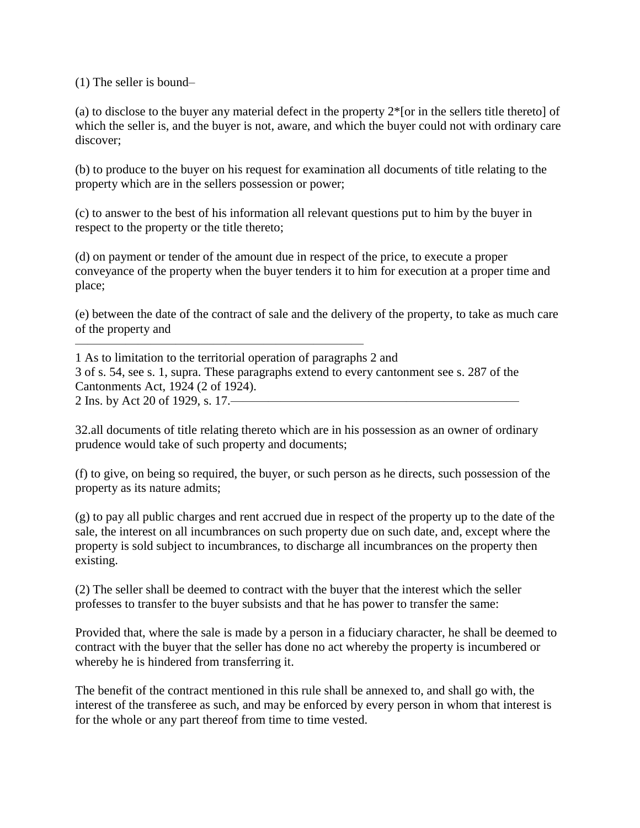(1) The seller is bound–

(a) to disclose to the buyer any material defect in the property  $2^*$  [or in the sellers title thereto] of which the seller is, and the buyer is not, aware, and which the buyer could not with ordinary care discover;

(b) to produce to the buyer on his request for examination all documents of title relating to the property which are in the sellers possession or power;

(c) to answer to the best of his information all relevant questions put to him by the buyer in respect to the property or the title thereto;

(d) on payment or tender of the amount due in respect of the price, to execute a proper conveyance of the property when the buyer tenders it to him for execution at a proper time and place;

(e) between the date of the contract of sale and the delivery of the property, to take as much care of the property and

——————————————————————— 1 As to limitation to the territorial operation of paragraphs 2 and 3 of s. 54, see s. 1, supra. These paragraphs extend to every cantonment see s. 287 of the Cantonments Act, 1924 (2 of 1924). 2 Ins. by Act 20 of 1929, s. 17.

32.all documents of title relating thereto which are in his possession as an owner of ordinary prudence would take of such property and documents;

(f) to give, on being so required, the buyer, or such person as he directs, such possession of the property as its nature admits;

(g) to pay all public charges and rent accrued due in respect of the property up to the date of the sale, the interest on all incumbrances on such property due on such date, and, except where the property is sold subject to incumbrances, to discharge all incumbrances on the property then existing.

(2) The seller shall be deemed to contract with the buyer that the interest which the seller professes to transfer to the buyer subsists and that he has power to transfer the same:

Provided that, where the sale is made by a person in a fiduciary character, he shall be deemed to contract with the buyer that the seller has done no act whereby the property is incumbered or whereby he is hindered from transferring it.

The benefit of the contract mentioned in this rule shall be annexed to, and shall go with, the interest of the transferee as such, and may be enforced by every person in whom that interest is for the whole or any part thereof from time to time vested.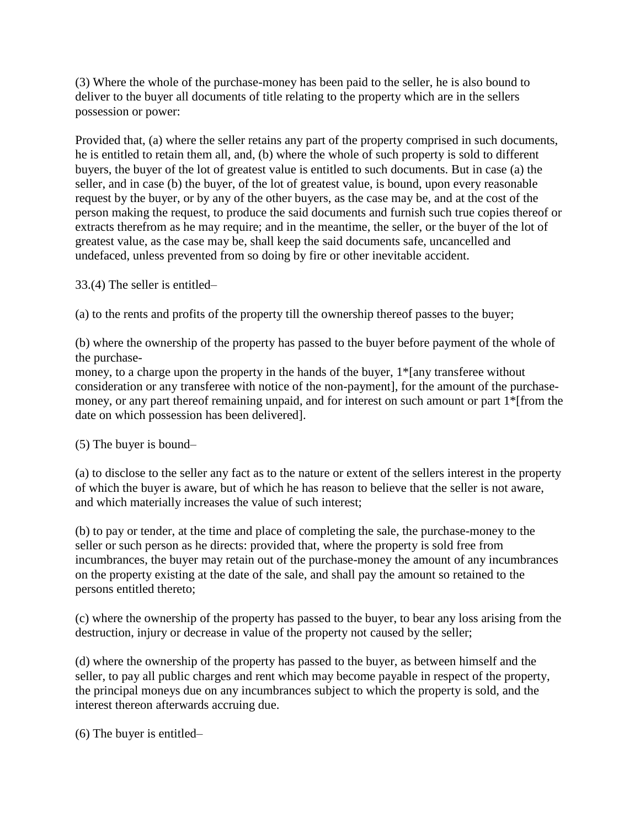(3) Where the whole of the purchase-money has been paid to the seller, he is also bound to deliver to the buyer all documents of title relating to the property which are in the sellers possession or power:

Provided that, (a) where the seller retains any part of the property comprised in such documents, he is entitled to retain them all, and, (b) where the whole of such property is sold to different buyers, the buyer of the lot of greatest value is entitled to such documents. But in case (a) the seller, and in case (b) the buyer, of the lot of greatest value, is bound, upon every reasonable request by the buyer, or by any of the other buyers, as the case may be, and at the cost of the person making the request, to produce the said documents and furnish such true copies thereof or extracts therefrom as he may require; and in the meantime, the seller, or the buyer of the lot of greatest value, as the case may be, shall keep the said documents safe, uncancelled and undefaced, unless prevented from so doing by fire or other inevitable accident.

33.(4) The seller is entitled–

(a) to the rents and profits of the property till the ownership thereof passes to the buyer;

(b) where the ownership of the property has passed to the buyer before payment of the whole of the purchase-

money, to a charge upon the property in the hands of the buyer, 1\*[any transferee without consideration or any transferee with notice of the non-payment], for the amount of the purchasemoney, or any part thereof remaining unpaid, and for interest on such amount or part 1\*[from the date on which possession has been delivered].

(5) The buyer is bound–

(a) to disclose to the seller any fact as to the nature or extent of the sellers interest in the property of which the buyer is aware, but of which he has reason to believe that the seller is not aware, and which materially increases the value of such interest;

(b) to pay or tender, at the time and place of completing the sale, the purchase-money to the seller or such person as he directs: provided that, where the property is sold free from incumbrances, the buyer may retain out of the purchase-money the amount of any incumbrances on the property existing at the date of the sale, and shall pay the amount so retained to the persons entitled thereto;

(c) where the ownership of the property has passed to the buyer, to bear any loss arising from the destruction, injury or decrease in value of the property not caused by the seller;

(d) where the ownership of the property has passed to the buyer, as between himself and the seller, to pay all public charges and rent which may become payable in respect of the property, the principal moneys due on any incumbrances subject to which the property is sold, and the interest thereon afterwards accruing due.

(6) The buyer is entitled–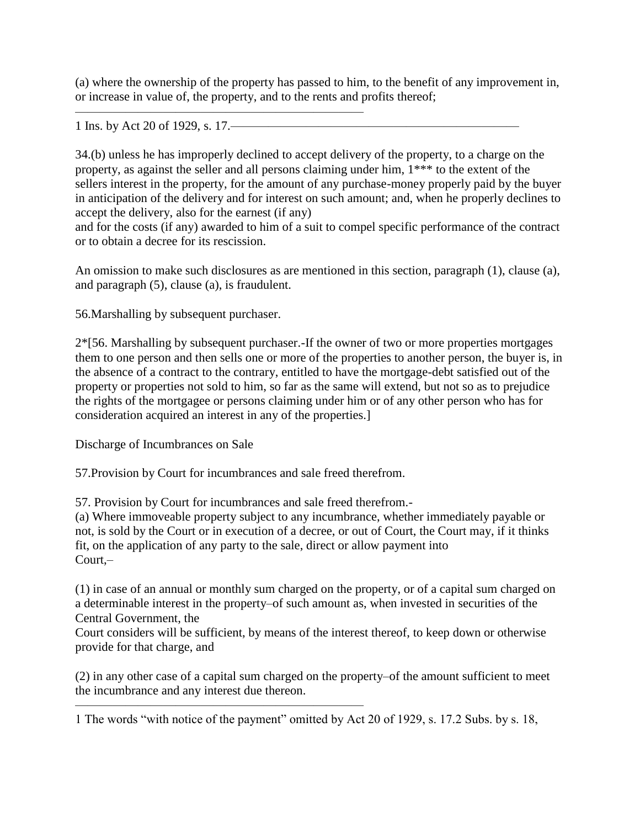(a) where the ownership of the property has passed to him, to the benefit of any improvement in, or increase in value of, the property, and to the rents and profits thereof;

1 Ins. by Act 20 of 1929, s. 17.———————————————————————

———————————————————————

34.(b) unless he has improperly declined to accept delivery of the property, to a charge on the property, as against the seller and all persons claiming under him, 1\*\*\* to the extent of the sellers interest in the property, for the amount of any purchase-money properly paid by the buyer in anticipation of the delivery and for interest on such amount; and, when he properly declines to accept the delivery, also for the earnest (if any)

and for the costs (if any) awarded to him of a suit to compel specific performance of the contract or to obtain a decree for its rescission.

An omission to make such disclosures as are mentioned in this section, paragraph (1), clause (a), and paragraph (5), clause (a), is fraudulent.

56.Marshalling by subsequent purchaser.

2\*[56. Marshalling by subsequent purchaser.-If the owner of two or more properties mortgages them to one person and then sells one or more of the properties to another person, the buyer is, in the absence of a contract to the contrary, entitled to have the mortgage-debt satisfied out of the property or properties not sold to him, so far as the same will extend, but not so as to prejudice the rights of the mortgagee or persons claiming under him or of any other person who has for consideration acquired an interest in any of the properties.]

Discharge of Incumbrances on Sale

57.Provision by Court for incumbrances and sale freed therefrom.

57. Provision by Court for incumbrances and sale freed therefrom.-

———————————————————————

(a) Where immoveable property subject to any incumbrance, whether immediately payable or not, is sold by the Court or in execution of a decree, or out of Court, the Court may, if it thinks fit, on the application of any party to the sale, direct or allow payment into Court,–

(1) in case of an annual or monthly sum charged on the property, or of a capital sum charged on a determinable interest in the property–of such amount as, when invested in securities of the Central Government, the

Court considers will be sufficient, by means of the interest thereof, to keep down or otherwise provide for that charge, and

(2) in any other case of a capital sum charged on the property–of the amount sufficient to meet the incumbrance and any interest due thereon.

1 The words "with notice of the payment" omitted by Act 20 of 1929, s. 17.2 Subs. by s. 18,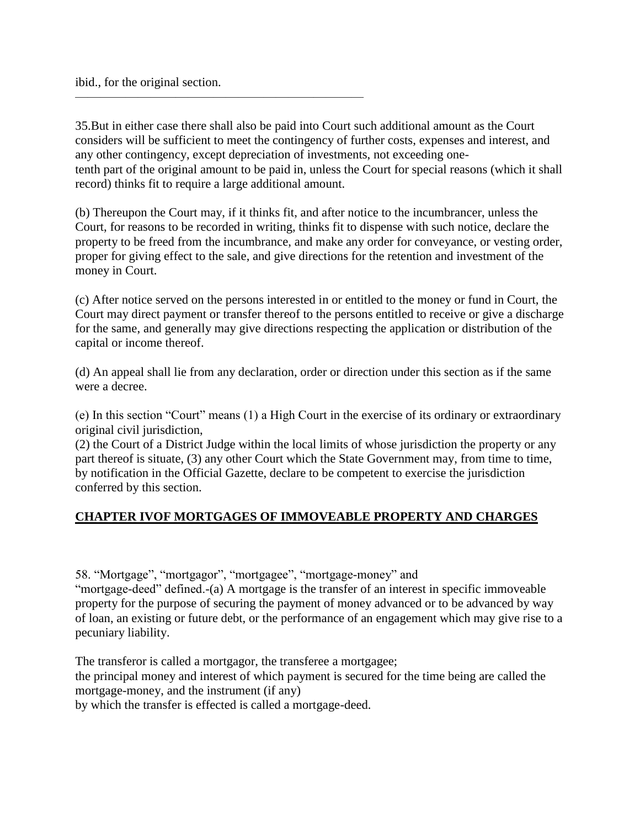———————————————————————

35.But in either case there shall also be paid into Court such additional amount as the Court considers will be sufficient to meet the contingency of further costs, expenses and interest, and any other contingency, except depreciation of investments, not exceeding onetenth part of the original amount to be paid in, unless the Court for special reasons (which it shall record) thinks fit to require a large additional amount.

(b) Thereupon the Court may, if it thinks fit, and after notice to the incumbrancer, unless the Court, for reasons to be recorded in writing, thinks fit to dispense with such notice, declare the property to be freed from the incumbrance, and make any order for conveyance, or vesting order, proper for giving effect to the sale, and give directions for the retention and investment of the money in Court.

(c) After notice served on the persons interested in or entitled to the money or fund in Court, the Court may direct payment or transfer thereof to the persons entitled to receive or give a discharge for the same, and generally may give directions respecting the application or distribution of the capital or income thereof.

(d) An appeal shall lie from any declaration, order or direction under this section as if the same were a decree.

(e) In this section "Court" means (1) a High Court in the exercise of its ordinary or extraordinary original civil jurisdiction,

(2) the Court of a District Judge within the local limits of whose jurisdiction the property or any part thereof is situate, (3) any other Court which the State Government may, from time to time, by notification in the Official Gazette, declare to be competent to exercise the jurisdiction conferred by this section.

## **CHAPTER IVOF MORTGAGES OF IMMOVEABLE PROPERTY AND CHARGES**

58. "Mortgage", "mortgagor", "mortgagee", "mortgage-money" and

"mortgage-deed" defined.-(a) A mortgage is the transfer of an interest in specific immoveable property for the purpose of securing the payment of money advanced or to be advanced by way of loan, an existing or future debt, or the performance of an engagement which may give rise to a pecuniary liability.

The transferor is called a mortgagor, the transferee a mortgagee;

the principal money and interest of which payment is secured for the time being are called the mortgage-money, and the instrument (if any)

by which the transfer is effected is called a mortgage-deed.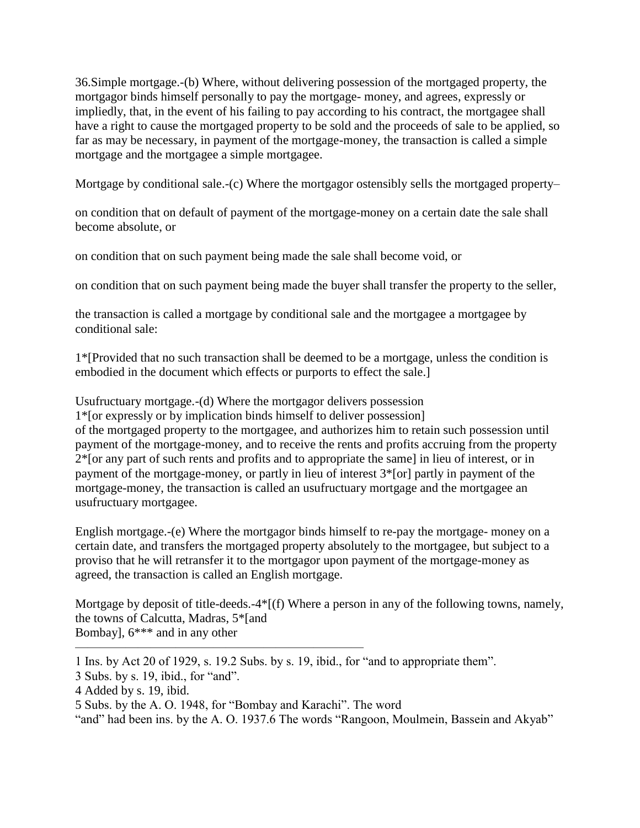36.Simple mortgage.-(b) Where, without delivering possession of the mortgaged property, the mortgagor binds himself personally to pay the mortgage- money, and agrees, expressly or impliedly, that, in the event of his failing to pay according to his contract, the mortgagee shall have a right to cause the mortgaged property to be sold and the proceeds of sale to be applied, so far as may be necessary, in payment of the mortgage-money, the transaction is called a simple mortgage and the mortgagee a simple mortgagee.

Mortgage by conditional sale.-(c) Where the mortgagor ostensibly sells the mortgaged property–

on condition that on default of payment of the mortgage-money on a certain date the sale shall become absolute, or

on condition that on such payment being made the sale shall become void, or

on condition that on such payment being made the buyer shall transfer the property to the seller,

the transaction is called a mortgage by conditional sale and the mortgagee a mortgagee by conditional sale:

1\*[Provided that no such transaction shall be deemed to be a mortgage, unless the condition is embodied in the document which effects or purports to effect the sale.]

Usufructuary mortgage.-(d) Where the mortgagor delivers possession 1\*[or expressly or by implication binds himself to deliver possession] of the mortgaged property to the mortgagee, and authorizes him to retain such possession until payment of the mortgage-money, and to receive the rents and profits accruing from the property 2\*[or any part of such rents and profits and to appropriate the same] in lieu of interest, or in payment of the mortgage-money, or partly in lieu of interest 3\*[or] partly in payment of the mortgage-money, the transaction is called an usufructuary mortgage and the mortgagee an usufructuary mortgagee.

English mortgage.-(e) Where the mortgagor binds himself to re-pay the mortgage- money on a certain date, and transfers the mortgaged property absolutely to the mortgagee, but subject to a proviso that he will retransfer it to the mortgagor upon payment of the mortgage-money as agreed, the transaction is called an English mortgage.

Mortgage by deposit of title-deeds.-4\*[(f) Where a person in any of the following towns, namely, the towns of Calcutta, Madras, 5\*[and Bombay], 6\*\*\* and in any other

———————————————————————

<sup>1</sup> Ins. by Act 20 of 1929, s. 19.2 Subs. by s. 19, ibid., for "and to appropriate them".

<sup>3</sup> Subs. by s. 19, ibid., for "and".

<sup>4</sup> Added by s. 19, ibid.

<sup>5</sup> Subs. by the A. O. 1948, for "Bombay and Karachi". The word

<sup>&</sup>quot;and" had been ins. by the A. O. 1937.6 The words "Rangoon, Moulmein, Bassein and Akyab"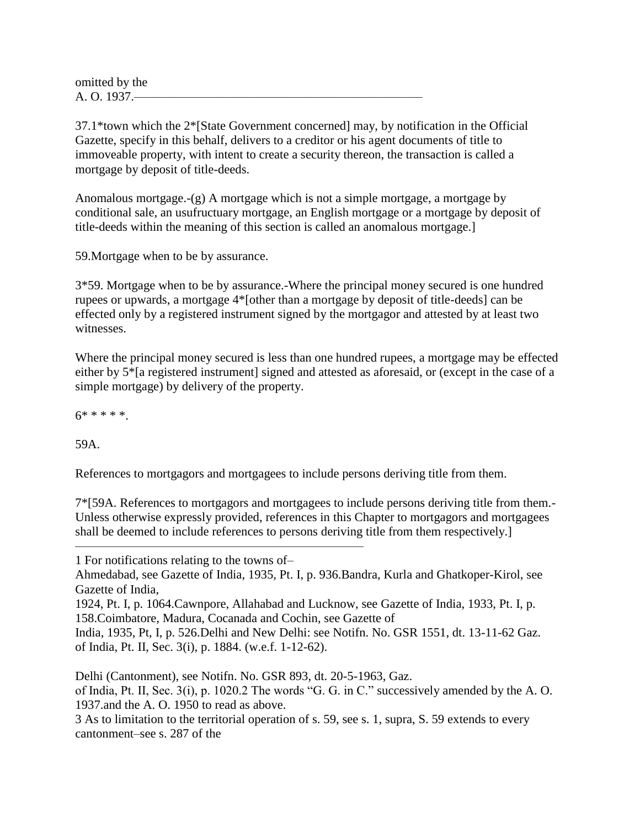omitted by the A. O. 1937.-

37.1\*town which the 2\*[State Government concerned] may, by notification in the Official Gazette, specify in this behalf, delivers to a creditor or his agent documents of title to immoveable property, with intent to create a security thereon, the transaction is called a mortgage by deposit of title-deeds.

Anomalous mortgage.-(g) A mortgage which is not a simple mortgage, a mortgage by conditional sale, an usufructuary mortgage, an English mortgage or a mortgage by deposit of title-deeds within the meaning of this section is called an anomalous mortgage.]

59.Mortgage when to be by assurance.

3\*59. Mortgage when to be by assurance.-Where the principal money secured is one hundred rupees or upwards, a mortgage 4\*[other than a mortgage by deposit of title-deeds] can be effected only by a registered instrument signed by the mortgagor and attested by at least two witnesses.

Where the principal money secured is less than one hundred rupees, a mortgage may be effected either by 5\*[a registered instrument] signed and attested as aforesaid, or (except in the case of a simple mortgage) by delivery of the property.

 $6*****$ 

59A.

References to mortgagors and mortgagees to include persons deriving title from them.

7\*[59A. References to mortgagors and mortgagees to include persons deriving title from them.- Unless otherwise expressly provided, references in this Chapter to mortgagors and mortgagees shall be deemed to include references to persons deriving title from them respectively.]

1 For notifications relating to the towns of–

———————————————————————

1924, Pt. I, p. 1064.Cawnpore, Allahabad and Lucknow, see Gazette of India, 1933, Pt. I, p. 158.Coimbatore, Madura, Cocanada and Cochin, see Gazette of

India, 1935, Pt, I, p. 526.Delhi and New Delhi: see Notifn. No. GSR 1551, dt. 13-11-62 Gaz. of India, Pt. II, Sec. 3(i), p. 1884. (w.e.f. 1-12-62).

Delhi (Cantonment), see Notifn. No. GSR 893, dt. 20-5-1963, Gaz.

of India, Pt. II, Sec. 3(i), p. 1020.2 The words "G. G. in C." successively amended by the A. O. 1937.and the A. O. 1950 to read as above.

3 As to limitation to the territorial operation of s. 59, see s. 1, supra, S. 59 extends to every cantonment–see s. 287 of the

Ahmedabad, see Gazette of India, 1935, Pt. I, p. 936.Bandra, Kurla and Ghatkoper-Kirol, see Gazette of India,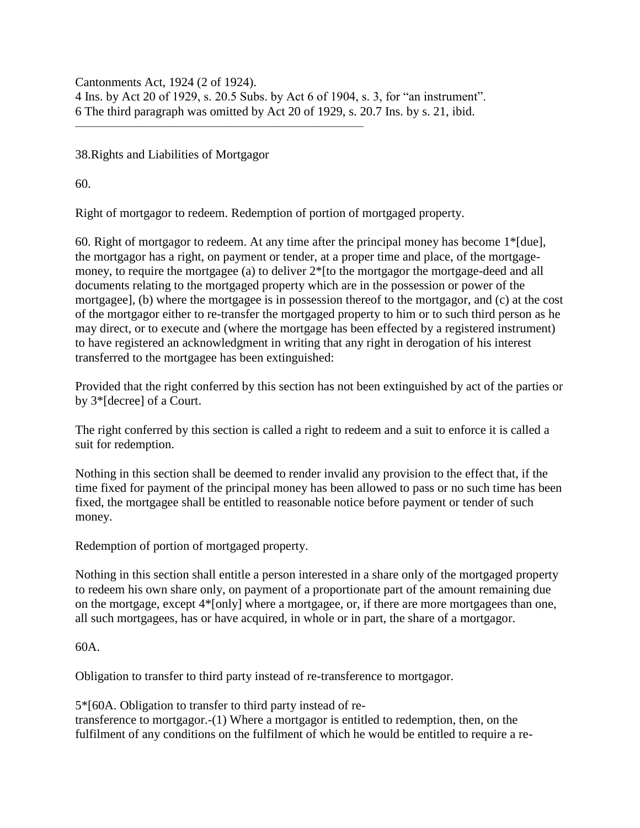Cantonments Act, 1924 (2 of 1924). 4 Ins. by Act 20 of 1929, s. 20.5 Subs. by Act 6 of 1904, s. 3, for "an instrument". 6 The third paragraph was omitted by Act 20 of 1929, s. 20.7 Ins. by s. 21, ibid.

38.Rights and Liabilities of Mortgagor

———————————————————————

60.

Right of mortgagor to redeem. Redemption of portion of mortgaged property.

60. Right of mortgagor to redeem. At any time after the principal money has become  $1^*$ [due], the mortgagor has a right, on payment or tender, at a proper time and place, of the mortgagemoney, to require the mortgagee (a) to deliver  $2^*$  [to the mortgagor the mortgage-deed and all documents relating to the mortgaged property which are in the possession or power of the mortgagee], (b) where the mortgagee is in possession thereof to the mortgagor, and (c) at the cost of the mortgagor either to re-transfer the mortgaged property to him or to such third person as he may direct, or to execute and (where the mortgage has been effected by a registered instrument) to have registered an acknowledgment in writing that any right in derogation of his interest transferred to the mortgagee has been extinguished:

Provided that the right conferred by this section has not been extinguished by act of the parties or by 3\*[decree] of a Court.

The right conferred by this section is called a right to redeem and a suit to enforce it is called a suit for redemption.

Nothing in this section shall be deemed to render invalid any provision to the effect that, if the time fixed for payment of the principal money has been allowed to pass or no such time has been fixed, the mortgagee shall be entitled to reasonable notice before payment or tender of such money.

Redemption of portion of mortgaged property.

Nothing in this section shall entitle a person interested in a share only of the mortgaged property to redeem his own share only, on payment of a proportionate part of the amount remaining due on the mortgage, except 4\*[only] where a mortgagee, or, if there are more mortgagees than one, all such mortgagees, has or have acquired, in whole or in part, the share of a mortgagor.

60A.

Obligation to transfer to third party instead of re-transference to mortgagor.

5\*[60A. Obligation to transfer to third party instead of re-

transference to mortgagor.-(1) Where a mortgagor is entitled to redemption, then, on the fulfilment of any conditions on the fulfilment of which he would be entitled to require a re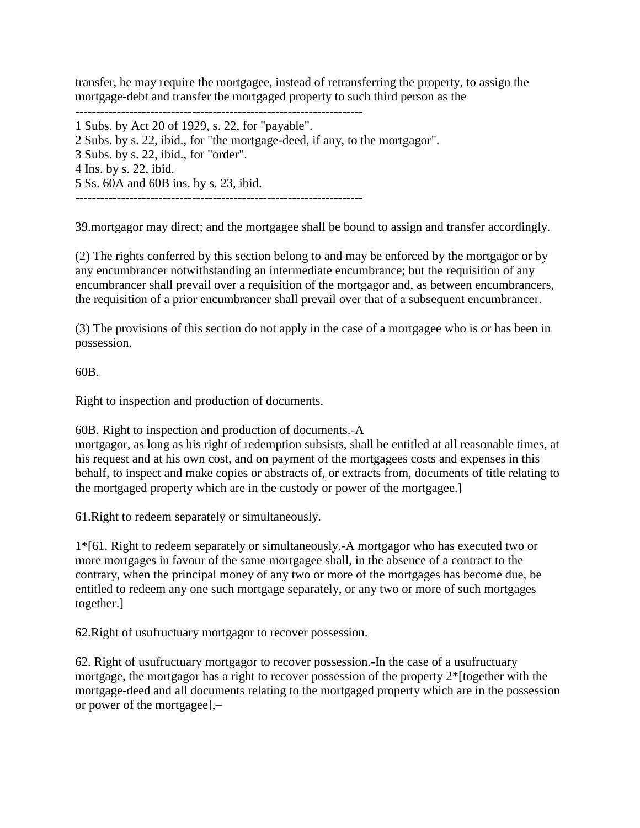transfer, he may require the mortgagee, instead of retransferring the property, to assign the mortgage-debt and transfer the mortgaged property to such third person as the

---------------------------------------------------------------------

1 Subs. by Act 20 of 1929, s. 22, for "payable". 2 Subs. by s. 22, ibid., for "the mortgage-deed, if any, to the mortgagor". 3 Subs. by s. 22, ibid., for "order". 4 Ins. by s. 22, ibid. 5 Ss. 60A and 60B ins. by s. 23, ibid. ---------------------------------------------------------------------

39.mortgagor may direct; and the mortgagee shall be bound to assign and transfer accordingly.

(2) The rights conferred by this section belong to and may be enforced by the mortgagor or by any encumbrancer notwithstanding an intermediate encumbrance; but the requisition of any encumbrancer shall prevail over a requisition of the mortgagor and, as between encumbrancers, the requisition of a prior encumbrancer shall prevail over that of a subsequent encumbrancer.

(3) The provisions of this section do not apply in the case of a mortgagee who is or has been in possession.

60B.

Right to inspection and production of documents.

60B. Right to inspection and production of documents.-A

mortgagor, as long as his right of redemption subsists, shall be entitled at all reasonable times, at his request and at his own cost, and on payment of the mortgagees costs and expenses in this behalf, to inspect and make copies or abstracts of, or extracts from, documents of title relating to the mortgaged property which are in the custody or power of the mortgagee.]

61.Right to redeem separately or simultaneously.

1\*[61. Right to redeem separately or simultaneously.-A mortgagor who has executed two or more mortgages in favour of the same mortgagee shall, in the absence of a contract to the contrary, when the principal money of any two or more of the mortgages has become due, be entitled to redeem any one such mortgage separately, or any two or more of such mortgages together.]

62.Right of usufructuary mortgagor to recover possession.

62. Right of usufructuary mortgagor to recover possession.-In the case of a usufructuary mortgage, the mortgagor has a right to recover possession of the property 2\*[together with the mortgage-deed and all documents relating to the mortgaged property which are in the possession or power of the mortgagee],–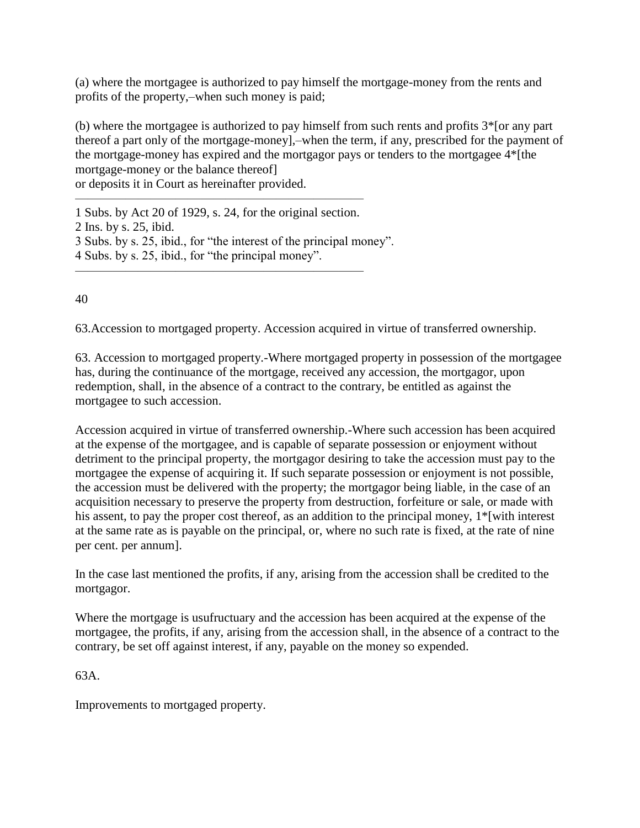(a) where the mortgagee is authorized to pay himself the mortgage-money from the rents and profits of the property,–when such money is paid;

(b) where the mortgagee is authorized to pay himself from such rents and profits  $3*$  [or any part thereof a part only of the mortgage-money],–when the term, if any, prescribed for the payment of the mortgage-money has expired and the mortgagor pays or tenders to the mortgagee 4\*[the mortgage-money or the balance thereof]

or deposits it in Court as hereinafter provided. ———————————————————————

1 Subs. by Act 20 of 1929, s. 24, for the original section.

———————————————————————

2 Ins. by s. 25, ibid.

3 Subs. by s. 25, ibid., for "the interest of the principal money".

40

63.Accession to mortgaged property. Accession acquired in virtue of transferred ownership.

63. Accession to mortgaged property.-Where mortgaged property in possession of the mortgagee has, during the continuance of the mortgage, received any accession, the mortgagor, upon redemption, shall, in the absence of a contract to the contrary, be entitled as against the mortgagee to such accession.

Accession acquired in virtue of transferred ownership.-Where such accession has been acquired at the expense of the mortgagee, and is capable of separate possession or enjoyment without detriment to the principal property, the mortgagor desiring to take the accession must pay to the mortgagee the expense of acquiring it. If such separate possession or enjoyment is not possible, the accession must be delivered with the property; the mortgagor being liable, in the case of an acquisition necessary to preserve the property from destruction, forfeiture or sale, or made with his assent, to pay the proper cost thereof, as an addition to the principal money, 1<sup>\*</sup>[with interest at the same rate as is payable on the principal, or, where no such rate is fixed, at the rate of nine per cent. per annum].

In the case last mentioned the profits, if any, arising from the accession shall be credited to the mortgagor.

Where the mortgage is usufructuary and the accession has been acquired at the expense of the mortgagee, the profits, if any, arising from the accession shall, in the absence of a contract to the contrary, be set off against interest, if any, payable on the money so expended.

63A.

Improvements to mortgaged property.

<sup>4</sup> Subs. by s. 25, ibid., for "the principal money".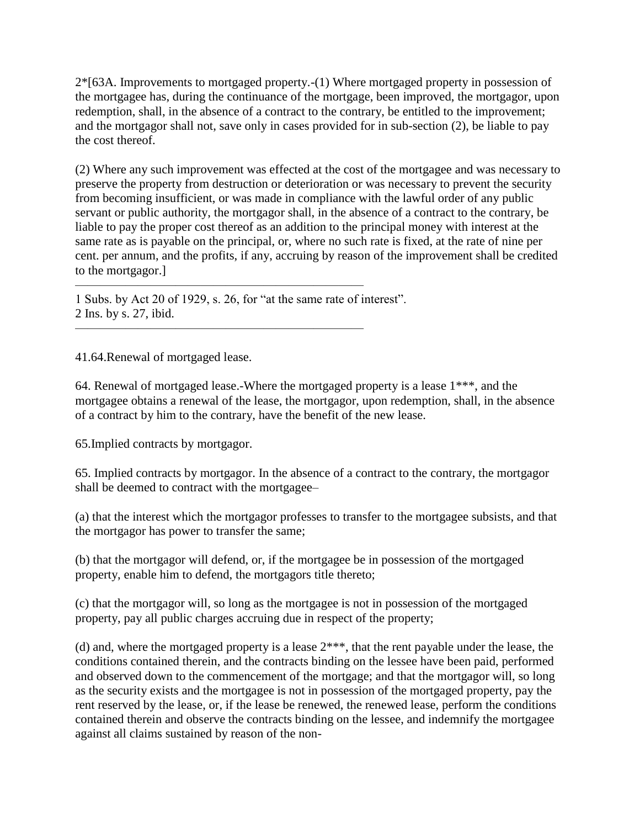2\*[63A. Improvements to mortgaged property.-(1) Where mortgaged property in possession of the mortgagee has, during the continuance of the mortgage, been improved, the mortgagor, upon redemption, shall, in the absence of a contract to the contrary, be entitled to the improvement; and the mortgagor shall not, save only in cases provided for in sub-section (2), be liable to pay the cost thereof.

(2) Where any such improvement was effected at the cost of the mortgagee and was necessary to preserve the property from destruction or deterioration or was necessary to prevent the security from becoming insufficient, or was made in compliance with the lawful order of any public servant or public authority, the mortgagor shall, in the absence of a contract to the contrary, be liable to pay the proper cost thereof as an addition to the principal money with interest at the same rate as is payable on the principal, or, where no such rate is fixed, at the rate of nine per cent. per annum, and the profits, if any, accruing by reason of the improvement shall be credited to the mortgagor.]

1 Subs. by Act 20 of 1929, s. 26, for "at the same rate of interest". 2 Ins. by s. 27, ibid.

———————————————————————

———————————————————————

41.64.Renewal of mortgaged lease.

64. Renewal of mortgaged lease.-Where the mortgaged property is a lease 1\*\*\*, and the mortgagee obtains a renewal of the lease, the mortgagor, upon redemption, shall, in the absence of a contract by him to the contrary, have the benefit of the new lease.

65.Implied contracts by mortgagor.

65. Implied contracts by mortgagor. In the absence of a contract to the contrary, the mortgagor shall be deemed to contract with the mortgagee–

(a) that the interest which the mortgagor professes to transfer to the mortgagee subsists, and that the mortgagor has power to transfer the same;

(b) that the mortgagor will defend, or, if the mortgagee be in possession of the mortgaged property, enable him to defend, the mortgagors title thereto;

(c) that the mortgagor will, so long as the mortgagee is not in possession of the mortgaged property, pay all public charges accruing due in respect of the property;

(d) and, where the mortgaged property is a lease 2\*\*\*, that the rent payable under the lease, the conditions contained therein, and the contracts binding on the lessee have been paid, performed and observed down to the commencement of the mortgage; and that the mortgagor will, so long as the security exists and the mortgagee is not in possession of the mortgaged property, pay the rent reserved by the lease, or, if the lease be renewed, the renewed lease, perform the conditions contained therein and observe the contracts binding on the lessee, and indemnify the mortgagee against all claims sustained by reason of the non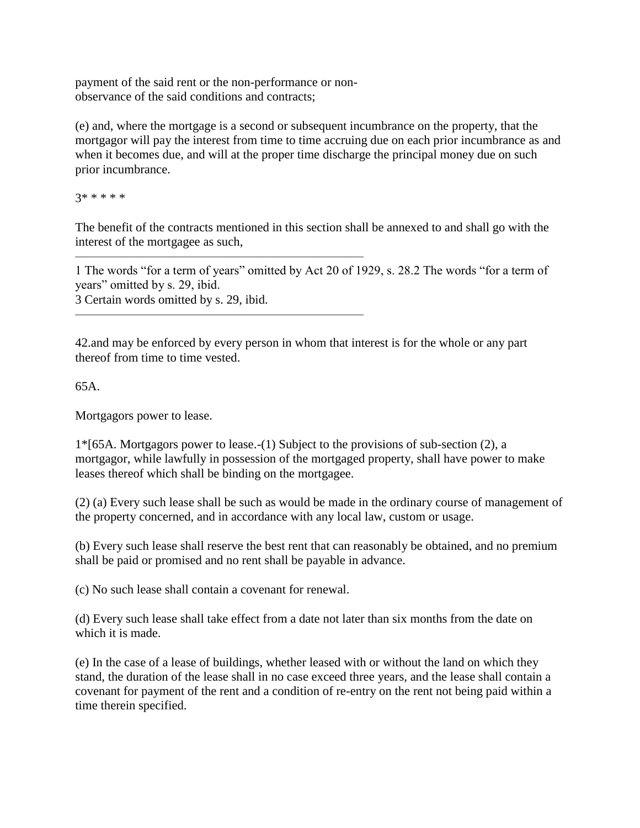payment of the said rent or the non-performance or nonobservance of the said conditions and contracts;

(e) and, where the mortgage is a second or subsequent incumbrance on the property, that the mortgagor will pay the interest from time to time accruing due on each prior incumbrance as and when it becomes due, and will at the proper time discharge the principal money due on such prior incumbrance.

3\* \* \* \* \*

The benefit of the contracts mentioned in this section shall be annexed to and shall go with the interest of the mortgagee as such,

——————————————————————— 1 The words "for a term of years" omitted by Act 20 of 1929, s. 28.2 The words "for a term of years" omitted by s. 29, ibid. 3 Certain words omitted by s. 29, ibid.

———————————————————————

42.and may be enforced by every person in whom that interest is for the whole or any part thereof from time to time vested.

65A.

Mortgagors power to lease.

1\*[65A. Mortgagors power to lease.-(1) Subject to the provisions of sub-section (2), a mortgagor, while lawfully in possession of the mortgaged property, shall have power to make leases thereof which shall be binding on the mortgagee.

(2) (a) Every such lease shall be such as would be made in the ordinary course of management of the property concerned, and in accordance with any local law, custom or usage.

(b) Every such lease shall reserve the best rent that can reasonably be obtained, and no premium shall be paid or promised and no rent shall be payable in advance.

(c) No such lease shall contain a covenant for renewal.

(d) Every such lease shall take effect from a date not later than six months from the date on which it is made.

(e) In the case of a lease of buildings, whether leased with or without the land on which they stand, the duration of the lease shall in no case exceed three years, and the lease shall contain a covenant for payment of the rent and a condition of re-entry on the rent not being paid within a time therein specified.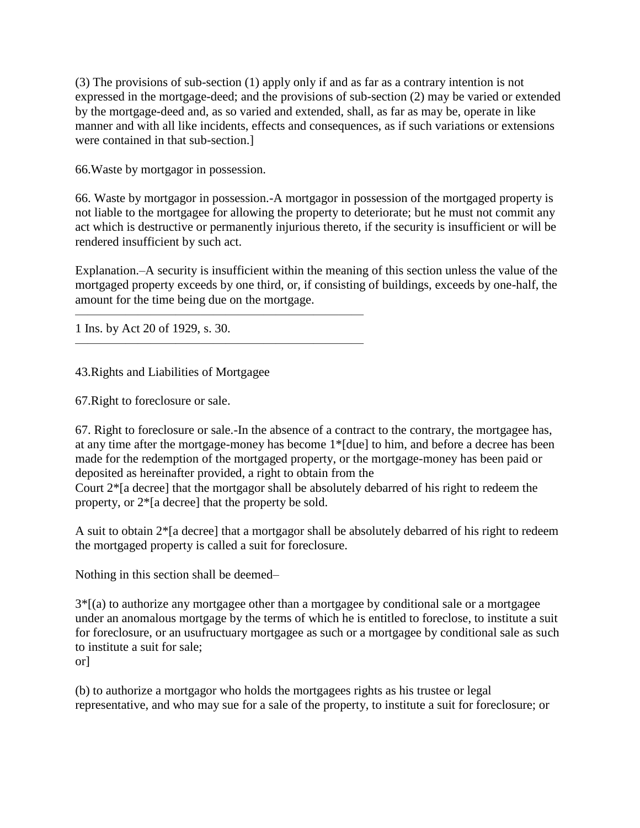(3) The provisions of sub-section (1) apply only if and as far as a contrary intention is not expressed in the mortgage-deed; and the provisions of sub-section (2) may be varied or extended by the mortgage-deed and, as so varied and extended, shall, as far as may be, operate in like manner and with all like incidents, effects and consequences, as if such variations or extensions were contained in that sub-section.]

66.Waste by mortgagor in possession.

66. Waste by mortgagor in possession.-A mortgagor in possession of the mortgaged property is not liable to the mortgagee for allowing the property to deteriorate; but he must not commit any act which is destructive or permanently injurious thereto, if the security is insufficient or will be rendered insufficient by such act.

Explanation.–A security is insufficient within the meaning of this section unless the value of the mortgaged property exceeds by one third, or, if consisting of buildings, exceeds by one-half, the amount for the time being due on the mortgage.

1 Ins. by Act 20 of 1929, s. 30.

43.Rights and Liabilities of Mortgagee

———————————————————————

———————————————————————

67.Right to foreclosure or sale.

67. Right to foreclosure or sale.-In the absence of a contract to the contrary, the mortgagee has, at any time after the mortgage-money has become 1\*[due] to him, and before a decree has been made for the redemption of the mortgaged property, or the mortgage-money has been paid or deposited as hereinafter provided, a right to obtain from the Court 2\*[a decree] that the mortgagor shall be absolutely debarred of his right to redeem the property, or 2\*[a decree] that the property be sold.

A suit to obtain 2\*[a decree] that a mortgagor shall be absolutely debarred of his right to redeem the mortgaged property is called a suit for foreclosure.

Nothing in this section shall be deemed–

3\*[(a) to authorize any mortgagee other than a mortgagee by conditional sale or a mortgagee under an anomalous mortgage by the terms of which he is entitled to foreclose, to institute a suit for foreclosure, or an usufructuary mortgagee as such or a mortgagee by conditional sale as such to institute a suit for sale;

or]

(b) to authorize a mortgagor who holds the mortgagees rights as his trustee or legal representative, and who may sue for a sale of the property, to institute a suit for foreclosure; or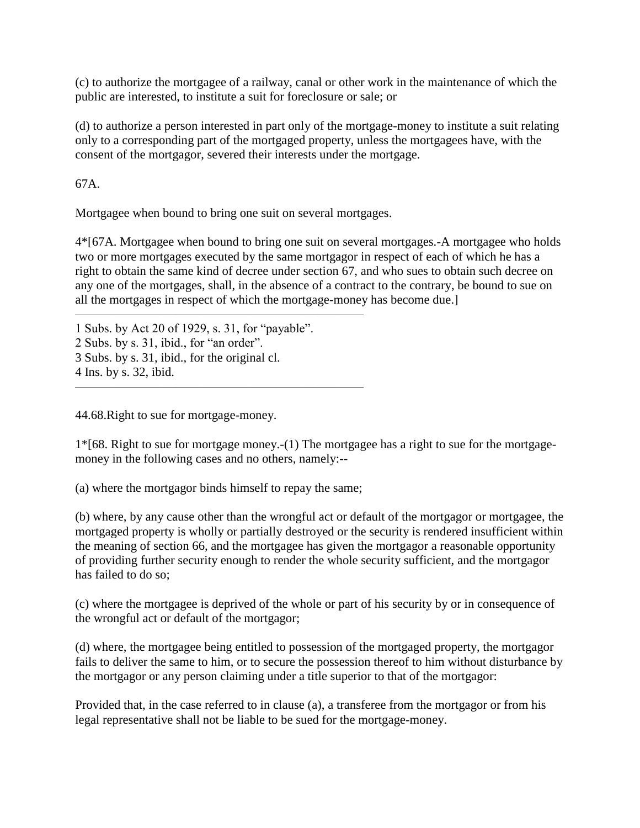(c) to authorize the mortgagee of a railway, canal or other work in the maintenance of which the public are interested, to institute a suit for foreclosure or sale; or

(d) to authorize a person interested in part only of the mortgage-money to institute a suit relating only to a corresponding part of the mortgaged property, unless the mortgagees have, with the consent of the mortgagor, severed their interests under the mortgage.

67A.

Mortgagee when bound to bring one suit on several mortgages.

4\*[67A. Mortgagee when bound to bring one suit on several mortgages.-A mortgagee who holds two or more mortgages executed by the same mortgagor in respect of each of which he has a right to obtain the same kind of decree under section 67, and who sues to obtain such decree on any one of the mortgages, shall, in the absence of a contract to the contrary, be bound to sue on all the mortgages in respect of which the mortgage-money has become due.]

——————————————————————— 1 Subs. by Act 20 of 1929, s. 31, for "payable". 2 Subs. by s. 31, ibid., for "an order". 3 Subs. by s. 31, ibid., for the original cl. 4 Ins. by s. 32, ibid. ———————————————————————

44.68.Right to sue for mortgage-money.

1\*[68. Right to sue for mortgage money.-(1) The mortgagee has a right to sue for the mortgagemoney in the following cases and no others, namely:--

(a) where the mortgagor binds himself to repay the same;

(b) where, by any cause other than the wrongful act or default of the mortgagor or mortgagee, the mortgaged property is wholly or partially destroyed or the security is rendered insufficient within the meaning of section 66, and the mortgagee has given the mortgagor a reasonable opportunity of providing further security enough to render the whole security sufficient, and the mortgagor has failed to do so;

(c) where the mortgagee is deprived of the whole or part of his security by or in consequence of the wrongful act or default of the mortgagor;

(d) where, the mortgagee being entitled to possession of the mortgaged property, the mortgagor fails to deliver the same to him, or to secure the possession thereof to him without disturbance by the mortgagor or any person claiming under a title superior to that of the mortgagor:

Provided that, in the case referred to in clause (a), a transferee from the mortgagor or from his legal representative shall not be liable to be sued for the mortgage-money.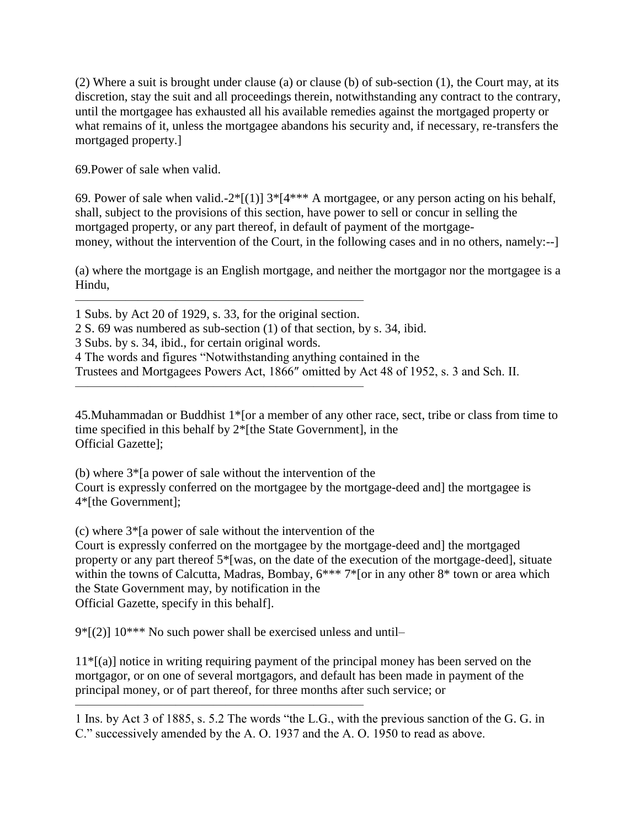(2) Where a suit is brought under clause (a) or clause (b) of sub-section (1), the Court may, at its discretion, stay the suit and all proceedings therein, notwithstanding any contract to the contrary, until the mortgagee has exhausted all his available remedies against the mortgaged property or what remains of it, unless the mortgagee abandons his security and, if necessary, re-transfers the mortgaged property.]

69.Power of sale when valid.

69. Power of sale when valid.-2\*[(1)]  $3*[4*** A$  mortgagee, or any person acting on his behalf, shall, subject to the provisions of this section, have power to sell or concur in selling the mortgaged property, or any part thereof, in default of payment of the mortgagemoney, without the intervention of the Court, in the following cases and in no others, namely:--]

(a) where the mortgage is an English mortgage, and neither the mortgagor nor the mortgagee is a Hindu,

——————————————————————— 1 Subs. by Act 20 of 1929, s. 33, for the original section.

———————————————————————

- 2 S. 69 was numbered as sub-section (1) of that section, by s. 34, ibid.
- 3 Subs. by s. 34, ibid., for certain original words.

4 The words and figures "Notwithstanding anything contained in the

Trustees and Mortgagees Powers Act, 1866″ omitted by Act 48 of 1952, s. 3 and Sch. II.

45.Muhammadan or Buddhist 1\*[or a member of any other race, sect, tribe or class from time to time specified in this behalf by 2\*[the State Government], in the Official Gazette];

(b) where 3\*[a power of sale without the intervention of the Court is expressly conferred on the mortgagee by the mortgage-deed and] the mortgagee is 4\*[the Government];

(c) where 3\*[a power of sale without the intervention of the

Court is expressly conferred on the mortgagee by the mortgage-deed and] the mortgaged property or any part thereof 5\*[was, on the date of the execution of the mortgage-deed], situate within the towns of Calcutta, Madras, Bombay,  $6***7*$  [or in any other  $8*$  town or area which the State Government may, by notification in the Official Gazette, specify in this behalf].

 $9*[2]$  10<sup>\*\*\*</sup> No such power shall be exercised unless and until-

———————————————————————

11\*[(a)] notice in writing requiring payment of the principal money has been served on the mortgagor, or on one of several mortgagors, and default has been made in payment of the principal money, or of part thereof, for three months after such service; or

1 Ins. by Act 3 of 1885, s. 5.2 The words "the L.G., with the previous sanction of the G. G. in C." successively amended by the A. O. 1937 and the A. O. 1950 to read as above.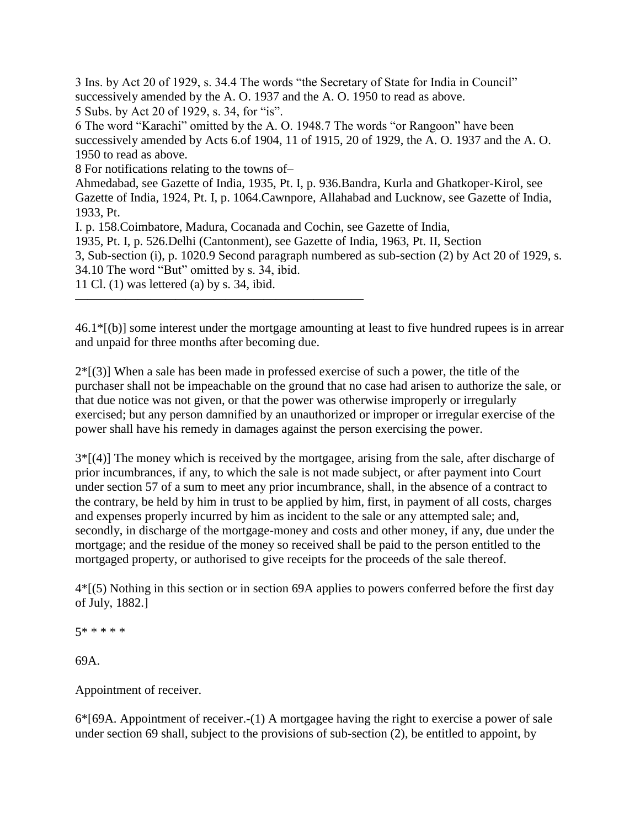3 Ins. by Act 20 of 1929, s. 34.4 The words "the Secretary of State for India in Council" successively amended by the A. O. 1937 and the A. O. 1950 to read as above. 5 Subs. by Act 20 of 1929, s. 34, for "is". 6 The word "Karachi" omitted by the A. O. 1948.7 The words "or Rangoon" have been successively amended by Acts 6.of 1904, 11 of 1915, 20 of 1929, the A. O. 1937 and the A. O. 1950 to read as above. 8 For notifications relating to the towns of– Ahmedabad, see Gazette of India, 1935, Pt. I, p. 936.Bandra, Kurla and Ghatkoper-Kirol, see Gazette of India, 1924, Pt. I, p. 1064.Cawnpore, Allahabad and Lucknow, see Gazette of India, 1933, Pt. I. p. 158.Coimbatore, Madura, Cocanada and Cochin, see Gazette of India, 1935, Pt. I, p. 526.Delhi (Cantonment), see Gazette of India, 1963, Pt. II, Section 3, Sub-section (i), p. 1020.9 Second paragraph numbered as sub-section (2) by Act 20 of 1929, s. 34.10 The word "But" omitted by s. 34, ibid. 11 Cl. (1) was lettered (a) by s. 34, ibid.

46.1\*[(b)] some interest under the mortgage amounting at least to five hundred rupees is in arrear and unpaid for three months after becoming due.

———————————————————————

 $2*(3)$ ] When a sale has been made in professed exercise of such a power, the title of the purchaser shall not be impeachable on the ground that no case had arisen to authorize the sale, or that due notice was not given, or that the power was otherwise improperly or irregularly exercised; but any person damnified by an unauthorized or improper or irregular exercise of the power shall have his remedy in damages against the person exercising the power.

3\*[(4)] The money which is received by the mortgagee, arising from the sale, after discharge of prior incumbrances, if any, to which the sale is not made subject, or after payment into Court under section 57 of a sum to meet any prior incumbrance, shall, in the absence of a contract to the contrary, be held by him in trust to be applied by him, first, in payment of all costs, charges and expenses properly incurred by him as incident to the sale or any attempted sale; and, secondly, in discharge of the mortgage-money and costs and other money, if any, due under the mortgage; and the residue of the money so received shall be paid to the person entitled to the mortgaged property, or authorised to give receipts for the proceeds of the sale thereof.

4\*[(5) Nothing in this section or in section 69A applies to powers conferred before the first day of July, 1882.]

5\* \* \* \* \*

69A.

Appointment of receiver.

6\*[69A. Appointment of receiver.-(1) A mortgagee having the right to exercise a power of sale under section 69 shall, subject to the provisions of sub-section (2), be entitled to appoint, by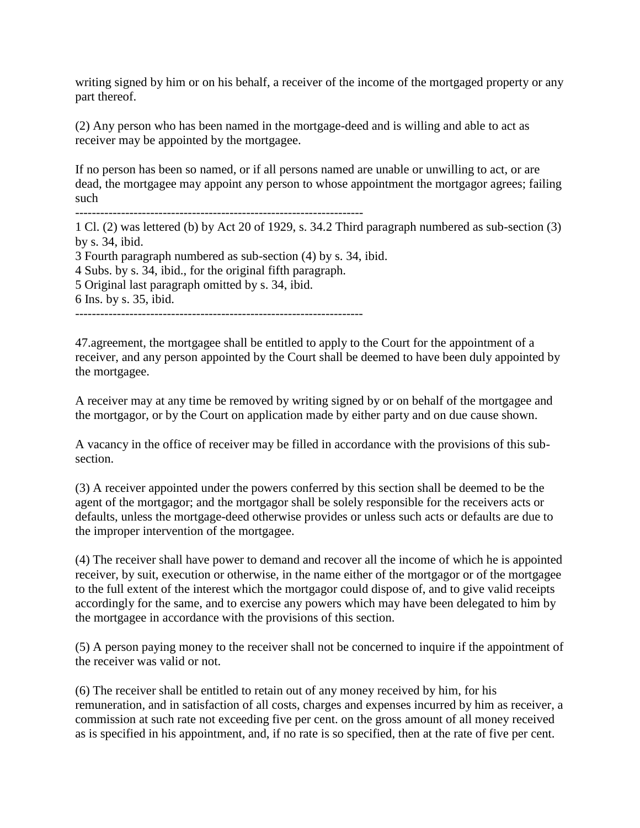writing signed by him or on his behalf, a receiver of the income of the mortgaged property or any part thereof.

(2) Any person who has been named in the mortgage-deed and is willing and able to act as receiver may be appointed by the mortgagee.

If no person has been so named, or if all persons named are unable or unwilling to act, or are dead, the mortgagee may appoint any person to whose appointment the mortgagor agrees; failing such

---------------------------------------------------------------------

1 Cl. (2) was lettered (b) by Act 20 of 1929, s. 34.2 Third paragraph numbered as sub-section (3) by s. 34, ibid. 3 Fourth paragraph numbered as sub-section (4) by s. 34, ibid. 4 Subs. by s. 34, ibid., for the original fifth paragraph. 5 Original last paragraph omitted by s. 34, ibid. 6 Ins. by s. 35, ibid.

---------------------------------------------------------------------

47.agreement, the mortgagee shall be entitled to apply to the Court for the appointment of a receiver, and any person appointed by the Court shall be deemed to have been duly appointed by the mortgagee.

A receiver may at any time be removed by writing signed by or on behalf of the mortgagee and the mortgagor, or by the Court on application made by either party and on due cause shown.

A vacancy in the office of receiver may be filled in accordance with the provisions of this subsection.

(3) A receiver appointed under the powers conferred by this section shall be deemed to be the agent of the mortgagor; and the mortgagor shall be solely responsible for the receivers acts or defaults, unless the mortgage-deed otherwise provides or unless such acts or defaults are due to the improper intervention of the mortgagee.

(4) The receiver shall have power to demand and recover all the income of which he is appointed receiver, by suit, execution or otherwise, in the name either of the mortgagor or of the mortgagee to the full extent of the interest which the mortgagor could dispose of, and to give valid receipts accordingly for the same, and to exercise any powers which may have been delegated to him by the mortgagee in accordance with the provisions of this section.

(5) A person paying money to the receiver shall not be concerned to inquire if the appointment of the receiver was valid or not.

(6) The receiver shall be entitled to retain out of any money received by him, for his remuneration, and in satisfaction of all costs, charges and expenses incurred by him as receiver, a commission at such rate not exceeding five per cent. on the gross amount of all money received as is specified in his appointment, and, if no rate is so specified, then at the rate of five per cent.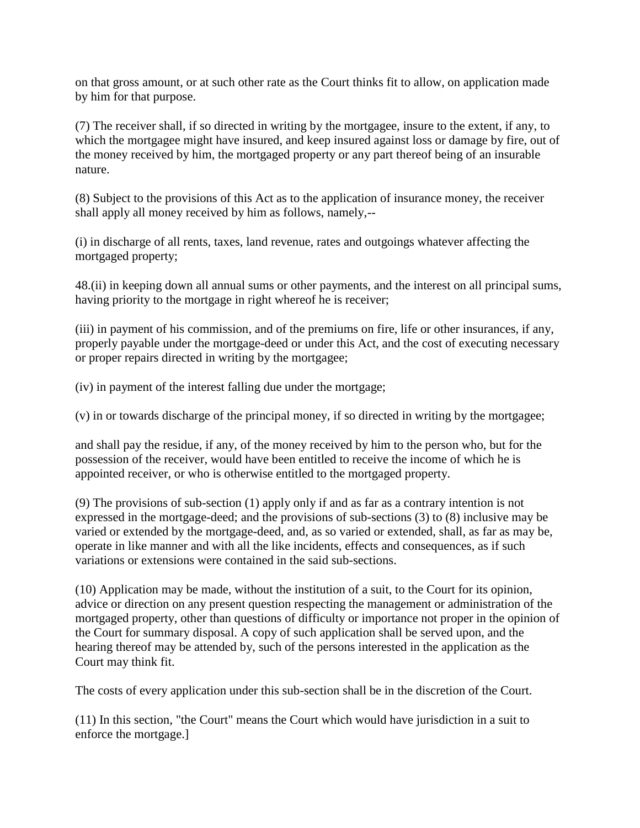on that gross amount, or at such other rate as the Court thinks fit to allow, on application made by him for that purpose.

(7) The receiver shall, if so directed in writing by the mortgagee, insure to the extent, if any, to which the mortgagee might have insured, and keep insured against loss or damage by fire, out of the money received by him, the mortgaged property or any part thereof being of an insurable nature.

(8) Subject to the provisions of this Act as to the application of insurance money, the receiver shall apply all money received by him as follows, namely,--

(i) in discharge of all rents, taxes, land revenue, rates and outgoings whatever affecting the mortgaged property;

48.(ii) in keeping down all annual sums or other payments, and the interest on all principal sums, having priority to the mortgage in right whereof he is receiver;

(iii) in payment of his commission, and of the premiums on fire, life or other insurances, if any, properly payable under the mortgage-deed or under this Act, and the cost of executing necessary or proper repairs directed in writing by the mortgagee;

(iv) in payment of the interest falling due under the mortgage;

(v) in or towards discharge of the principal money, if so directed in writing by the mortgagee;

and shall pay the residue, if any, of the money received by him to the person who, but for the possession of the receiver, would have been entitled to receive the income of which he is appointed receiver, or who is otherwise entitled to the mortgaged property.

(9) The provisions of sub-section (1) apply only if and as far as a contrary intention is not expressed in the mortgage-deed; and the provisions of sub-sections (3) to (8) inclusive may be varied or extended by the mortgage-deed, and, as so varied or extended, shall, as far as may be, operate in like manner and with all the like incidents, effects and consequences, as if such variations or extensions were contained in the said sub-sections.

(10) Application may be made, without the institution of a suit, to the Court for its opinion, advice or direction on any present question respecting the management or administration of the mortgaged property, other than questions of difficulty or importance not proper in the opinion of the Court for summary disposal. A copy of such application shall be served upon, and the hearing thereof may be attended by, such of the persons interested in the application as the Court may think fit.

The costs of every application under this sub-section shall be in the discretion of the Court.

(11) In this section, "the Court" means the Court which would have jurisdiction in a suit to enforce the mortgage.]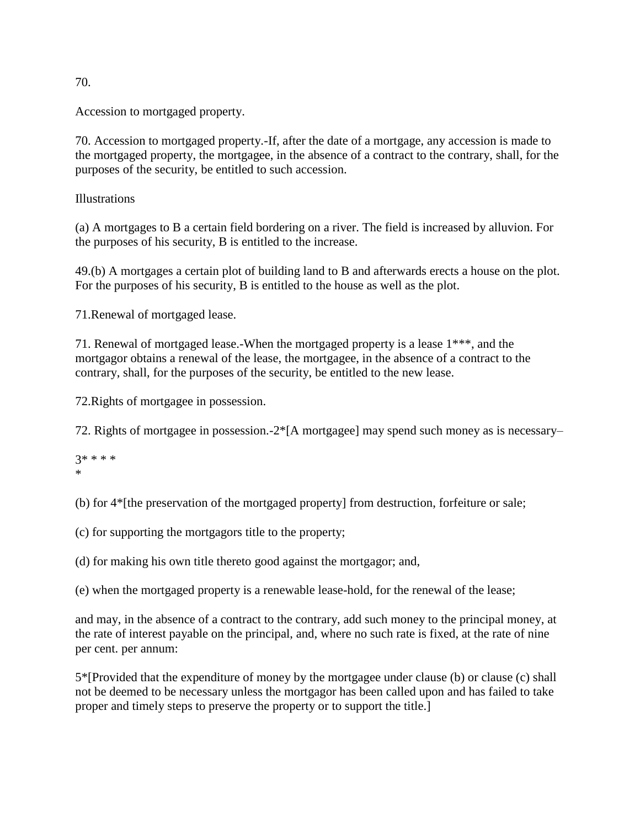#### 70.

Accession to mortgaged property.

70. Accession to mortgaged property.-If, after the date of a mortgage, any accession is made to the mortgaged property, the mortgagee, in the absence of a contract to the contrary, shall, for the purposes of the security, be entitled to such accession.

Illustrations

(a) A mortgages to B a certain field bordering on a river. The field is increased by alluvion. For the purposes of his security, B is entitled to the increase.

49.(b) A mortgages a certain plot of building land to B and afterwards erects a house on the plot. For the purposes of his security, B is entitled to the house as well as the plot.

71.Renewal of mortgaged lease.

71. Renewal of mortgaged lease.-When the mortgaged property is a lease 1\*\*\*, and the mortgagor obtains a renewal of the lease, the mortgagee, in the absence of a contract to the contrary, shall, for the purposes of the security, be entitled to the new lease.

72.Rights of mortgagee in possession.

72. Rights of mortgagee in possession.-2\*[A mortgagee] may spend such money as is necessary–

3\* \* \* \* \*

(b) for 4\*[the preservation of the mortgaged property] from destruction, forfeiture or sale;

(c) for supporting the mortgagors title to the property;

(d) for making his own title thereto good against the mortgagor; and,

(e) when the mortgaged property is a renewable lease-hold, for the renewal of the lease;

and may, in the absence of a contract to the contrary, add such money to the principal money, at the rate of interest payable on the principal, and, where no such rate is fixed, at the rate of nine per cent. per annum:

5\*[Provided that the expenditure of money by the mortgagee under clause (b) or clause (c) shall not be deemed to be necessary unless the mortgagor has been called upon and has failed to take proper and timely steps to preserve the property or to support the title.]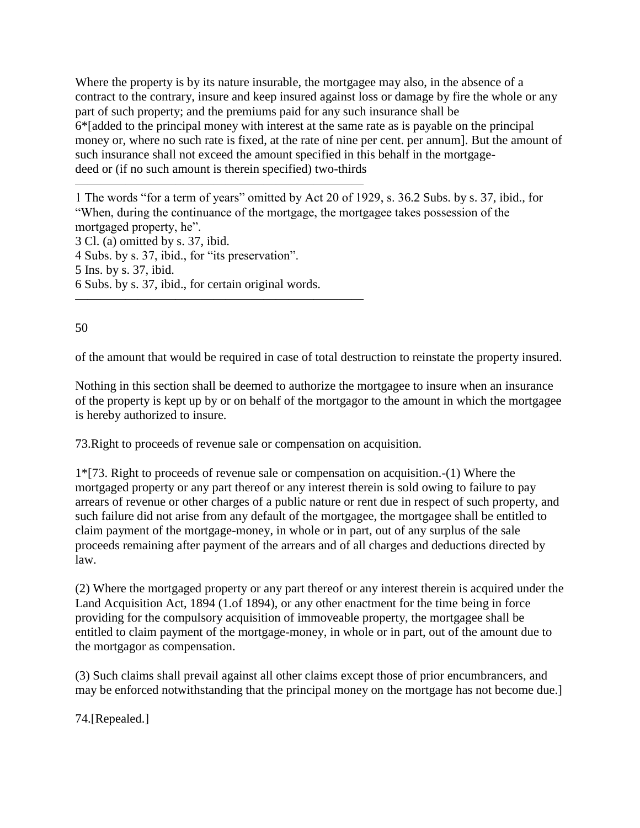Where the property is by its nature insurable, the mortgagee may also, in the absence of a contract to the contrary, insure and keep insured against loss or damage by fire the whole or any part of such property; and the premiums paid for any such insurance shall be 6\*[added to the principal money with interest at the same rate as is payable on the principal money or, where no such rate is fixed, at the rate of nine per cent. per annum]. But the amount of such insurance shall not exceed the amount specified in this behalf in the mortgagedeed or (if no such amount is therein specified) two-thirds

——————————————————————— 1 The words "for a term of years" omitted by Act 20 of 1929, s. 36.2 Subs. by s. 37, ibid., for "When, during the continuance of the mortgage, the mortgagee takes possession of the mortgaged property, he". 3 Cl. (a) omitted by s. 37, ibid. 4 Subs. by s. 37, ibid., for "its preservation". 5 Ins. by s. 37, ibid. 6 Subs. by s. 37, ibid., for certain original words. ———————————————————————

## 50

of the amount that would be required in case of total destruction to reinstate the property insured.

Nothing in this section shall be deemed to authorize the mortgagee to insure when an insurance of the property is kept up by or on behalf of the mortgagor to the amount in which the mortgagee is hereby authorized to insure.

73.Right to proceeds of revenue sale or compensation on acquisition.

1\*[73. Right to proceeds of revenue sale or compensation on acquisition.-(1) Where the mortgaged property or any part thereof or any interest therein is sold owing to failure to pay arrears of revenue or other charges of a public nature or rent due in respect of such property, and such failure did not arise from any default of the mortgagee, the mortgagee shall be entitled to claim payment of the mortgage-money, in whole or in part, out of any surplus of the sale proceeds remaining after payment of the arrears and of all charges and deductions directed by law.

(2) Where the mortgaged property or any part thereof or any interest therein is acquired under the Land Acquisition Act, 1894 (1.of 1894), or any other enactment for the time being in force providing for the compulsory acquisition of immoveable property, the mortgagee shall be entitled to claim payment of the mortgage-money, in whole or in part, out of the amount due to the mortgagor as compensation.

(3) Such claims shall prevail against all other claims except those of prior encumbrancers, and may be enforced notwithstanding that the principal money on the mortgage has not become due.]

74.[Repealed.]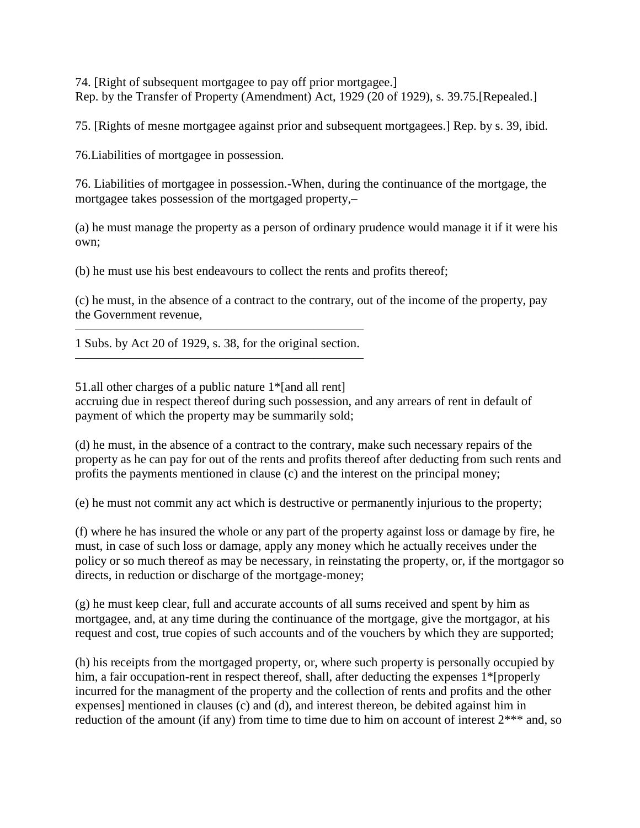74. [Right of subsequent mortgagee to pay off prior mortgagee.] Rep. by the Transfer of Property (Amendment) Act, 1929 (20 of 1929), s. 39.75.[Repealed.]

75. [Rights of mesne mortgagee against prior and subsequent mortgagees.] Rep. by s. 39, ibid.

76.Liabilities of mortgagee in possession.

76. Liabilities of mortgagee in possession.-When, during the continuance of the mortgage, the mortgagee takes possession of the mortgaged property,–

(a) he must manage the property as a person of ordinary prudence would manage it if it were his own;

(b) he must use his best endeavours to collect the rents and profits thereof;

(c) he must, in the absence of a contract to the contrary, out of the income of the property, pay the Government revenue,

——————————————————————— 1 Subs. by Act 20 of 1929, s. 38, for the original section. ———————————————————————

51.all other charges of a public nature 1\*[and all rent] accruing due in respect thereof during such possession, and any arrears of rent in default of payment of which the property may be summarily sold;

(d) he must, in the absence of a contract to the contrary, make such necessary repairs of the property as he can pay for out of the rents and profits thereof after deducting from such rents and profits the payments mentioned in clause (c) and the interest on the principal money;

(e) he must not commit any act which is destructive or permanently injurious to the property;

(f) where he has insured the whole or any part of the property against loss or damage by fire, he must, in case of such loss or damage, apply any money which he actually receives under the policy or so much thereof as may be necessary, in reinstating the property, or, if the mortgagor so directs, in reduction or discharge of the mortgage-money;

(g) he must keep clear, full and accurate accounts of all sums received and spent by him as mortgagee, and, at any time during the continuance of the mortgage, give the mortgagor, at his request and cost, true copies of such accounts and of the vouchers by which they are supported;

(h) his receipts from the mortgaged property, or, where such property is personally occupied by him, a fair occupation-rent in respect thereof, shall, after deducting the expenses 1\*[properly incurred for the managment of the property and the collection of rents and profits and the other expenses] mentioned in clauses (c) and (d), and interest thereon, be debited against him in reduction of the amount (if any) from time to time due to him on account of interest 2\*\*\* and, so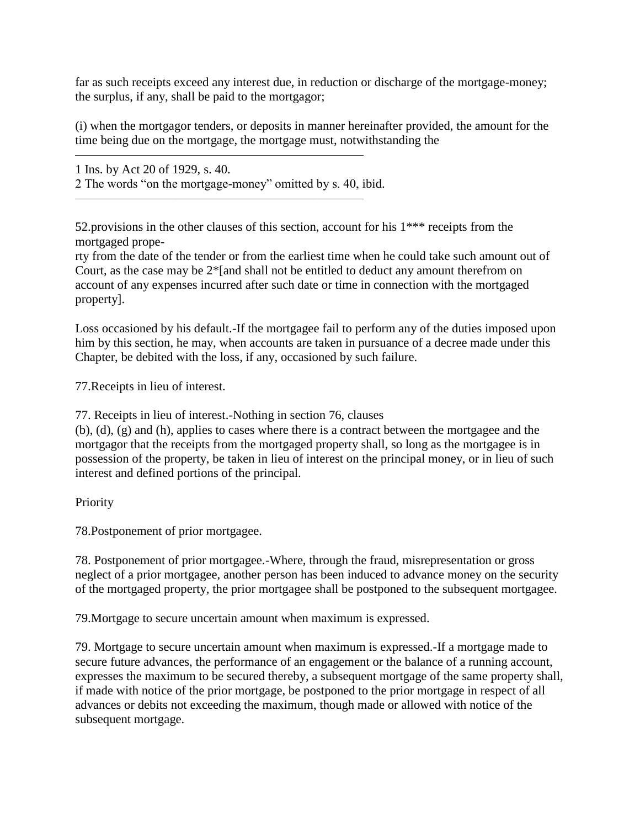far as such receipts exceed any interest due, in reduction or discharge of the mortgage-money; the surplus, if any, shall be paid to the mortgagor;

(i) when the mortgagor tenders, or deposits in manner hereinafter provided, the amount for the time being due on the mortgage, the mortgage must, notwithstanding the

1 Ins. by Act 20 of 1929, s. 40. 2 The words "on the mortgage-money" omitted by s. 40, ibid.

———————————————————————

———————————————————————

52.provisions in the other clauses of this section, account for his 1\*\*\* receipts from the mortgaged prope-

rty from the date of the tender or from the earliest time when he could take such amount out of Court, as the case may be 2\*[and shall not be entitled to deduct any amount therefrom on account of any expenses incurred after such date or time in connection with the mortgaged property].

Loss occasioned by his default.-If the mortgagee fail to perform any of the duties imposed upon him by this section, he may, when accounts are taken in pursuance of a decree made under this Chapter, be debited with the loss, if any, occasioned by such failure.

77.Receipts in lieu of interest.

77. Receipts in lieu of interest.-Nothing in section 76, clauses

(b), (d), (g) and (h), applies to cases where there is a contract between the mortgagee and the mortgagor that the receipts from the mortgaged property shall, so long as the mortgagee is in possession of the property, be taken in lieu of interest on the principal money, or in lieu of such interest and defined portions of the principal.

## Priority

78.Postponement of prior mortgagee.

78. Postponement of prior mortgagee.-Where, through the fraud, misrepresentation or gross neglect of a prior mortgagee, another person has been induced to advance money on the security of the mortgaged property, the prior mortgagee shall be postponed to the subsequent mortgagee.

79.Mortgage to secure uncertain amount when maximum is expressed.

79. Mortgage to secure uncertain amount when maximum is expressed.-If a mortgage made to secure future advances, the performance of an engagement or the balance of a running account, expresses the maximum to be secured thereby, a subsequent mortgage of the same property shall, if made with notice of the prior mortgage, be postponed to the prior mortgage in respect of all advances or debits not exceeding the maximum, though made or allowed with notice of the subsequent mortgage.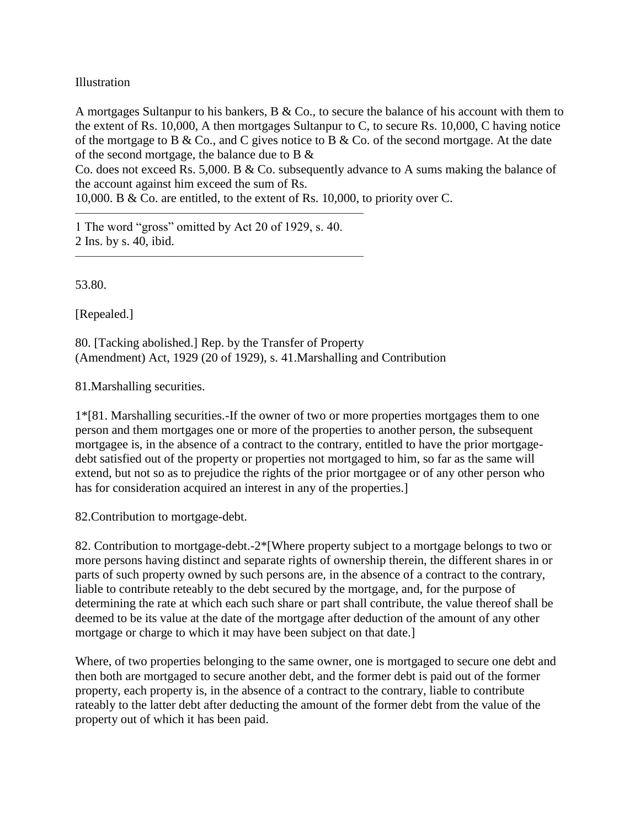#### Illustration

A mortgages Sultanpur to his bankers, B & Co., to secure the balance of his account with them to the extent of Rs. 10,000, A then mortgages Sultanpur to C, to secure Rs. 10,000, C having notice of the mortgage to B & Co., and C gives notice to B & Co. of the second mortgage. At the date of the second mortgage, the balance due to B &

Co. does not exceed Rs. 5,000. B & Co. subsequently advance to A sums making the balance of the account against him exceed the sum of Rs.

10,000. B & Co. are entitled, to the extent of Rs. 10,000, to priority over C.

1 The word "gross" omitted by Act 20 of 1929, s. 40. 2 Ins. by s. 40, ibid.

———————————————————————

———————————————————————

53.80.

[Repealed.]

80. [Tacking abolished.] Rep. by the Transfer of Property (Amendment) Act, 1929 (20 of 1929), s. 41.Marshalling and Contribution

81.Marshalling securities.

1\*[81. Marshalling securities.-If the owner of two or more properties mortgages them to one person and them mortgages one or more of the properties to another person, the subsequent mortgagee is, in the absence of a contract to the contrary, entitled to have the prior mortgagedebt satisfied out of the property or properties not mortgaged to him, so far as the same will extend, but not so as to prejudice the rights of the prior mortgagee or of any other person who has for consideration acquired an interest in any of the properties.]

82.Contribution to mortgage-debt.

82. Contribution to mortgage-debt.-2\*[Where property subject to a mortgage belongs to two or more persons having distinct and separate rights of ownership therein, the different shares in or parts of such property owned by such persons are, in the absence of a contract to the contrary, liable to contribute reteably to the debt secured by the mortgage, and, for the purpose of determining the rate at which each such share or part shall contribute, the value thereof shall be deemed to be its value at the date of the mortgage after deduction of the amount of any other mortgage or charge to which it may have been subject on that date.]

Where, of two properties belonging to the same owner, one is mortgaged to secure one debt and then both are mortgaged to secure another debt, and the former debt is paid out of the former property, each property is, in the absence of a contract to the contrary, liable to contribute rateably to the latter debt after deducting the amount of the former debt from the value of the property out of which it has been paid.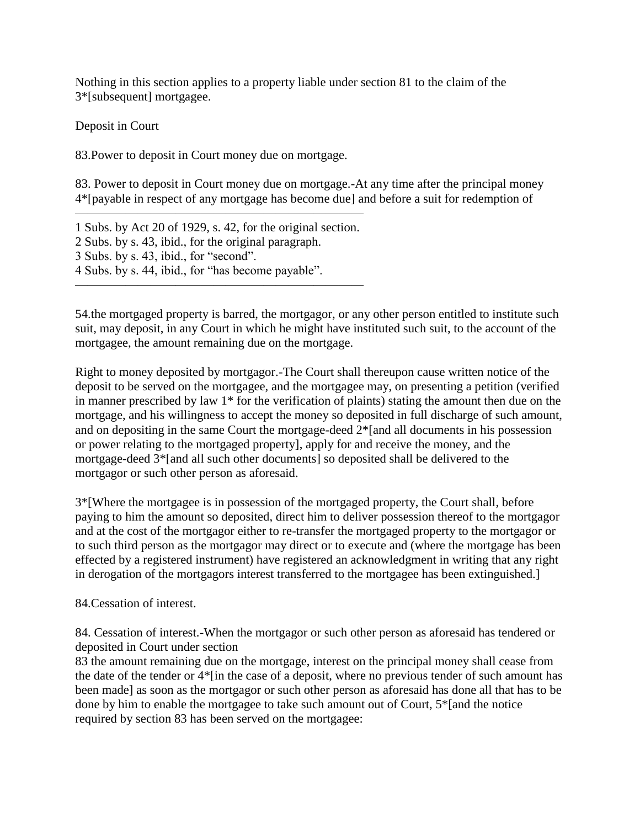Nothing in this section applies to a property liable under section 81 to the claim of the 3\*[subsequent] mortgagee.

Deposit in Court

83.Power to deposit in Court money due on mortgage.

83. Power to deposit in Court money due on mortgage.-At any time after the principal money 4\*[payable in respect of any mortgage has become due] and before a suit for redemption of

1 Subs. by Act 20 of 1929, s. 42, for the original section. 2 Subs. by s. 43, ibid., for the original paragraph. 3 Subs. by s. 43, ibid., for "second". 4 Subs. by s. 44, ibid., for "has become payable".

———————————————————————

———————————————————————

54.the mortgaged property is barred, the mortgagor, or any other person entitled to institute such suit, may deposit, in any Court in which he might have instituted such suit, to the account of the mortgagee, the amount remaining due on the mortgage.

Right to money deposited by mortgagor.-The Court shall thereupon cause written notice of the deposit to be served on the mortgagee, and the mortgagee may, on presenting a petition (verified in manner prescribed by law 1\* for the verification of plaints) stating the amount then due on the mortgage, and his willingness to accept the money so deposited in full discharge of such amount, and on depositing in the same Court the mortgage-deed 2\*[and all documents in his possession or power relating to the mortgaged property], apply for and receive the money, and the mortgage-deed 3\*[and all such other documents] so deposited shall be delivered to the mortgagor or such other person as aforesaid.

3\*[Where the mortgagee is in possession of the mortgaged property, the Court shall, before paying to him the amount so deposited, direct him to deliver possession thereof to the mortgagor and at the cost of the mortgagor either to re-transfer the mortgaged property to the mortgagor or to such third person as the mortgagor may direct or to execute and (where the mortgage has been effected by a registered instrument) have registered an acknowledgment in writing that any right in derogation of the mortgagors interest transferred to the mortgagee has been extinguished.]

84.Cessation of interest.

84. Cessation of interest.-When the mortgagor or such other person as aforesaid has tendered or deposited in Court under section

83 the amount remaining due on the mortgage, interest on the principal money shall cease from the date of the tender or 4\*[in the case of a deposit, where no previous tender of such amount has been made] as soon as the mortgagor or such other person as aforesaid has done all that has to be done by him to enable the mortgagee to take such amount out of Court, 5\*[and the notice required by section 83 has been served on the mortgagee: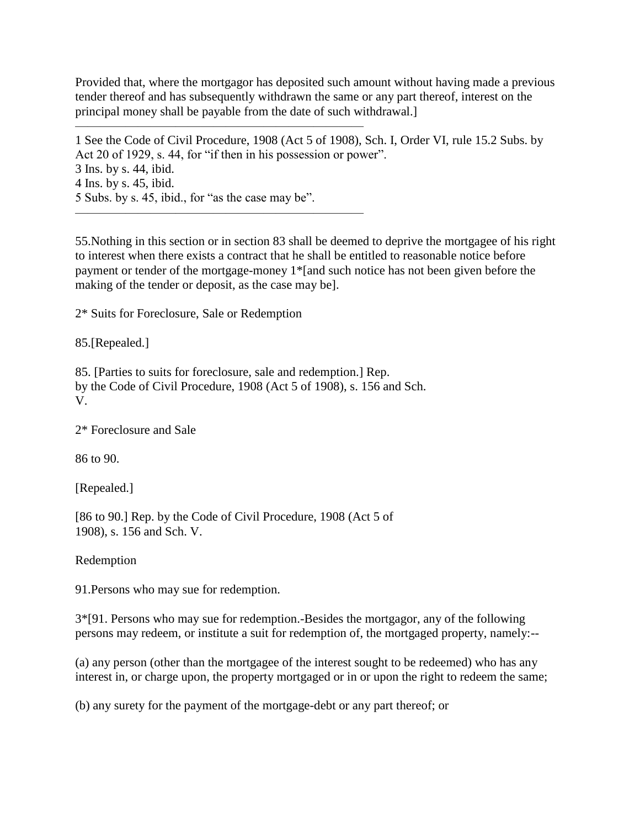Provided that, where the mortgagor has deposited such amount without having made a previous tender thereof and has subsequently withdrawn the same or any part thereof, interest on the principal money shall be payable from the date of such withdrawal.]

1 See the Code of Civil Procedure, 1908 (Act 5 of 1908), Sch. I, Order VI, rule 15.2 Subs. by Act 20 of 1929, s. 44, for "if then in his possession or power". 3 Ins. by s. 44, ibid. 4 Ins. by s. 45, ibid. 5 Subs. by s. 45, ibid., for "as the case may be". ———————————————————————

55.Nothing in this section or in section 83 shall be deemed to deprive the mortgagee of his right to interest when there exists a contract that he shall be entitled to reasonable notice before payment or tender of the mortgage-money 1\*[and such notice has not been given before the making of the tender or deposit, as the case may be].

2\* Suits for Foreclosure, Sale or Redemption

———————————————————————

85.[Repealed.]

85. [Parties to suits for foreclosure, sale and redemption.] Rep. by the Code of Civil Procedure, 1908 (Act 5 of 1908), s. 156 and Sch. V.

2\* Foreclosure and Sale

86 to 90.

[Repealed.]

[86 to 90.] Rep. by the Code of Civil Procedure, 1908 (Act 5 of 1908), s. 156 and Sch. V.

Redemption

91.Persons who may sue for redemption.

3\*[91. Persons who may sue for redemption.-Besides the mortgagor, any of the following persons may redeem, or institute a suit for redemption of, the mortgaged property, namely:--

(a) any person (other than the mortgagee of the interest sought to be redeemed) who has any interest in, or charge upon, the property mortgaged or in or upon the right to redeem the same;

(b) any surety for the payment of the mortgage-debt or any part thereof; or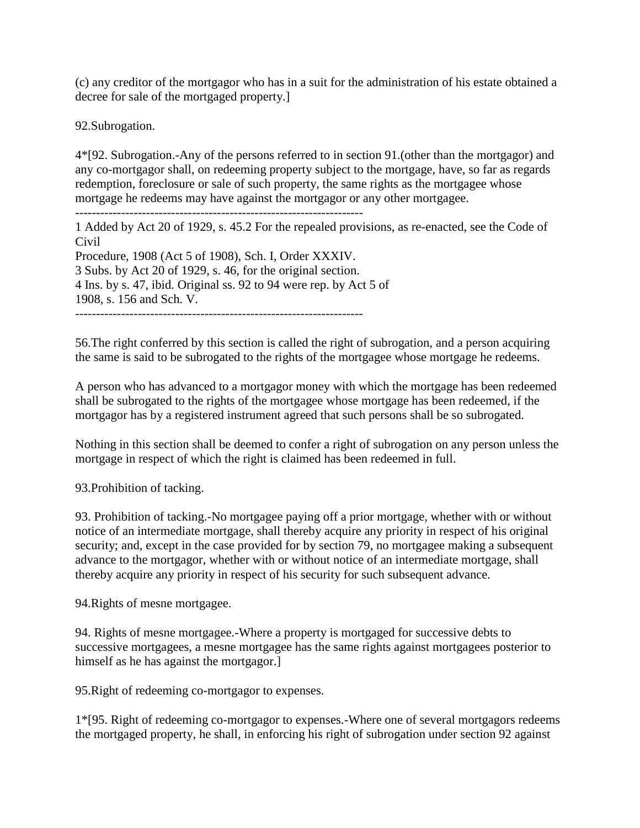(c) any creditor of the mortgagor who has in a suit for the administration of his estate obtained a decree for sale of the mortgaged property.]

92.Subrogation.

4\*[92. Subrogation.-Any of the persons referred to in section 91.(other than the mortgagor) and any co-mortgagor shall, on redeeming property subject to the mortgage, have, so far as regards redemption, foreclosure or sale of such property, the same rights as the mortgagee whose mortgage he redeems may have against the mortgagor or any other mortgagee.

---------------------------------------------------------------------

1 Added by Act 20 of 1929, s. 45.2 For the repealed provisions, as re-enacted, see the Code of Civil Procedure, 1908 (Act 5 of 1908), Sch. I, Order XXXIV.

3 Subs. by Act 20 of 1929, s. 46, for the original section. 4 Ins. by s. 47, ibid. Original ss. 92 to 94 were rep. by Act 5 of 1908, s. 156 and Sch. V.

---------------------------------------------------------------------

56.The right conferred by this section is called the right of subrogation, and a person acquiring the same is said to be subrogated to the rights of the mortgagee whose mortgage he redeems.

A person who has advanced to a mortgagor money with which the mortgage has been redeemed shall be subrogated to the rights of the mortgagee whose mortgage has been redeemed, if the mortgagor has by a registered instrument agreed that such persons shall be so subrogated.

Nothing in this section shall be deemed to confer a right of subrogation on any person unless the mortgage in respect of which the right is claimed has been redeemed in full.

93.Prohibition of tacking.

93. Prohibition of tacking.-No mortgagee paying off a prior mortgage, whether with or without notice of an intermediate mortgage, shall thereby acquire any priority in respect of his original security; and, except in the case provided for by section 79, no mortgagee making a subsequent advance to the mortgagor, whether with or without notice of an intermediate mortgage, shall thereby acquire any priority in respect of his security for such subsequent advance.

94.Rights of mesne mortgagee.

94. Rights of mesne mortgagee.-Where a property is mortgaged for successive debts to successive mortgagees, a mesne mortgagee has the same rights against mortgagees posterior to himself as he has against the mortgagor.

95.Right of redeeming co-mortgagor to expenses.

1\*[95. Right of redeeming co-mortgagor to expenses.-Where one of several mortgagors redeems the mortgaged property, he shall, in enforcing his right of subrogation under section 92 against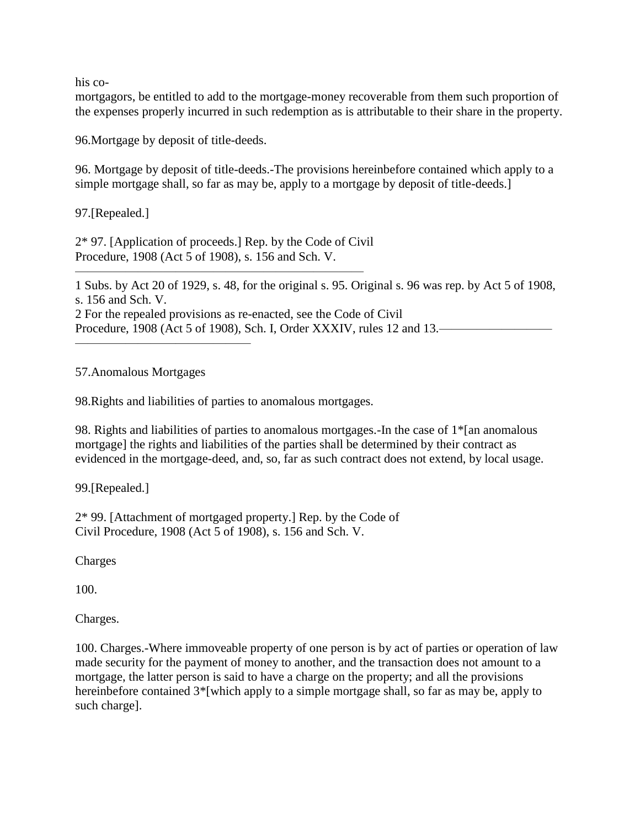his co-

mortgagors, be entitled to add to the mortgage-money recoverable from them such proportion of the expenses properly incurred in such redemption as is attributable to their share in the property.

96.Mortgage by deposit of title-deeds.

96. Mortgage by deposit of title-deeds.-The provisions hereinbefore contained which apply to a simple mortgage shall, so far as may be, apply to a mortgage by deposit of title-deeds.]

97.[Repealed.]

2\* 97. [Application of proceeds.] Rep. by the Code of Civil Procedure, 1908 (Act 5 of 1908), s. 156 and Sch. V.

———————————————————————

1 Subs. by Act 20 of 1929, s. 48, for the original s. 95. Original s. 96 was rep. by Act 5 of 1908, s. 156 and Sch. V. 2 For the repealed provisions as re-enacted, see the Code of Civil Procedure, 1908 (Act 5 of 1908), Sch. I, Order XXXIV, rules 12 and 13.—

57.Anomalous Mortgages

——————————————

98.Rights and liabilities of parties to anomalous mortgages.

98. Rights and liabilities of parties to anomalous mortgages.-In the case of 1\*[an anomalous mortgage] the rights and liabilities of the parties shall be determined by their contract as evidenced in the mortgage-deed, and, so, far as such contract does not extend, by local usage.

99.[Repealed.]

2\* 99. [Attachment of mortgaged property.] Rep. by the Code of Civil Procedure, 1908 (Act 5 of 1908), s. 156 and Sch. V.

Charges

100.

Charges.

100. Charges.-Where immoveable property of one person is by act of parties or operation of law made security for the payment of money to another, and the transaction does not amount to a mortgage, the latter person is said to have a charge on the property; and all the provisions hereinbefore contained  $3^*$ [which apply to a simple mortgage shall, so far as may be, apply to such charge].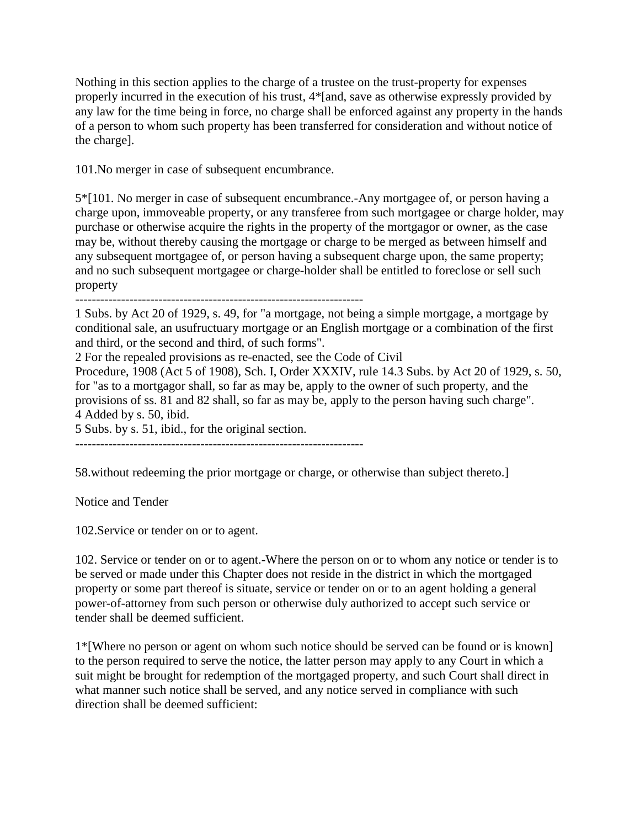Nothing in this section applies to the charge of a trustee on the trust-property for expenses properly incurred in the execution of his trust, 4\*[and, save as otherwise expressly provided by any law for the time being in force, no charge shall be enforced against any property in the hands of a person to whom such property has been transferred for consideration and without notice of the charge].

101.No merger in case of subsequent encumbrance.

5\*[101. No merger in case of subsequent encumbrance.-Any mortgagee of, or person having a charge upon, immoveable property, or any transferee from such mortgagee or charge holder, may purchase or otherwise acquire the rights in the property of the mortgagor or owner, as the case may be, without thereby causing the mortgage or charge to be merged as between himself and any subsequent mortgagee of, or person having a subsequent charge upon, the same property; and no such subsequent mortgagee or charge-holder shall be entitled to foreclose or sell such property

---------------------------------------------------------------------

1 Subs. by Act 20 of 1929, s. 49, for "a mortgage, not being a simple mortgage, a mortgage by conditional sale, an usufructuary mortgage or an English mortgage or a combination of the first and third, or the second and third, of such forms".

2 For the repealed provisions as re-enacted, see the Code of Civil

Procedure, 1908 (Act 5 of 1908), Sch. I, Order XXXIV, rule 14.3 Subs. by Act 20 of 1929, s. 50, for "as to a mortgagor shall, so far as may be, apply to the owner of such property, and the provisions of ss. 81 and 82 shall, so far as may be, apply to the person having such charge". 4 Added by s. 50, ibid.

5 Subs. by s. 51, ibid., for the original section.

58.without redeeming the prior mortgage or charge, or otherwise than subject thereto.]

Notice and Tender

102.Service or tender on or to agent.

102. Service or tender on or to agent.-Where the person on or to whom any notice or tender is to be served or made under this Chapter does not reside in the district in which the mortgaged property or some part thereof is situate, service or tender on or to an agent holding a general power-of-attorney from such person or otherwise duly authorized to accept such service or tender shall be deemed sufficient.

1\*[Where no person or agent on whom such notice should be served can be found or is known] to the person required to serve the notice, the latter person may apply to any Court in which a suit might be brought for redemption of the mortgaged property, and such Court shall direct in what manner such notice shall be served, and any notice served in compliance with such direction shall be deemed sufficient: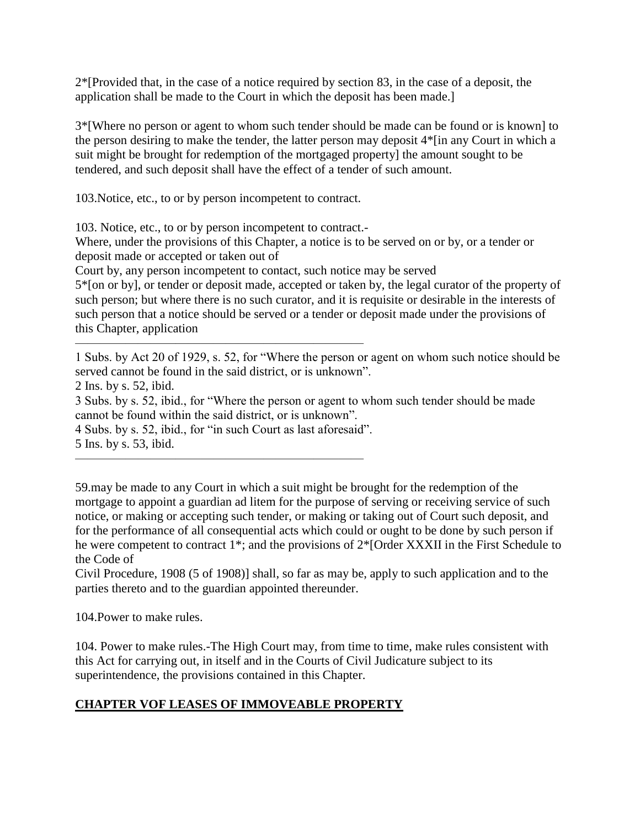$2*$ [Provided that, in the case of a notice required by section 83, in the case of a deposit, the application shall be made to the Court in which the deposit has been made.]

3\*[Where no person or agent to whom such tender should be made can be found or is known] to the person desiring to make the tender, the latter person may deposit  $4*$ [in any Court in which a suit might be brought for redemption of the mortgaged property] the amount sought to be tendered, and such deposit shall have the effect of a tender of such amount.

103.Notice, etc., to or by person incompetent to contract.

103. Notice, etc., to or by person incompetent to contract.-

Where, under the provisions of this Chapter, a notice is to be served on or by, or a tender or deposit made or accepted or taken out of

Court by, any person incompetent to contact, such notice may be served

5\*[on or by], or tender or deposit made, accepted or taken by, the legal curator of the property of such person; but where there is no such curator, and it is requisite or desirable in the interests of such person that a notice should be served or a tender or deposit made under the provisions of this Chapter, application

——————————————————————— 1 Subs. by Act 20 of 1929, s. 52, for "Where the person or agent on whom such notice should be served cannot be found in the said district, or is unknown".

2 Ins. by s. 52, ibid.

3 Subs. by s. 52, ibid., for "Where the person or agent to whom such tender should be made cannot be found within the said district, or is unknown".

4 Subs. by s. 52, ibid., for "in such Court as last aforesaid".

———————————————————————

5 Ins. by s. 53, ibid.

59.may be made to any Court in which a suit might be brought for the redemption of the mortgage to appoint a guardian ad litem for the purpose of serving or receiving service of such notice, or making or accepting such tender, or making or taking out of Court such deposit, and for the performance of all consequential acts which could or ought to be done by such person if he were competent to contract 1\*; and the provisions of 2\*[Order XXXII in the First Schedule to the Code of

Civil Procedure, 1908 (5 of 1908)] shall, so far as may be, apply to such application and to the parties thereto and to the guardian appointed thereunder.

104.Power to make rules.

104. Power to make rules.-The High Court may, from time to time, make rules consistent with this Act for carrying out, in itself and in the Courts of Civil Judicature subject to its superintendence, the provisions contained in this Chapter.

# **CHAPTER VOF LEASES OF IMMOVEABLE PROPERTY**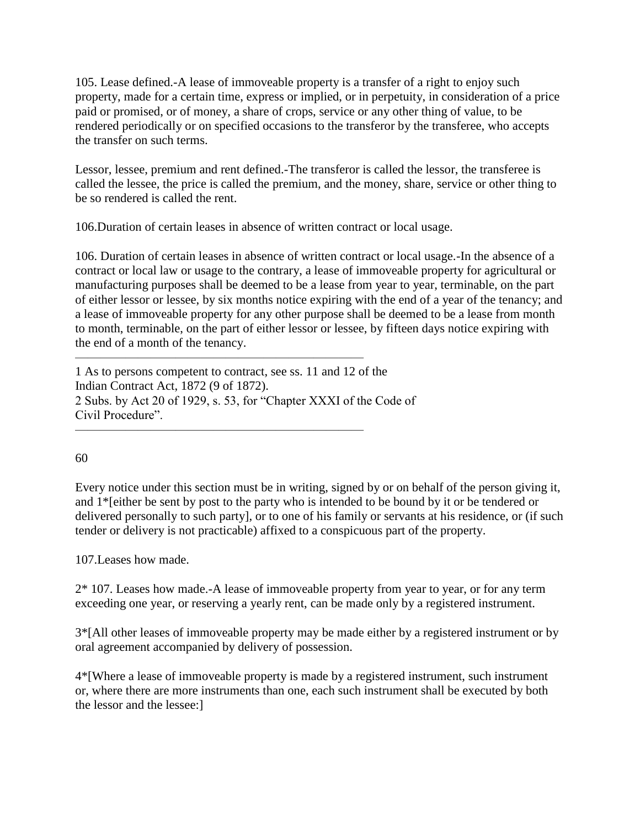105. Lease defined.-A lease of immoveable property is a transfer of a right to enjoy such property, made for a certain time, express or implied, or in perpetuity, in consideration of a price paid or promised, or of money, a share of crops, service or any other thing of value, to be rendered periodically or on specified occasions to the transferor by the transferee, who accepts the transfer on such terms.

Lessor, lessee, premium and rent defined.-The transferor is called the lessor, the transferee is called the lessee, the price is called the premium, and the money, share, service or other thing to be so rendered is called the rent.

106.Duration of certain leases in absence of written contract or local usage.

106. Duration of certain leases in absence of written contract or local usage.-In the absence of a contract or local law or usage to the contrary, a lease of immoveable property for agricultural or manufacturing purposes shall be deemed to be a lease from year to year, terminable, on the part of either lessor or lessee, by six months notice expiring with the end of a year of the tenancy; and a lease of immoveable property for any other purpose shall be deemed to be a lease from month to month, terminable, on the part of either lessor or lessee, by fifteen days notice expiring with the end of a month of the tenancy.

1 As to persons competent to contract, see ss. 11 and 12 of the Indian Contract Act, 1872 (9 of 1872). 2 Subs. by Act 20 of 1929, s. 53, for "Chapter XXXI of the Code of Civil Procedure".

———————————————————————

———————————————————————

## 60

Every notice under this section must be in writing, signed by or on behalf of the person giving it, and 1\*[either be sent by post to the party who is intended to be bound by it or be tendered or delivered personally to such party], or to one of his family or servants at his residence, or (if such tender or delivery is not practicable) affixed to a conspicuous part of the property.

107.Leases how made.

2\* 107. Leases how made.-A lease of immoveable property from year to year, or for any term exceeding one year, or reserving a yearly rent, can be made only by a registered instrument.

3\*[All other leases of immoveable property may be made either by a registered instrument or by oral agreement accompanied by delivery of possession.

4\*[Where a lease of immoveable property is made by a registered instrument, such instrument or, where there are more instruments than one, each such instrument shall be executed by both the lessor and the lessee:]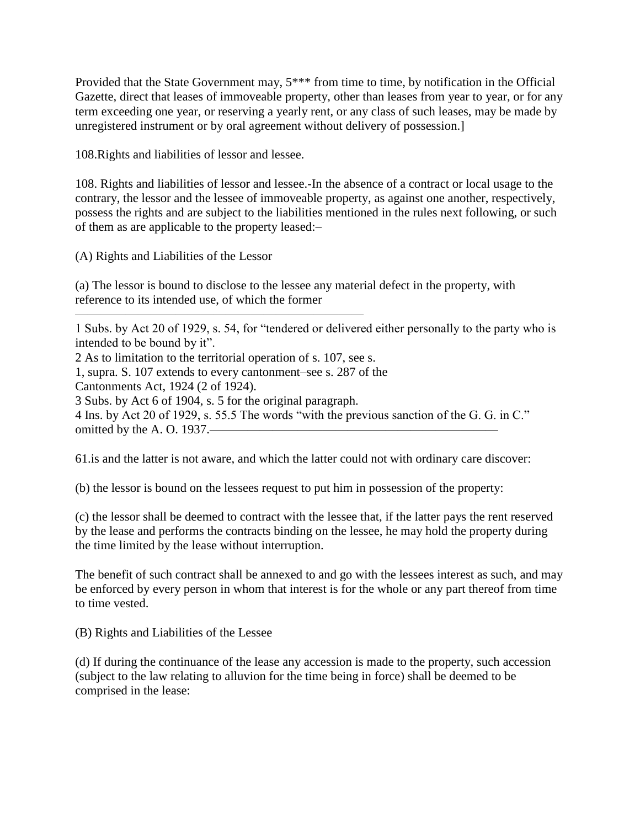Provided that the State Government may, 5\*\*\* from time to time, by notification in the Official Gazette, direct that leases of immoveable property, other than leases from year to year, or for any term exceeding one year, or reserving a yearly rent, or any class of such leases, may be made by unregistered instrument or by oral agreement without delivery of possession.]

108.Rights and liabilities of lessor and lessee.

108. Rights and liabilities of lessor and lessee.-In the absence of a contract or local usage to the contrary, the lessor and the lessee of immoveable property, as against one another, respectively, possess the rights and are subject to the liabilities mentioned in the rules next following, or such of them as are applicable to the property leased:–

(A) Rights and Liabilities of the Lessor

(a) The lessor is bound to disclose to the lessee any material defect in the property, with reference to its intended use, of which the former

——————————————————————— 1 Subs. by Act 20 of 1929, s. 54, for "tendered or delivered either personally to the party who is intended to be bound by it".

2 As to limitation to the territorial operation of s. 107, see s.

1, supra. S. 107 extends to every cantonment–see s. 287 of the

Cantonments Act, 1924 (2 of 1924).

3 Subs. by Act 6 of 1904, s. 5 for the original paragraph.

4 Ins. by Act 20 of 1929, s. 55.5 The words "with the previous sanction of the G. G. in C." omitted by the A. O. 1937.——

61.is and the latter is not aware, and which the latter could not with ordinary care discover:

(b) the lessor is bound on the lessees request to put him in possession of the property:

(c) the lessor shall be deemed to contract with the lessee that, if the latter pays the rent reserved by the lease and performs the contracts binding on the lessee, he may hold the property during the time limited by the lease without interruption.

The benefit of such contract shall be annexed to and go with the lessees interest as such, and may be enforced by every person in whom that interest is for the whole or any part thereof from time to time vested.

(B) Rights and Liabilities of the Lessee

(d) If during the continuance of the lease any accession is made to the property, such accession (subject to the law relating to alluvion for the time being in force) shall be deemed to be comprised in the lease: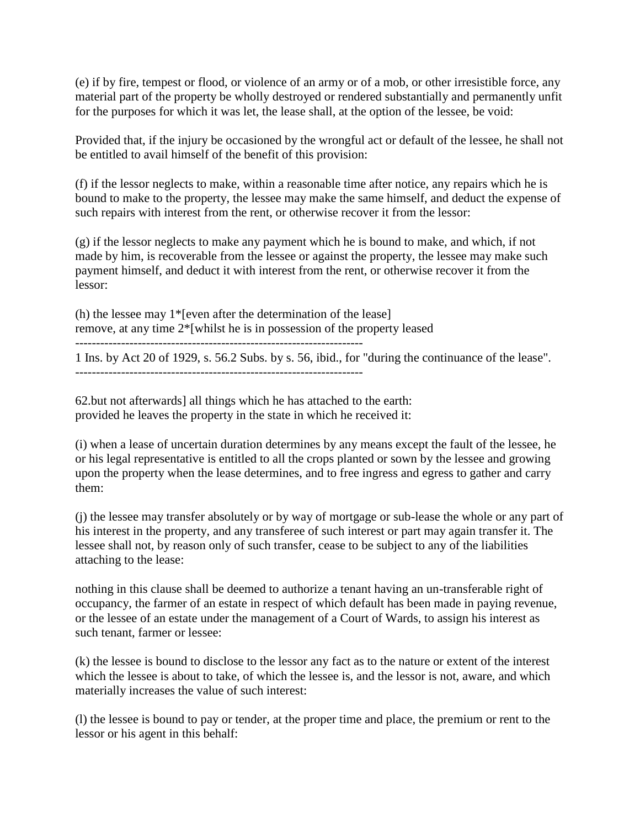(e) if by fire, tempest or flood, or violence of an army or of a mob, or other irresistible force, any material part of the property be wholly destroyed or rendered substantially and permanently unfit for the purposes for which it was let, the lease shall, at the option of the lessee, be void:

Provided that, if the injury be occasioned by the wrongful act or default of the lessee, he shall not be entitled to avail himself of the benefit of this provision:

(f) if the lessor neglects to make, within a reasonable time after notice, any repairs which he is bound to make to the property, the lessee may make the same himself, and deduct the expense of such repairs with interest from the rent, or otherwise recover it from the lessor:

(g) if the lessor neglects to make any payment which he is bound to make, and which, if not made by him, is recoverable from the lessee or against the property, the lessee may make such payment himself, and deduct it with interest from the rent, or otherwise recover it from the lessor:

(h) the lessee may 1\*[even after the determination of the lease] remove, at any time 2\*[whilst he is in possession of the property leased ---------------------------------------------------------------------

1 Ins. by Act 20 of 1929, s. 56.2 Subs. by s. 56, ibid., for "during the continuance of the lease". ---------------------------------------------------------------------

62.but not afterwards] all things which he has attached to the earth: provided he leaves the property in the state in which he received it:

(i) when a lease of uncertain duration determines by any means except the fault of the lessee, he or his legal representative is entitled to all the crops planted or sown by the lessee and growing upon the property when the lease determines, and to free ingress and egress to gather and carry them:

(j) the lessee may transfer absolutely or by way of mortgage or sub-lease the whole or any part of his interest in the property, and any transferee of such interest or part may again transfer it. The lessee shall not, by reason only of such transfer, cease to be subject to any of the liabilities attaching to the lease:

nothing in this clause shall be deemed to authorize a tenant having an un-transferable right of occupancy, the farmer of an estate in respect of which default has been made in paying revenue, or the lessee of an estate under the management of a Court of Wards, to assign his interest as such tenant, farmer or lessee:

(k) the lessee is bound to disclose to the lessor any fact as to the nature or extent of the interest which the lessee is about to take, of which the lessee is, and the lessor is not, aware, and which materially increases the value of such interest:

(l) the lessee is bound to pay or tender, at the proper time and place, the premium or rent to the lessor or his agent in this behalf: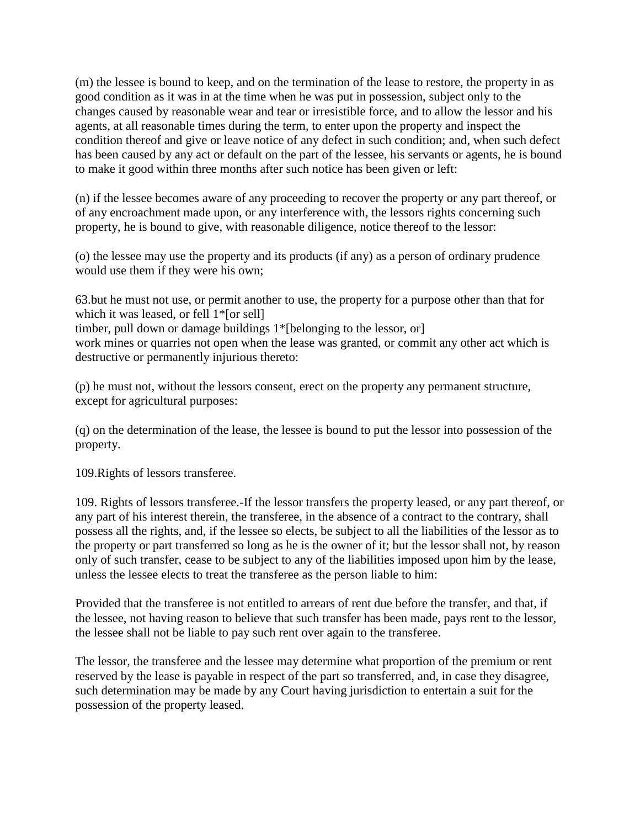(m) the lessee is bound to keep, and on the termination of the lease to restore, the property in as good condition as it was in at the time when he was put in possession, subject only to the changes caused by reasonable wear and tear or irresistible force, and to allow the lessor and his agents, at all reasonable times during the term, to enter upon the property and inspect the condition thereof and give or leave notice of any defect in such condition; and, when such defect has been caused by any act or default on the part of the lessee, his servants or agents, he is bound to make it good within three months after such notice has been given or left:

(n) if the lessee becomes aware of any proceeding to recover the property or any part thereof, or of any encroachment made upon, or any interference with, the lessors rights concerning such property, he is bound to give, with reasonable diligence, notice thereof to the lessor:

(o) the lessee may use the property and its products (if any) as a person of ordinary prudence would use them if they were his own;

63.but he must not use, or permit another to use, the property for a purpose other than that for which it was leased, or fell 1\*[or sell] timber, pull down or damage buildings 1\*[belonging to the lessor, or] work mines or quarries not open when the lease was granted, or commit any other act which is destructive or permanently injurious thereto:

(p) he must not, without the lessors consent, erect on the property any permanent structure, except for agricultural purposes:

(q) on the determination of the lease, the lessee is bound to put the lessor into possession of the property.

109.Rights of lessors transferee.

109. Rights of lessors transferee.-If the lessor transfers the property leased, or any part thereof, or any part of his interest therein, the transferee, in the absence of a contract to the contrary, shall possess all the rights, and, if the lessee so elects, be subject to all the liabilities of the lessor as to the property or part transferred so long as he is the owner of it; but the lessor shall not, by reason only of such transfer, cease to be subject to any of the liabilities imposed upon him by the lease, unless the lessee elects to treat the transferee as the person liable to him:

Provided that the transferee is not entitled to arrears of rent due before the transfer, and that, if the lessee, not having reason to believe that such transfer has been made, pays rent to the lessor, the lessee shall not be liable to pay such rent over again to the transferee.

The lessor, the transferee and the lessee may determine what proportion of the premium or rent reserved by the lease is payable in respect of the part so transferred, and, in case they disagree, such determination may be made by any Court having jurisdiction to entertain a suit for the possession of the property leased.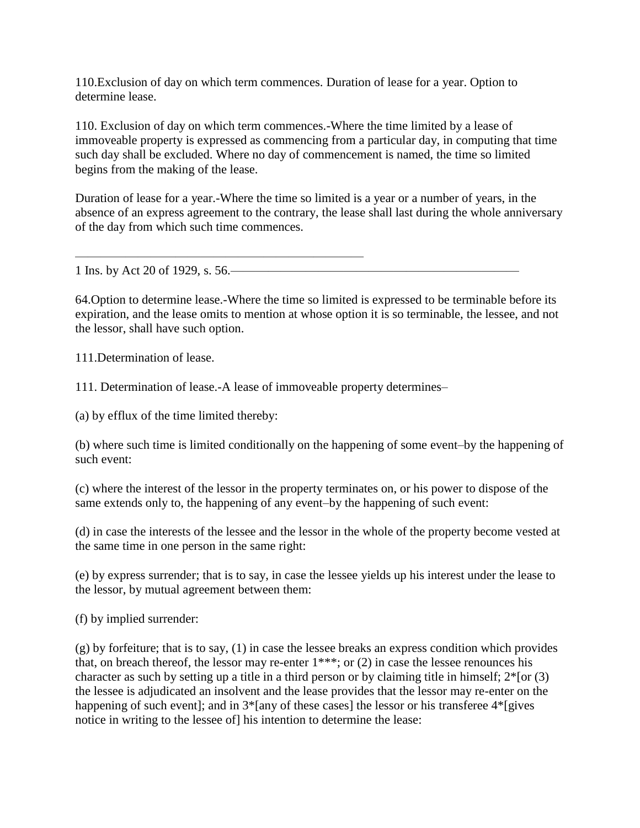110.Exclusion of day on which term commences. Duration of lease for a year. Option to determine lease.

110. Exclusion of day on which term commences.-Where the time limited by a lease of immoveable property is expressed as commencing from a particular day, in computing that time such day shall be excluded. Where no day of commencement is named, the time so limited begins from the making of the lease.

Duration of lease for a year.-Where the time so limited is a year or a number of years, in the absence of an express agreement to the contrary, the lease shall last during the whole anniversary of the day from which such time commences.

——————————————————————— 1 Ins. by Act 20 of 1929, s. 56.—

64.Option to determine lease.-Where the time so limited is expressed to be terminable before its expiration, and the lease omits to mention at whose option it is so terminable, the lessee, and not the lessor, shall have such option.

111.Determination of lease.

111. Determination of lease.-A lease of immoveable property determines–

(a) by efflux of the time limited thereby:

(b) where such time is limited conditionally on the happening of some event–by the happening of such event:

(c) where the interest of the lessor in the property terminates on, or his power to dispose of the same extends only to, the happening of any event–by the happening of such event:

(d) in case the interests of the lessee and the lessor in the whole of the property become vested at the same time in one person in the same right:

(e) by express surrender; that is to say, in case the lessee yields up his interest under the lease to the lessor, by mutual agreement between them:

(f) by implied surrender:

(g) by forfeiture; that is to say, (1) in case the lessee breaks an express condition which provides that, on breach thereof, the lessor may re-enter  $1***$ ; or  $(2)$  in case the lessee renounces his character as such by setting up a title in a third person or by claiming title in himself;  $2^*$  [or (3) the lessee is adjudicated an insolvent and the lease provides that the lessor may re-enter on the happening of such event]; and in  $3^*$ [any of these cases] the lessor or his transferee  $4^*$ [gives notice in writing to the lessee of] his intention to determine the lease: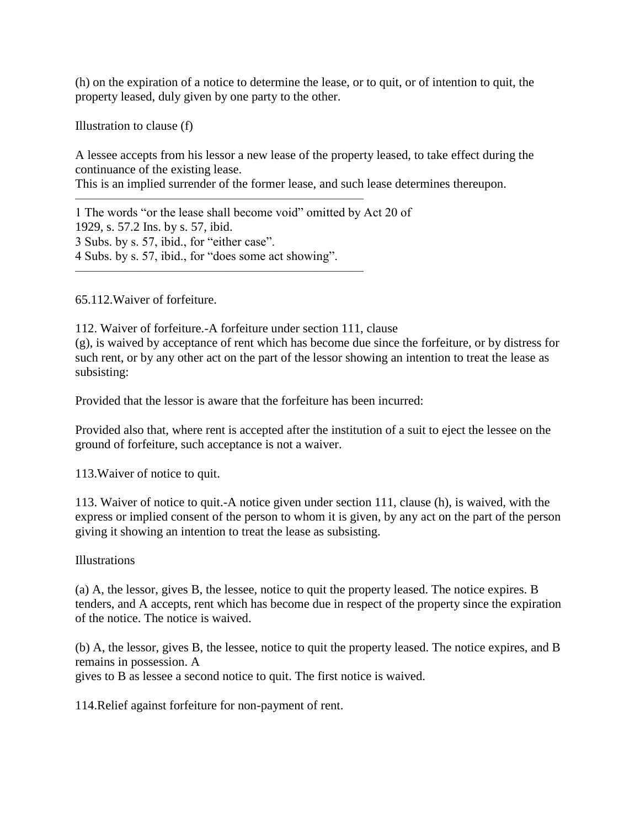(h) on the expiration of a notice to determine the lease, or to quit, or of intention to quit, the property leased, duly given by one party to the other.

Illustration to clause (f)

A lessee accepts from his lessor a new lease of the property leased, to take effect during the continuance of the existing lease.

This is an implied surrender of the former lease, and such lease determines thereupon.

1 The words "or the lease shall become void" omitted by Act 20 of 1929, s. 57.2 Ins. by s. 57, ibid. 3 Subs. by s. 57, ibid., for "either case". 4 Subs. by s. 57, ibid., for "does some act showing". ———————————————————————

———————————————————————

65.112.Waiver of forfeiture.

112. Waiver of forfeiture.-A forfeiture under section 111, clause

(g), is waived by acceptance of rent which has become due since the forfeiture, or by distress for such rent, or by any other act on the part of the lessor showing an intention to treat the lease as subsisting:

Provided that the lessor is aware that the forfeiture has been incurred:

Provided also that, where rent is accepted after the institution of a suit to eject the lessee on the ground of forfeiture, such acceptance is not a waiver.

113.Waiver of notice to quit.

113. Waiver of notice to quit.-A notice given under section 111, clause (h), is waived, with the express or implied consent of the person to whom it is given, by any act on the part of the person giving it showing an intention to treat the lease as subsisting.

Illustrations

(a) A, the lessor, gives B, the lessee, notice to quit the property leased. The notice expires. B tenders, and A accepts, rent which has become due in respect of the property since the expiration of the notice. The notice is waived.

(b) A, the lessor, gives B, the lessee, notice to quit the property leased. The notice expires, and B remains in possession. A

gives to B as lessee a second notice to quit. The first notice is waived.

114.Relief against forfeiture for non-payment of rent.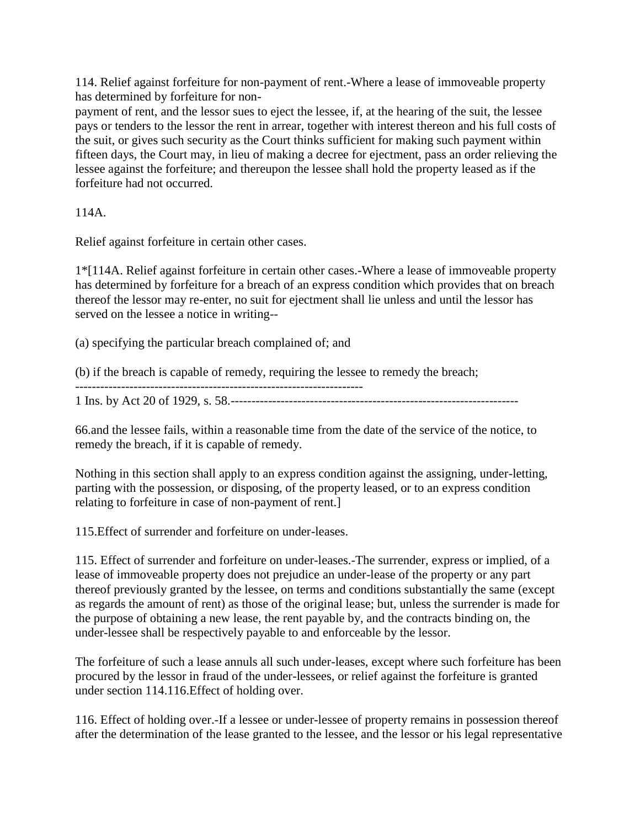114. Relief against forfeiture for non-payment of rent.-Where a lease of immoveable property has determined by forfeiture for non-

payment of rent, and the lessor sues to eject the lessee, if, at the hearing of the suit, the lessee pays or tenders to the lessor the rent in arrear, together with interest thereon and his full costs of the suit, or gives such security as the Court thinks sufficient for making such payment within fifteen days, the Court may, in lieu of making a decree for ejectment, pass an order relieving the lessee against the forfeiture; and thereupon the lessee shall hold the property leased as if the forfeiture had not occurred.

114A.

Relief against forfeiture in certain other cases.

1\*[114A. Relief against forfeiture in certain other cases.-Where a lease of immoveable property has determined by forfeiture for a breach of an express condition which provides that on breach thereof the lessor may re-enter, no suit for ejectment shall lie unless and until the lessor has served on the lessee a notice in writing--

(a) specifying the particular breach complained of; and

---------------------------------------------------------------------

(b) if the breach is capable of remedy, requiring the lessee to remedy the breach;

1 Ins. by Act 20 of 1929, s. 58.---------------------------------------------------------------------

66.and the lessee fails, within a reasonable time from the date of the service of the notice, to remedy the breach, if it is capable of remedy.

Nothing in this section shall apply to an express condition against the assigning, under-letting, parting with the possession, or disposing, of the property leased, or to an express condition relating to forfeiture in case of non-payment of rent.]

115.Effect of surrender and forfeiture on under-leases.

115. Effect of surrender and forfeiture on under-leases.-The surrender, express or implied, of a lease of immoveable property does not prejudice an under-lease of the property or any part thereof previously granted by the lessee, on terms and conditions substantially the same (except as regards the amount of rent) as those of the original lease; but, unless the surrender is made for the purpose of obtaining a new lease, the rent payable by, and the contracts binding on, the under-lessee shall be respectively payable to and enforceable by the lessor.

The forfeiture of such a lease annuls all such under-leases, except where such forfeiture has been procured by the lessor in fraud of the under-lessees, or relief against the forfeiture is granted under section 114.116.Effect of holding over.

116. Effect of holding over.-If a lessee or under-lessee of property remains in possession thereof after the determination of the lease granted to the lessee, and the lessor or his legal representative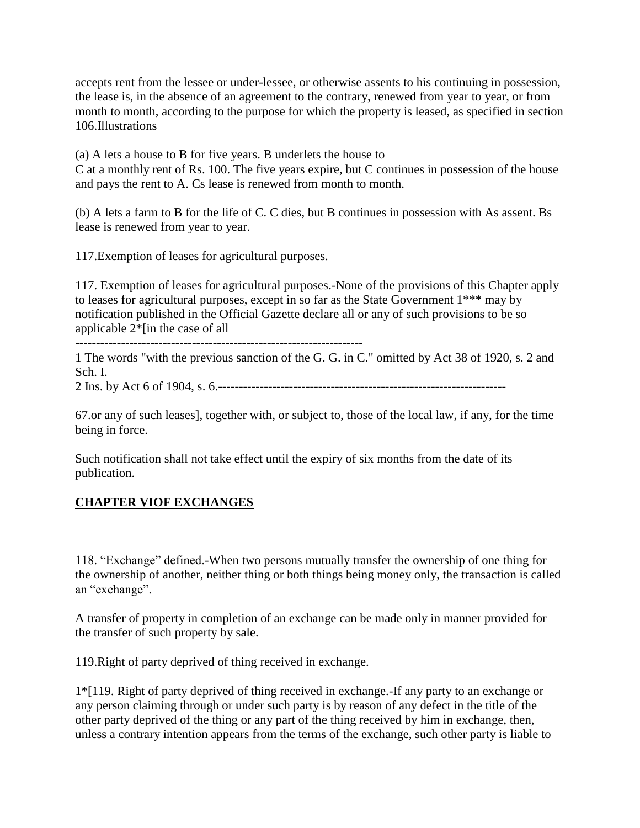accepts rent from the lessee or under-lessee, or otherwise assents to his continuing in possession, the lease is, in the absence of an agreement to the contrary, renewed from year to year, or from month to month, according to the purpose for which the property is leased, as specified in section 106.Illustrations

(a) A lets a house to B for five years. B underlets the house to C at a monthly rent of Rs. 100. The five years expire, but C continues in possession of the house and pays the rent to A. Cs lease is renewed from month to month.

(b) A lets a farm to B for the life of C. C dies, but B continues in possession with As assent. Bs lease is renewed from year to year.

117.Exemption of leases for agricultural purposes.

117. Exemption of leases for agricultural purposes.-None of the provisions of this Chapter apply to leases for agricultural purposes, except in so far as the State Government 1\*\*\* may by notification published in the Official Gazette declare all or any of such provisions to be so applicable  $2^*$  [in the case of all

1 The words "with the previous sanction of the G. G. in C." omitted by Act 38 of 1920, s. 2 and Sch. I.

2 Ins. by Act 6 of 1904, s. 6.---------------------------------------------------------------------

---------------------------------------------------------------------

67.or any of such leases], together with, or subject to, those of the local law, if any, for the time being in force.

Such notification shall not take effect until the expiry of six months from the date of its publication.

# **CHAPTER VIOF EXCHANGES**

118. "Exchange" defined.-When two persons mutually transfer the ownership of one thing for the ownership of another, neither thing or both things being money only, the transaction is called an "exchange".

A transfer of property in completion of an exchange can be made only in manner provided for the transfer of such property by sale.

119.Right of party deprived of thing received in exchange.

1\*[119. Right of party deprived of thing received in exchange.-If any party to an exchange or any person claiming through or under such party is by reason of any defect in the title of the other party deprived of the thing or any part of the thing received by him in exchange, then, unless a contrary intention appears from the terms of the exchange, such other party is liable to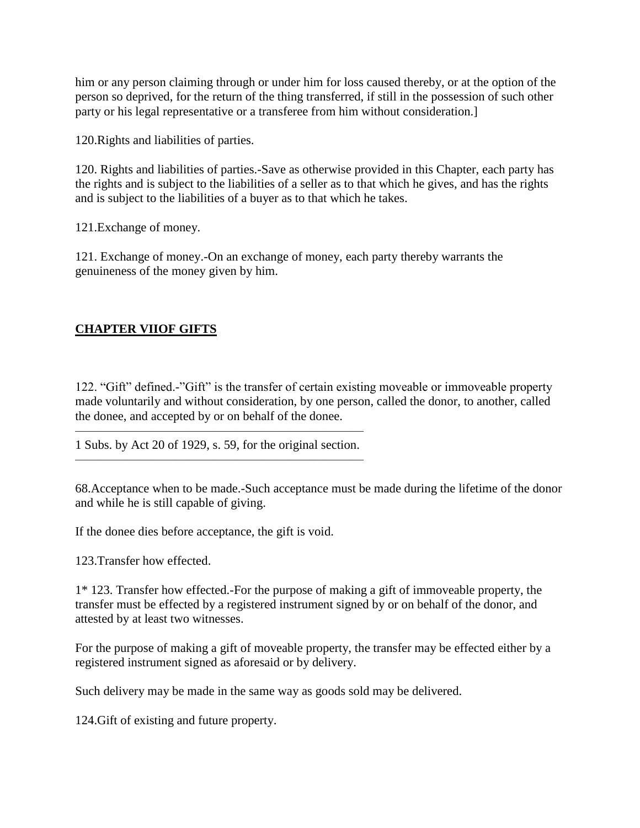him or any person claiming through or under him for loss caused thereby, or at the option of the person so deprived, for the return of the thing transferred, if still in the possession of such other party or his legal representative or a transferee from him without consideration.]

120.Rights and liabilities of parties.

120. Rights and liabilities of parties.-Save as otherwise provided in this Chapter, each party has the rights and is subject to the liabilities of a seller as to that which he gives, and has the rights and is subject to the liabilities of a buyer as to that which he takes.

121.Exchange of money.

121. Exchange of money.-On an exchange of money, each party thereby warrants the genuineness of the money given by him.

# **CHAPTER VIIOF GIFTS**

122. "Gift" defined.-"Gift" is the transfer of certain existing moveable or immoveable property made voluntarily and without consideration, by one person, called the donor, to another, called the donee, and accepted by or on behalf of the donee.

——————————————————————— 1 Subs. by Act 20 of 1929, s. 59, for the original section. ———————————————————————

68.Acceptance when to be made.-Such acceptance must be made during the lifetime of the donor and while he is still capable of giving.

If the donee dies before acceptance, the gift is void.

123.Transfer how effected.

1\* 123. Transfer how effected.-For the purpose of making a gift of immoveable property, the transfer must be effected by a registered instrument signed by or on behalf of the donor, and attested by at least two witnesses.

For the purpose of making a gift of moveable property, the transfer may be effected either by a registered instrument signed as aforesaid or by delivery.

Such delivery may be made in the same way as goods sold may be delivered.

124.Gift of existing and future property.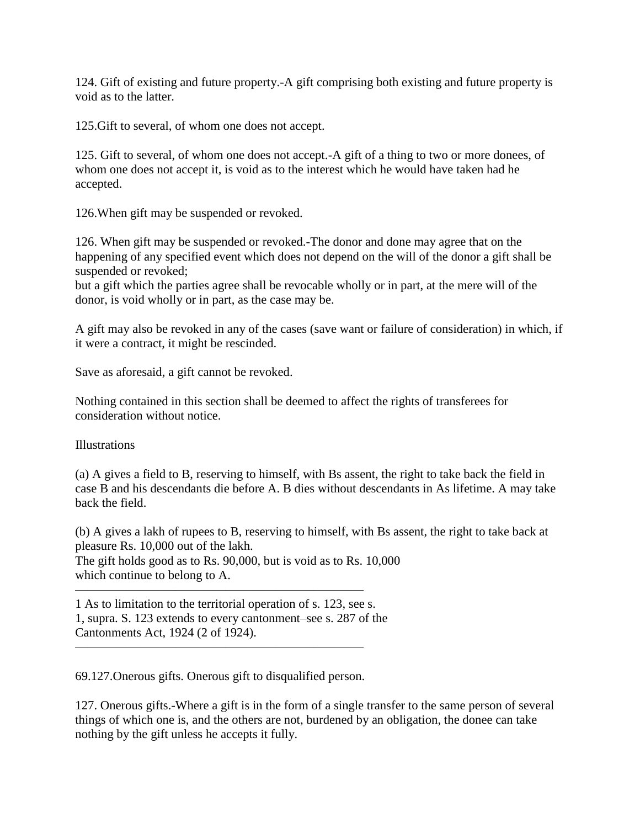124. Gift of existing and future property.-A gift comprising both existing and future property is void as to the latter.

125.Gift to several, of whom one does not accept.

125. Gift to several, of whom one does not accept.-A gift of a thing to two or more donees, of whom one does not accept it, is void as to the interest which he would have taken had he accepted.

126.When gift may be suspended or revoked.

126. When gift may be suspended or revoked.-The donor and done may agree that on the happening of any specified event which does not depend on the will of the donor a gift shall be suspended or revoked;

but a gift which the parties agree shall be revocable wholly or in part, at the mere will of the donor, is void wholly or in part, as the case may be.

A gift may also be revoked in any of the cases (save want or failure of consideration) in which, if it were a contract, it might be rescinded.

Save as aforesaid, a gift cannot be revoked.

Nothing contained in this section shall be deemed to affect the rights of transferees for consideration without notice.

Illustrations

(a) A gives a field to B, reserving to himself, with Bs assent, the right to take back the field in case B and his descendants die before A. B dies without descendants in As lifetime. A may take back the field.

(b) A gives a lakh of rupees to B, reserving to himself, with Bs assent, the right to take back at pleasure Rs. 10,000 out of the lakh.

The gift holds good as to Rs. 90,000, but is void as to Rs. 10,000 which continue to belong to A.

1 As to limitation to the territorial operation of s. 123, see s. 1, supra. S. 123 extends to every cantonment–see s. 287 of the Cantonments Act, 1924 (2 of 1924).

———————————————————————

69.127.Onerous gifts. Onerous gift to disqualified person.

———————————————————————

127. Onerous gifts.-Where a gift is in the form of a single transfer to the same person of several things of which one is, and the others are not, burdened by an obligation, the donee can take nothing by the gift unless he accepts it fully.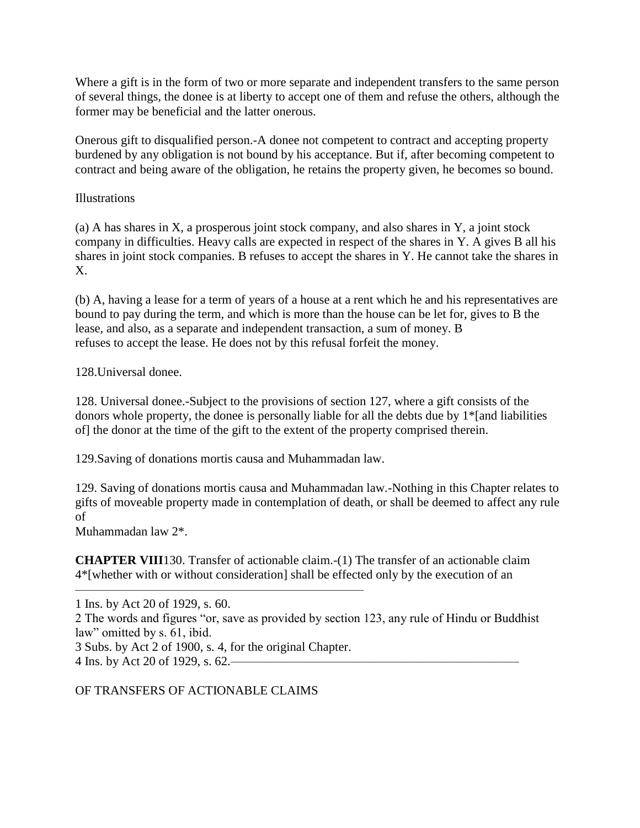Where a gift is in the form of two or more separate and independent transfers to the same person of several things, the donee is at liberty to accept one of them and refuse the others, although the former may be beneficial and the latter onerous.

Onerous gift to disqualified person.-A donee not competent to contract and accepting property burdened by any obligation is not bound by his acceptance. But if, after becoming competent to contract and being aware of the obligation, he retains the property given, he becomes so bound.

#### Illustrations

(a) A has shares in X, a prosperous joint stock company, and also shares in Y, a joint stock company in difficulties. Heavy calls are expected in respect of the shares in Y. A gives B all his shares in joint stock companies. B refuses to accept the shares in Y. He cannot take the shares in X.

(b) A, having a lease for a term of years of a house at a rent which he and his representatives are bound to pay during the term, and which is more than the house can be let for, gives to B the lease, and also, as a separate and independent transaction, a sum of money. B refuses to accept the lease. He does not by this refusal forfeit the money.

#### 128.Universal donee.

128. Universal donee.-Subject to the provisions of section 127, where a gift consists of the donors whole property, the donee is personally liable for all the debts due by 1\*[and liabilities of] the donor at the time of the gift to the extent of the property comprised therein.

129.Saving of donations mortis causa and Muhammadan law.

129. Saving of donations mortis causa and Muhammadan law.-Nothing in this Chapter relates to gifts of moveable property made in contemplation of death, or shall be deemed to affect any rule of

Muhammadan law 2\*.

**CHAPTER VIII**130. Transfer of actionable claim.-(1) The transfer of an actionable claim 4\*[whether with or without consideration] shall be effected only by the execution of an

3 Subs. by Act 2 of 1900, s. 4, for the original Chapter.

———————————————————————

4 Ins. by Act 20 of 1929, s. 62.—

## OF TRANSFERS OF ACTIONABLE CLAIMS

<sup>1</sup> Ins. by Act 20 of 1929, s. 60.

<sup>2</sup> The words and figures "or, save as provided by section 123, any rule of Hindu or Buddhist law" omitted by s. 61, ibid.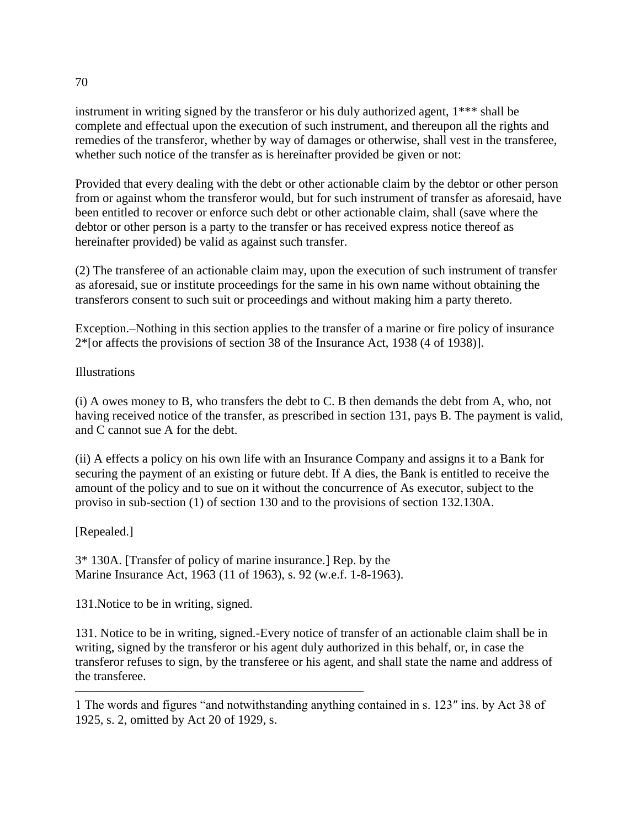instrument in writing signed by the transferor or his duly authorized agent, 1\*\*\* shall be complete and effectual upon the execution of such instrument, and thereupon all the rights and remedies of the transferor, whether by way of damages or otherwise, shall vest in the transferee, whether such notice of the transfer as is hereinafter provided be given or not:

Provided that every dealing with the debt or other actionable claim by the debtor or other person from or against whom the transferor would, but for such instrument of transfer as aforesaid, have been entitled to recover or enforce such debt or other actionable claim, shall (save where the debtor or other person is a party to the transfer or has received express notice thereof as hereinafter provided) be valid as against such transfer.

(2) The transferee of an actionable claim may, upon the execution of such instrument of transfer as aforesaid, sue or institute proceedings for the same in his own name without obtaining the transferors consent to such suit or proceedings and without making him a party thereto.

Exception.–Nothing in this section applies to the transfer of a marine or fire policy of insurance 2\*[or affects the provisions of section 38 of the Insurance Act, 1938 (4 of 1938)].

#### Illustrations

(i) A owes money to B, who transfers the debt to C. B then demands the debt from A, who, not having received notice of the transfer, as prescribed in section 131, pays B. The payment is valid, and C cannot sue A for the debt.

(ii) A effects a policy on his own life with an Insurance Company and assigns it to a Bank for securing the payment of an existing or future debt. If A dies, the Bank is entitled to receive the amount of the policy and to sue on it without the concurrence of As executor, subject to the proviso in sub-section (1) of section 130 and to the provisions of section 132.130A.

## [Repealed.]

3\* 130A. [Transfer of policy of marine insurance.] Rep. by the Marine Insurance Act, 1963 (11 of 1963), s. 92 (w.e.f. 1-8-1963).

———————————————————————

131.Notice to be in writing, signed.

131. Notice to be in writing, signed.-Every notice of transfer of an actionable claim shall be in writing, signed by the transferor or his agent duly authorized in this behalf, or, in case the transferor refuses to sign, by the transferee or his agent, and shall state the name and address of the transferee.

1 The words and figures "and notwithstanding anything contained in s. 123″ ins. by Act 38 of 1925, s. 2, omitted by Act 20 of 1929, s.

70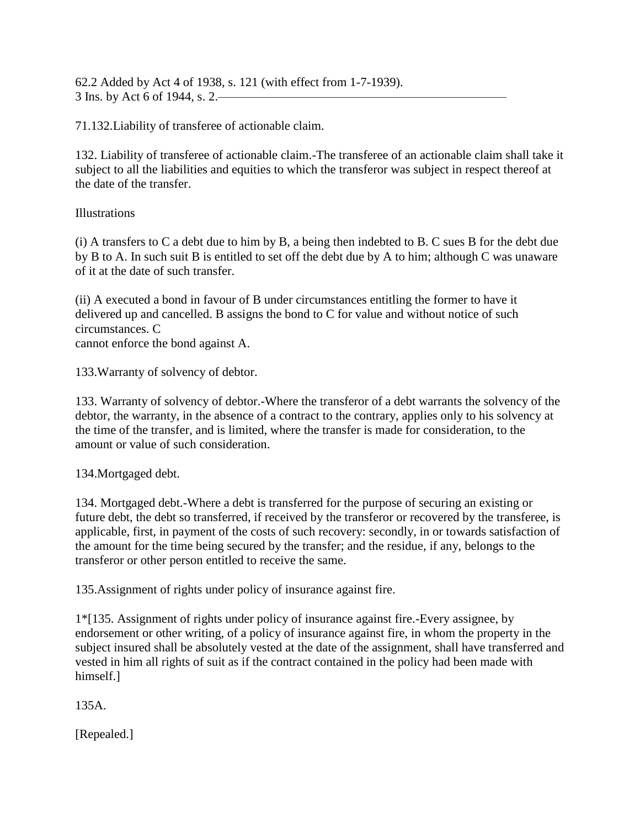62.2 Added by Act 4 of 1938, s. 121 (with effect from 1-7-1939). 3 Ins. by Act 6 of 1944, s. 2.—

71.132.Liability of transferee of actionable claim.

132. Liability of transferee of actionable claim.-The transferee of an actionable claim shall take it subject to all the liabilities and equities to which the transferor was subject in respect thereof at the date of the transfer.

## Illustrations

(i) A transfers to C a debt due to him by B, a being then indebted to B. C sues B for the debt due by B to A. In such suit B is entitled to set off the debt due by A to him; although C was unaware of it at the date of such transfer.

(ii) A executed a bond in favour of B under circumstances entitling the former to have it delivered up and cancelled. B assigns the bond to C for value and without notice of such circumstances. C cannot enforce the bond against A.

133.Warranty of solvency of debtor.

133. Warranty of solvency of debtor.-Where the transferor of a debt warrants the solvency of the debtor, the warranty, in the absence of a contract to the contrary, applies only to his solvency at the time of the transfer, and is limited, where the transfer is made for consideration, to the amount or value of such consideration.

134.Mortgaged debt.

134. Mortgaged debt.-Where a debt is transferred for the purpose of securing an existing or future debt, the debt so transferred, if received by the transferor or recovered by the transferee, is applicable, first, in payment of the costs of such recovery: secondly, in or towards satisfaction of the amount for the time being secured by the transfer; and the residue, if any, belongs to the transferor or other person entitled to receive the same.

135.Assignment of rights under policy of insurance against fire.

1\*[135. Assignment of rights under policy of insurance against fire.-Every assignee, by endorsement or other writing, of a policy of insurance against fire, in whom the property in the subject insured shall be absolutely vested at the date of the assignment, shall have transferred and vested in him all rights of suit as if the contract contained in the policy had been made with himself.]

135A.

[Repealed.]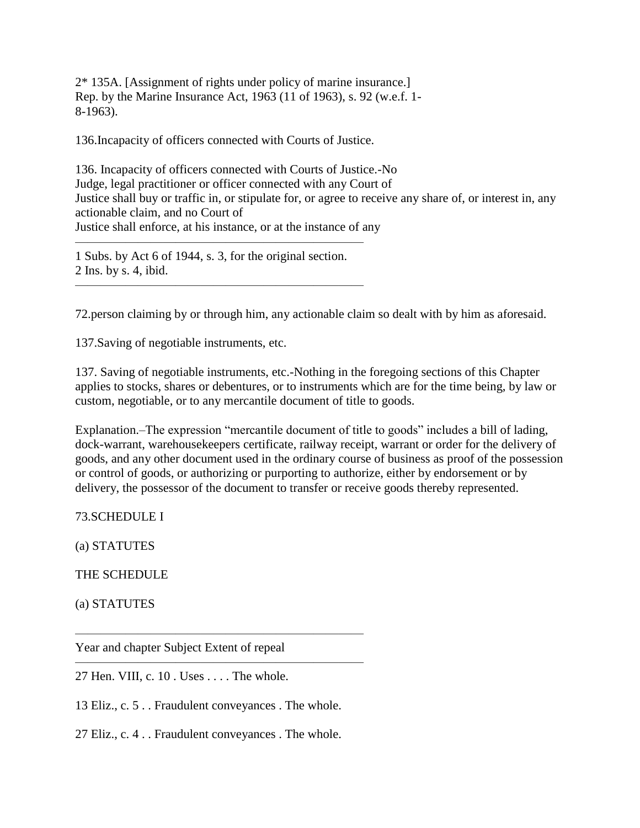2\* 135A. [Assignment of rights under policy of marine insurance.] Rep. by the Marine Insurance Act, 1963 (11 of 1963), s. 92 (w.e.f. 1- 8-1963).

136.Incapacity of officers connected with Courts of Justice.

136. Incapacity of officers connected with Courts of Justice.-No Judge, legal practitioner or officer connected with any Court of Justice shall buy or traffic in, or stipulate for, or agree to receive any share of, or interest in, any actionable claim, and no Court of Justice shall enforce, at his instance, or at the instance of any ———————————————————————

1 Subs. by Act 6 of 1944, s. 3, for the original section. 2 Ins. by s. 4, ibid.

———————————————————————

72.person claiming by or through him, any actionable claim so dealt with by him as aforesaid.

137.Saving of negotiable instruments, etc.

137. Saving of negotiable instruments, etc.-Nothing in the foregoing sections of this Chapter applies to stocks, shares or debentures, or to instruments which are for the time being, by law or custom, negotiable, or to any mercantile document of title to goods.

Explanation.–The expression "mercantile document of title to goods" includes a bill of lading, dock-warrant, warehousekeepers certificate, railway receipt, warrant or order for the delivery of goods, and any other document used in the ordinary course of business as proof of the possession or control of goods, or authorizing or purporting to authorize, either by endorsement or by delivery, the possessor of the document to transfer or receive goods thereby represented.

73.SCHEDULE I

(a) STATUTES

THE SCHEDULE

(a) STATUTES

Year and chapter Subject Extent of repeal

27 Hen. VIII, c. 10 . Uses . . . . The whole.

13 Eliz., c. 5 . . Fraudulent conveyances . The whole.

———————————————————————

———————————————————————

27 Eliz., c. 4 . . Fraudulent conveyances . The whole.